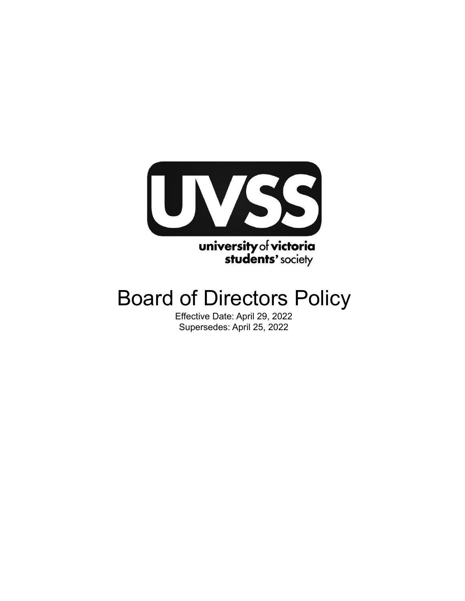

# Board of Directors Policy

Effective Date: April 29, 2022 Supersedes: April 25, 2022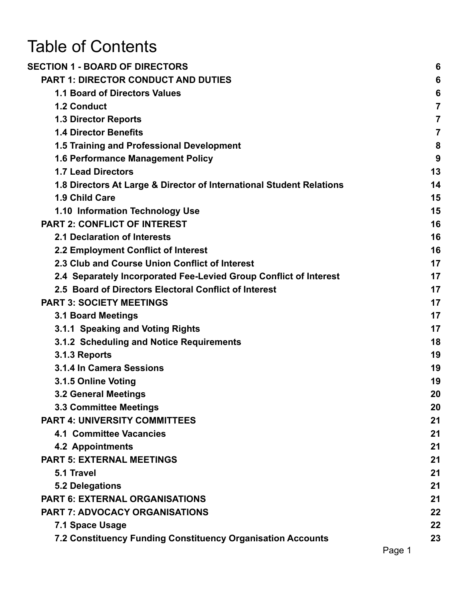# Table of Contents

| <b>SECTION 1 - BOARD OF DIRECTORS</b>                                | 6              |
|----------------------------------------------------------------------|----------------|
| <b>PART 1: DIRECTOR CONDUCT AND DUTIES</b>                           | 6              |
| <b>1.1 Board of Directors Values</b>                                 | 6              |
| <b>1.2 Conduct</b>                                                   | $\overline{7}$ |
| <b>1.3 Director Reports</b>                                          | 7              |
| <b>1.4 Director Benefits</b>                                         | $\overline{7}$ |
| 1.5 Training and Professional Development                            | 8              |
| <b>1.6 Performance Management Policy</b>                             | 9              |
| <b>1.7 Lead Directors</b>                                            | 13             |
| 1.8 Directors At Large & Director of International Student Relations | 14             |
| 1.9 Child Care                                                       | 15             |
| 1.10 Information Technology Use                                      | 15             |
| <b>PART 2: CONFLICT OF INTEREST</b>                                  | 16             |
| 2.1 Declaration of Interests                                         | 16             |
| 2.2 Employment Conflict of Interest                                  | 16             |
| 2.3 Club and Course Union Conflict of Interest                       | 17             |
| 2.4 Separately Incorporated Fee-Levied Group Conflict of Interest    | 17             |
| 2.5 Board of Directors Electoral Conflict of Interest                | 17             |
| <b>PART 3: SOCIETY MEETINGS</b>                                      | 17             |
| <b>3.1 Board Meetings</b>                                            | 17             |
| 3.1.1 Speaking and Voting Rights                                     | 17             |
| 3.1.2 Scheduling and Notice Requirements                             | 18             |
| 3.1.3 Reports                                                        | 19             |
| 3.1.4 In Camera Sessions                                             | 19             |
| 3.1.5 Online Voting                                                  | 19             |
| <b>3.2 General Meetings</b>                                          | 20             |
| <b>3.3 Committee Meetings</b>                                        | 20             |
| <b>PART 4: UNIVERSITY COMMITTEES</b>                                 | 21             |
| <b>4.1 Committee Vacancies</b>                                       | 21             |
| <b>4.2 Appointments</b>                                              | 21             |
| <b>PART 5: EXTERNAL MEETINGS</b>                                     | 21             |
| 5.1 Travel                                                           | 21             |
| <b>5.2 Delegations</b>                                               | 21             |
| <b>PART 6: EXTERNAL ORGANISATIONS</b>                                | 21             |
| <b>PART 7: ADVOCACY ORGANISATIONS</b>                                | 22             |
| 7.1 Space Usage                                                      | 22             |
| 7.2 Constituency Funding Constituency Organisation Accounts          | 23             |
|                                                                      | Dao 1          |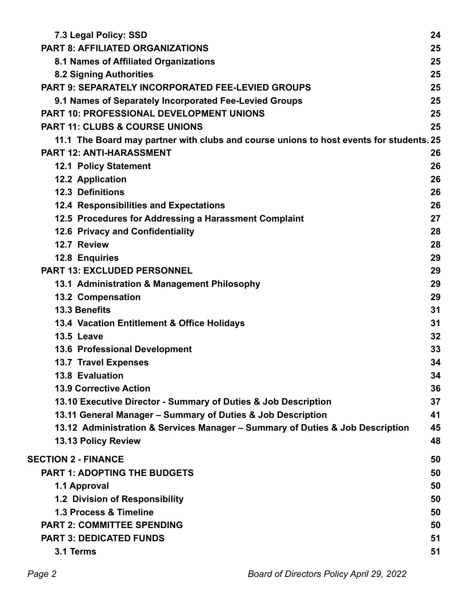| 7.3 Legal Policy: SSD                                                                   | 24 |
|-----------------------------------------------------------------------------------------|----|
| <b>PART 8: AFFILIATED ORGANIZATIONS</b>                                                 | 25 |
| 8.1 Names of Affiliated Organizations                                                   | 25 |
| <b>8.2 Signing Authorities</b>                                                          | 25 |
| <b>PART 9: SEPARATELY INCORPORATED FEE-LEVIED GROUPS</b>                                | 25 |
| 9.1 Names of Separately Incorporated Fee-Levied Groups                                  | 25 |
| <b>PART 10: PROFESSIONAL DEVELOPMENT UNIONS</b>                                         | 25 |
| <b>PART 11: CLUBS &amp; COURSE UNIONS</b>                                               | 25 |
| 11.1 The Board may partner with clubs and course unions to host events for students. 25 |    |
| <b>PART 12: ANTI-HARASSMENT</b>                                                         | 26 |
| <b>12.1 Policy Statement</b>                                                            | 26 |
| 12.2 Application                                                                        | 26 |
| <b>12.3 Definitions</b>                                                                 | 26 |
| 12.4 Responsibilities and Expectations                                                  | 26 |
| 12.5 Procedures for Addressing a Harassment Complaint                                   | 27 |
| 12.6 Privacy and Confidentiality                                                        | 28 |
| 12.7 Review                                                                             | 28 |
| 12.8 Enquiries                                                                          | 29 |
| <b>PART 13: EXCLUDED PERSONNEL</b>                                                      | 29 |
| 13.1 Administration & Management Philosophy                                             | 29 |
| <b>13.2 Compensation</b>                                                                | 29 |
| 13.3 Benefits                                                                           | 31 |
| 13.4 Vacation Entitlement & Office Holidays                                             | 31 |
| 13.5 Leave                                                                              | 32 |
| <b>13.6 Professional Development</b>                                                    | 33 |
| <b>13.7 Travel Expenses</b>                                                             | 34 |
| <b>13.8 Evaluation</b>                                                                  | 34 |
| <b>13.9 Corrective Action</b>                                                           | 36 |
| 13.10 Executive Director - Summary of Duties & Job Description                          | 37 |
| 13.11 General Manager - Summary of Duties & Job Description                             | 41 |
| 13.12 Administration & Services Manager - Summary of Duties & Job Description           | 45 |
| 13.13 Policy Review                                                                     | 48 |
| <b>SECTION 2 - FINANCE</b>                                                              | 50 |
| <b>PART 1: ADOPTING THE BUDGETS</b>                                                     | 50 |
| 1.1 Approval                                                                            | 50 |
| 1.2 Division of Responsibility                                                          | 50 |
| 1.3 Process & Timeline                                                                  | 50 |
| <b>PART 2: COMMITTEE SPENDING</b>                                                       | 50 |
| <b>PART 3: DEDICATED FUNDS</b>                                                          | 51 |
| 3.1 Terms                                                                               | 51 |
|                                                                                         |    |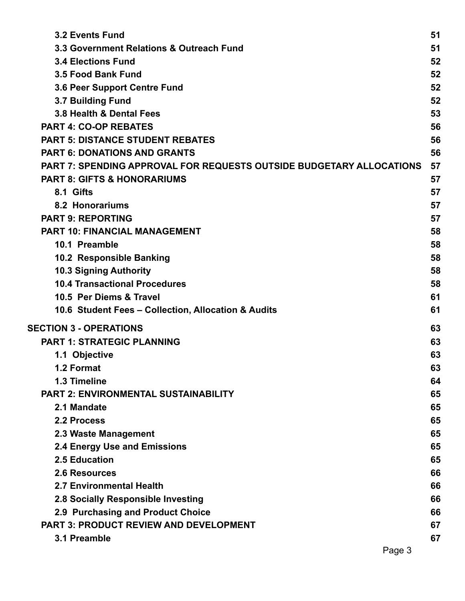| <b>3.2 Events Fund</b>                                                      | 51 |
|-----------------------------------------------------------------------------|----|
| 3.3 Government Relations & Outreach Fund                                    | 51 |
| <b>3.4 Elections Fund</b>                                                   | 52 |
| 3.5 Food Bank Fund                                                          | 52 |
| <b>3.6 Peer Support Centre Fund</b>                                         | 52 |
| 3.7 Building Fund                                                           | 52 |
| 3.8 Health & Dental Fees                                                    | 53 |
| <b>PART 4: CO-OP REBATES</b>                                                | 56 |
| <b>PART 5: DISTANCE STUDENT REBATES</b>                                     | 56 |
| <b>PART 6: DONATIONS AND GRANTS</b>                                         | 56 |
| <b>PART 7: SPENDING APPROVAL FOR REQUESTS OUTSIDE BUDGETARY ALLOCATIONS</b> | 57 |
| <b>PART 8: GIFTS &amp; HONORARIUMS</b>                                      | 57 |
| 8.1 Gifts                                                                   | 57 |
| 8.2 Honorariums                                                             | 57 |
| <b>PART 9: REPORTING</b>                                                    | 57 |
| <b>PART 10: FINANCIAL MANAGEMENT</b>                                        | 58 |
| 10.1 Preamble                                                               | 58 |
| 10.2 Responsible Banking                                                    | 58 |
| <b>10.3 Signing Authority</b>                                               | 58 |
| <b>10.4 Transactional Procedures</b>                                        | 58 |
| 10.5 Per Diems & Travel                                                     | 61 |
| 10.6 Student Fees - Collection, Allocation & Audits                         | 61 |
| <b>SECTION 3 - OPERATIONS</b>                                               | 63 |
| <b>PART 1: STRATEGIC PLANNING</b>                                           | 63 |
| 1.1 Objective                                                               | 63 |
| 1.2 Format                                                                  | 63 |
| 1.3 Timeline                                                                | 64 |
| PART 2: ENVIRONMENTAL SUSTAINABILITY                                        | 65 |
| 2.1 Mandate                                                                 | 65 |
| 2.2 Process                                                                 | 65 |
| 2.3 Waste Management                                                        | 65 |
| <b>2.4 Energy Use and Emissions</b>                                         | 65 |
| 2.5 Education                                                               | 65 |
| <b>2.6 Resources</b>                                                        | 66 |
| <b>2.7 Environmental Health</b>                                             | 66 |
| 2.8 Socially Responsible Investing                                          | 66 |
| 2.9 Purchasing and Product Choice                                           | 66 |
| PART 3: PRODUCT REVIEW AND DEVELOPMENT                                      | 67 |
| 3.1 Preamble                                                                | 67 |
| Page 3                                                                      |    |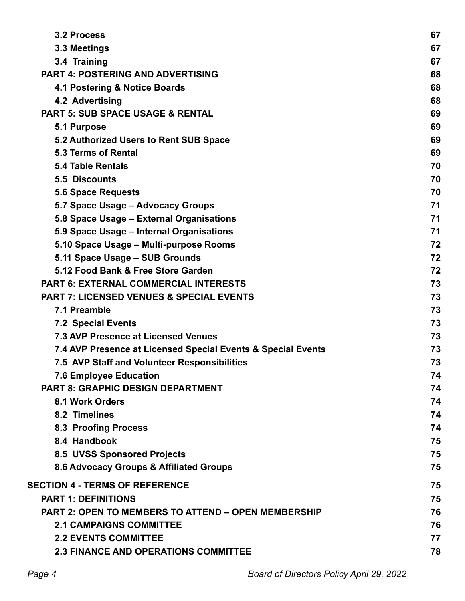| 3.2 Process                                                  | 67 |
|--------------------------------------------------------------|----|
| 3.3 Meetings                                                 | 67 |
| 3.4 Training                                                 | 67 |
| <b>PART 4: POSTERING AND ADVERTISING</b>                     | 68 |
| 4.1 Postering & Notice Boards                                | 68 |
| 4.2 Advertising                                              | 68 |
| <b>PART 5: SUB SPACE USAGE &amp; RENTAL</b>                  | 69 |
| 5.1 Purpose                                                  | 69 |
| 5.2 Authorized Users to Rent SUB Space                       | 69 |
| 5.3 Terms of Rental                                          | 69 |
| <b>5.4 Table Rentals</b>                                     | 70 |
| 5.5 Discounts                                                | 70 |
| <b>5.6 Space Requests</b>                                    | 70 |
| 5.7 Space Usage - Advocacy Groups                            | 71 |
| 5.8 Space Usage - External Organisations                     | 71 |
| 5.9 Space Usage - Internal Organisations                     | 71 |
| 5.10 Space Usage - Multi-purpose Rooms                       | 72 |
| 5.11 Space Usage - SUB Grounds                               | 72 |
| 5.12 Food Bank & Free Store Garden                           | 72 |
| <b>PART 6: EXTERNAL COMMERCIAL INTERESTS</b>                 | 73 |
| <b>PART 7: LICENSED VENUES &amp; SPECIAL EVENTS</b>          | 73 |
| 7.1 Preamble                                                 | 73 |
| <b>7.2 Special Events</b>                                    | 73 |
| <b>7.3 AVP Presence at Licensed Venues</b>                   | 73 |
| 7.4 AVP Presence at Licensed Special Events & Special Events | 73 |
| 7.5 AVP Staff and Volunteer Responsibilities                 | 73 |
| <b>7.6 Employee Education</b>                                | 74 |
| <b>PART 8: GRAPHIC DESIGN DEPARTMENT</b>                     | 74 |
| 8.1 Work Orders                                              | 74 |
| 8.2 Timelines                                                | 74 |
| <b>8.3 Proofing Process</b>                                  | 74 |
| 8.4 Handbook                                                 | 75 |
| 8.5 UVSS Sponsored Projects                                  | 75 |
| 8.6 Advocacy Groups & Affiliated Groups                      | 75 |
| <b>SECTION 4 - TERMS OF REFERENCE</b>                        | 75 |
| <b>PART 1: DEFINITIONS</b>                                   | 75 |
| PART 2: OPEN TO MEMBERS TO ATTEND - OPEN MEMBERSHIP          | 76 |
| <b>2.1 CAMPAIGNS COMMITTEE</b>                               | 76 |
| <b>2.2 EVENTS COMMITTEE</b>                                  | 77 |
| <b>2.3 FINANCE AND OPERATIONS COMMITTEE</b>                  | 78 |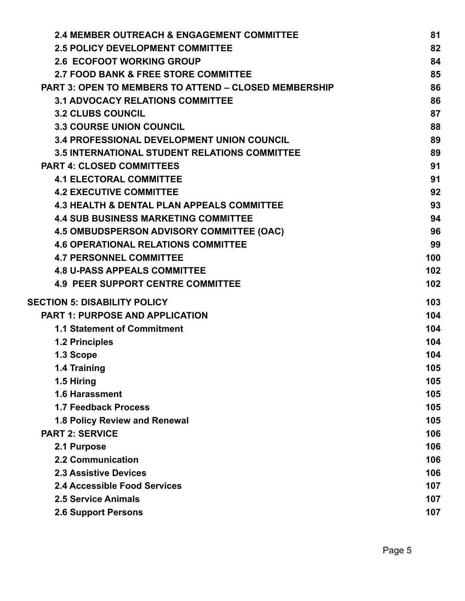| 82<br>84<br>85<br>86<br>86<br>87 |
|----------------------------------|
|                                  |
|                                  |
|                                  |
|                                  |
|                                  |
|                                  |
| 88                               |
| 89                               |
| 89                               |
| 91                               |
| 91                               |
| 92                               |
| 93                               |
| 94                               |
| 96                               |
| 99                               |
| 100                              |
| 102                              |
| 102                              |
| 103                              |
| 104                              |
| 104                              |
| 104                              |
| 104                              |
| 105                              |
| 105                              |
| 105                              |
| 105                              |
| 105                              |
| 106                              |
| 106                              |
| 106                              |
| 106                              |
| 107                              |
| 107                              |
| 107                              |
|                                  |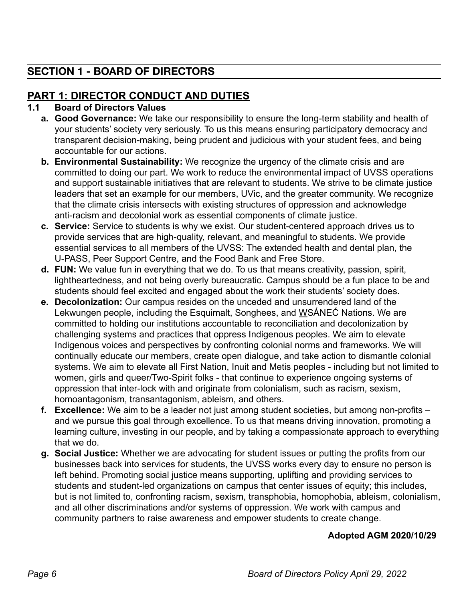# <span id="page-6-0"></span>**SECTION 1 - BOARD OF DIRECTORS**

# <span id="page-6-1"></span>**PART 1: DIRECTOR CONDUCT AND DUTIES**

## <span id="page-6-2"></span>**1.1 Board of Directors Values**

- **a. Good Governance:** We take our responsibility to ensure the long-term stability and health of your students' society very seriously. To us this means ensuring participatory democracy and transparent decision-making, being prudent and judicious with your student fees, and being accountable for our actions.
- **b. Environmental Sustainability:** We recognize the urgency of the climate crisis and are committed to doing our part. We work to reduce the environmental impact of UVSS operations and support sustainable initiatives that are relevant to students. We strive to be climate justice leaders that set an example for our members, UVic, and the greater community. We recognize that the climate crisis intersects with existing structures of oppression and acknowledge anti-racism and decolonial work as essential components of climate justice.
- **c. Service:** Service to students is why we exist. Our student-centered approach drives us to provide services that are high-quality, relevant, and meaningful to students. We provide essential services to all members of the UVSS: The extended health and dental plan, the U-PASS, Peer Support Centre, and the Food Bank and Free Store.
- **d. FUN:** We value fun in everything that we do. To us that means creativity, passion, spirit, lightheartedness, and not being overly bureaucratic. Campus should be a fun place to be and students should feel excited and engaged about the work their students' society does.
- **e. Decolonization:** Our campus resides on the unceded and unsurrendered land of the Lekwungen people, including the Esquimalt, Songhees, and WSANEC Nations. We are committed to holding our institutions accountable to reconciliation and decolonization by challenging systems and practices that oppress Indigenous peoples. We aim to elevate Indigenous voices and perspectives by confronting colonial norms and frameworks. We will continually educate our members, create open dialogue, and take action to dismantle colonial systems. We aim to elevate all First Nation, Inuit and Metis peoples - including but not limited to women, girls and queer/Two-Spirit folks - that continue to experience ongoing systems of oppression that inter-lock with and originate from colonialism, such as racism, sexism, homoantagonism, transantagonism, ableism, and others.
- **f. Excellence:** We aim to be a leader not just among student societies, but among non-profits and we pursue this goal through excellence. To us that means driving innovation, promoting a learning culture, investing in our people, and by taking a compassionate approach to everything that we do.
- **g. Social Justice:** Whether we are advocating for student issues or putting the profits from our businesses back into services for students, the UVSS works every day to ensure no person is left behind. Promoting social justice means supporting, uplifting and providing services to students and student-led organizations on campus that center issues of equity; this includes, but is not limited to, confronting racism, sexism, transphobia, homophobia, ableism, colonialism, and all other discriminations and/or systems of oppression. We work with campus and community partners to raise awareness and empower students to create change.

# **Adopted AGM 2020/10/29**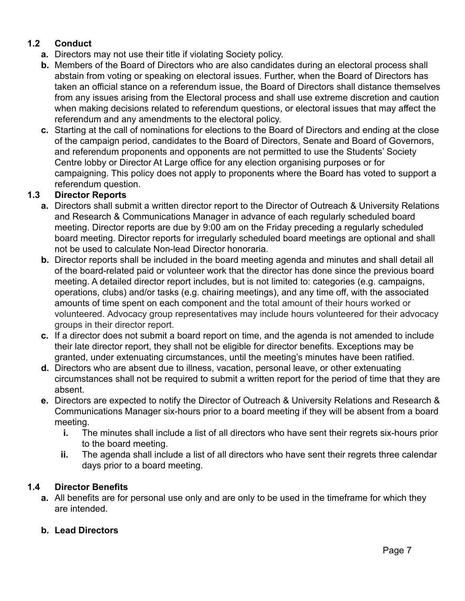## <span id="page-7-0"></span>**1.2 Conduct**

- **a.** Directors may not use their title if violating Society policy.
- **b.** Members of the Board of Directors who are also candidates during an electoral process shall abstain from voting or speaking on electoral issues. Further, when the Board of Directors has taken an official stance on a referendum issue, the Board of Directors shall distance themselves from any issues arising from the Electoral process and shall use extreme discretion and caution when making decisions related to referendum questions, or electoral issues that may affect the referendum and any amendments to the electoral policy.
- **c.** Starting at the call of nominations for elections to the Board of Directors and ending at the close of the campaign period, candidates to the Board of Directors, Senate and Board of Governors, and referendum proponents and opponents are not permitted to use the Students' Society Centre lobby or Director At Large office for any election organising purposes or for campaigning. This policy does not apply to proponents where the Board has voted to support a referendum question.

## <span id="page-7-1"></span>**1.3 Director Reports**

- **a.** Directors shall submit a written director report to the Director of Outreach & University Relations and Research & Communications Manager in advance of each regularly scheduled board meeting. Director reports are due by 9:00 am on the Friday preceding a regularly scheduled board meeting. Director reports for irregularly scheduled board meetings are optional and shall not be used to calculate Non-lead Director honoraria.
- **b.** Director reports shall be included in the board meeting agenda and minutes and shall detail all of the board-related paid or volunteer work that the director has done since the previous board meeting. A detailed director report includes, but is not limited to: categories (e.g. campaigns, operations, clubs) and/or tasks (e.g. chairing meetings), and any time off, with the associated amounts of time spent on each component and the total amount of their hours worked or volunteered. Advocacy group representatives may include hours volunteered for their advocacy groups in their director report.
- **c.** If a director does not submit a board report on time, and the agenda is not amended to include their late director report, they shall not be eligible for director benefits. Exceptions may be granted, under extenuating circumstances, until the meeting's minutes have been ratified.
- **d.** Directors who are absent due to illness, vacation, personal leave, or other extenuating circumstances shall not be required to submit a written report for the period of time that they are absent.
- **e.** Directors are expected to notify the Director of Outreach & University Relations and Research & Communications Manager six-hours prior to a board meeting if they will be absent from a board meeting.
	- **i.** The minutes shall include a list of all directors who have sent their regrets six-hours prior to the board meeting.
	- **ii.** The agenda shall include a list of all directors who have sent their regrets three calendar days prior to a board meeting.

#### <span id="page-7-2"></span>**1.4 Director Benefits**

**a.** All benefits are for personal use only and are only to be used in the timeframe for which they are intended.

#### **b. Lead Directors**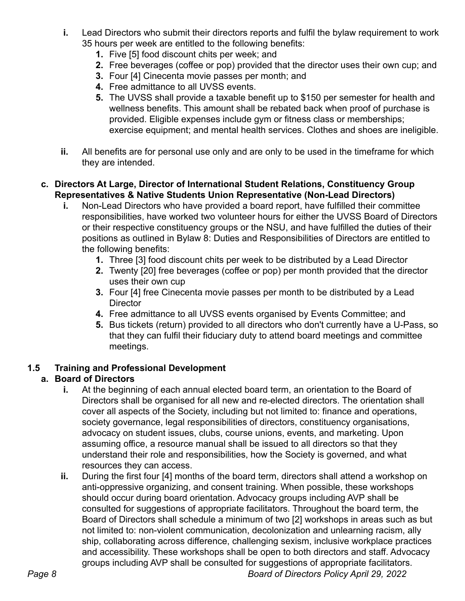- **i.** Lead Directors who submit their directors reports and fulfil the bylaw requirement to work 35 hours per week are entitled to the following benefits:
	- **1.** Five [5] food discount chits per week; and
	- **2.** Free beverages (coffee or pop) provided that the director uses their own cup; and
	- **3.** Four [4] Cinecenta movie passes per month; and
	- **4.** Free admittance to all UVSS events.
	- **5.** The UVSS shall provide a taxable benefit up to \$150 per semester for health and wellness benefits. This amount shall be rebated back when proof of purchase is provided. Eligible expenses include gym or fitness class or memberships; exercise equipment; and mental health services. Clothes and shoes are ineligible.
- **ii.** All benefits are for personal use only and are only to be used in the timeframe for which they are intended.

## **c. Directors At Large, Director of International Student Relations, Constituency Group Representatives & Native Students Union Representative (Non-Lead Directors)**

- **i.** Non-Lead Directors who have provided a board report, have fulfilled their committee responsibilities, have worked two volunteer hours for either the UVSS Board of Directors or their respective constituency groups or the NSU, and have fulfilled the duties of their positions as outlined in Bylaw 8: Duties and Responsibilities of Directors are entitled to the following benefits:
	- **1.** Three [3] food discount chits per week to be distributed by a Lead Director
	- **2.** Twenty [20] free beverages (coffee or pop) per month provided that the director uses their own cup
	- **3.** Four [4] free Cinecenta movie passes per month to be distributed by a Lead **Director**
	- **4.** Free admittance to all UVSS events organised by Events Committee; and
	- **5.** Bus tickets (return) provided to all directors who don't currently have a U-Pass, so that they can fulfil their fiduciary duty to attend board meetings and committee meetings.

## <span id="page-8-0"></span>**1.5 Training and Professional Development**

## **a. Board of Directors**

- **i.** At the beginning of each annual elected board term, an orientation to the Board of Directors shall be organised for all new and re-elected directors. The orientation shall cover all aspects of the Society, including but not limited to: finance and operations, society governance, legal responsibilities of directors, constituency organisations, advocacy on student issues, clubs, course unions, events, and marketing. Upon assuming office, a resource manual shall be issued to all directors so that they understand their role and responsibilities, how the Society is governed, and what resources they can access.
- **ii.** During the first four [4] months of the board term, directors shall attend a workshop on anti-oppressive organizing, and consent training. When possible, these workshops should occur during board orientation. Advocacy groups including AVP shall be consulted for suggestions of appropriate facilitators. Throughout the board term, the Board of Directors shall schedule a minimum of two [2] workshops in areas such as but not limited to: non-violent communication, decolonization and unlearning racism, ally ship, collaborating across difference, challenging sexism, inclusive workplace practices and accessibility. These workshops shall be open to both directors and staff. Advocacy groups including AVP shall be consulted for suggestions of appropriate facilitators.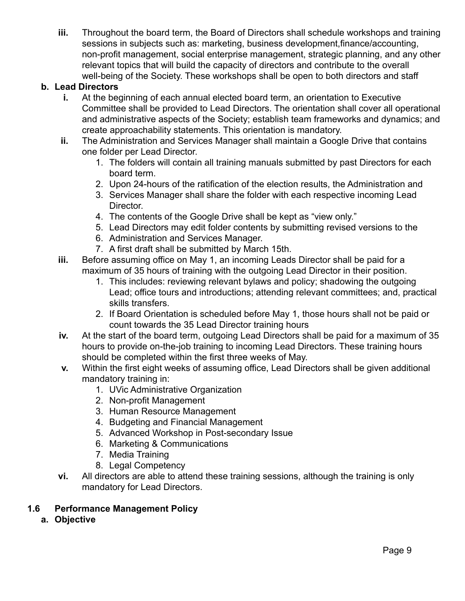**iii.** Throughout the board term, the Board of Directors shall schedule workshops and training sessions in subjects such as: marketing, business development,finance/accounting, non-profit management, social enterprise management, strategic planning, and any other relevant topics that will build the capacity of directors and contribute to the overall well-being of the Society. These workshops shall be open to both directors and staff

## **b. Lead Directors**

- **i.** At the beginning of each annual elected board term, an orientation to Executive Committee shall be provided to Lead Directors. The orientation shall cover all operational and administrative aspects of the Society; establish team frameworks and dynamics; and create approachability statements. This orientation is mandatory.
- **ii.** The Administration and Services Manager shall maintain a Google Drive that contains one folder per Lead Director.
	- 1. The folders will contain all training manuals submitted by past Directors for each board term.
	- 2. Upon 24-hours of the ratification of the election results, the Administration and
	- 3. Services Manager shall share the folder with each respective incoming Lead Director.
	- 4. The contents of the Google Drive shall be kept as "view only."
	- 5. Lead Directors may edit folder contents by submitting revised versions to the
	- 6. Administration and Services Manager.
	- 7. A first draft shall be submitted by March 15th.
- **iii.** Before assuming office on May 1, an incoming Leads Director shall be paid for a maximum of 35 hours of training with the outgoing Lead Director in their position.
	- 1. This includes: reviewing relevant bylaws and policy; shadowing the outgoing Lead; office tours and introductions; attending relevant committees; and, practical skills transfers.
	- 2. If Board Orientation is scheduled before May 1, those hours shall not be paid or count towards the 35 Lead Director training hours
- **iv.** At the start of the board term, outgoing Lead Directors shall be paid for a maximum of 35 hours to provide on-the-job training to incoming Lead Directors. These training hours should be completed within the first three weeks of May.
- **v.** Within the first eight weeks of assuming office, Lead Directors shall be given additional mandatory training in:
	- 1. UVic Administrative Organization
	- 2. Non-profit Management
	- 3. Human Resource Management
	- 4. Budgeting and Financial Management
	- 5. Advanced Workshop in Post-secondary Issue
	- 6. Marketing & Communications
	- 7. Media Training
	- 8. Legal Competency
- **vi.** All directors are able to attend these training sessions, although the training is only mandatory for Lead Directors.

## <span id="page-9-0"></span>**1.6 Performance Management Policy**

**a. Objective**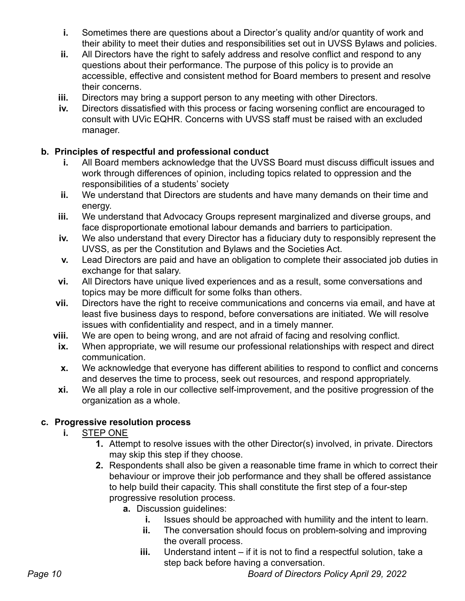- **i.** Sometimes there are questions about a Director's quality and/or quantity of work and their ability to meet their duties and responsibilities set out in UVSS Bylaws and policies.
- **ii.** All Directors have the right to safely address and resolve conflict and respond to any questions about their performance. The purpose of this policy is to provide an accessible, effective and consistent method for Board members to present and resolve their concerns.
- **iii.** Directors may bring a support person to any meeting with other Directors.
- **iv.** Directors dissatisfied with this process or facing worsening conflict are encouraged to consult with UVic EQHR. Concerns with UVSS staff must be raised with an excluded manager.

## **b. Principles of respectful and professional conduct**

- **i.** All Board members acknowledge that the UVSS Board must discuss difficult issues and work through differences of opinion, including topics related to oppression and the responsibilities of a students' society
- **ii.** We understand that Directors are students and have many demands on their time and energy.
- **iii.** We understand that Advocacy Groups represent marginalized and diverse groups, and face disproportionate emotional labour demands and barriers to participation.
- **iv.** We also understand that every Director has a fiduciary duty to responsibly represent the UVSS, as per the Constitution and Bylaws and the Societies Act.
- **v.** Lead Directors are paid and have an obligation to complete their associated job duties in exchange for that salary.
- **vi.** All Directors have unique lived experiences and as a result, some conversations and topics may be more difficult for some folks than others.
- **vii.** Directors have the right to receive communications and concerns via email, and have at least five business days to respond, before conversations are initiated. We will resolve issues with confidentiality and respect, and in a timely manner.
- **viii.** We are open to being wrong, and are not afraid of facing and resolving conflict.
- **ix.** When appropriate, we will resume our professional relationships with respect and direct communication.
- **x.** We acknowledge that everyone has different abilities to respond to conflict and concerns and deserves the time to process, seek out resources, and respond appropriately.
- **xi.** We all play a role in our collective self-improvement, and the positive progression of the organization as a whole.

# **c. Progressive resolution process**

- **i.** STEP ONE
	- **1.** Attempt to resolve issues with the other Director(s) involved, in private. Directors may skip this step if they choose.
	- **2.** Respondents shall also be given a reasonable time frame in which to correct their behaviour or improve their job performance and they shall be offered assistance to help build their capacity. This shall constitute the first step of a four-step progressive resolution process.
		- **a.** Discussion guidelines:
			- **i.** Issues should be approached with humility and the intent to learn.
			- **ii.** The conversation should focus on problem-solving and improving the overall process.
			- **iii.** Understand intent if it is not to find a respectful solution, take a step back before having a conversation.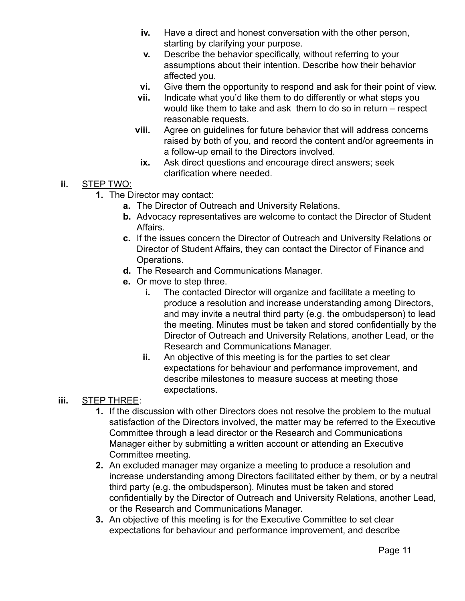- **iv.** Have a direct and honest conversation with the other person, starting by clarifying your purpose.
- **v.** Describe the behavior specifically, without referring to your assumptions about their intention. Describe how their behavior affected you.
- **vi.** Give them the opportunity to respond and ask for their point of view.
- **vii.** Indicate what you'd like them to do differently or what steps you would like them to take and ask them to do so in return – respect reasonable requests.
- **viii.** Agree on guidelines for future behavior that will address concerns raised by both of you, and record the content and/or agreements in a follow-up email to the Directors involved.
	- **ix.** Ask direct questions and encourage direct answers; seek clarification where needed.
- **ii.** STEP TWO:
	- **1.** The Director may contact:
		- **a.** The Director of Outreach and University Relations.
		- **b.** Advocacy representatives are welcome to contact the Director of Student Affairs.
		- **c.** If the issues concern the Director of Outreach and University Relations or Director of Student Affairs, they can contact the Director of Finance and Operations.
		- **d.** The Research and Communications Manager.
		- **e.** Or move to step three.
			- **i.** The contacted Director will organize and facilitate a meeting to produce a resolution and increase understanding among Directors, and may invite a neutral third party (e.g. the ombudsperson) to lead the meeting. Minutes must be taken and stored confidentially by the Director of Outreach and University Relations, another Lead, or the Research and Communications Manager.
			- **ii.** An objective of this meeting is for the parties to set clear expectations for behaviour and performance improvement, and describe milestones to measure success at meeting those expectations.
- **iii.** STEP THREE:
	- **1.** If the discussion with other Directors does not resolve the problem to the mutual satisfaction of the Directors involved, the matter may be referred to the Executive Committee through a lead director or the Research and Communications Manager either by submitting a written account or attending an Executive Committee meeting.
	- **2.** An excluded manager may organize a meeting to produce a resolution and increase understanding among Directors facilitated either by them, or by a neutral third party (e.g. the ombudsperson). Minutes must be taken and stored confidentially by the Director of Outreach and University Relations, another Lead, or the Research and Communications Manager.
	- **3.** An objective of this meeting is for the Executive Committee to set clear expectations for behaviour and performance improvement, and describe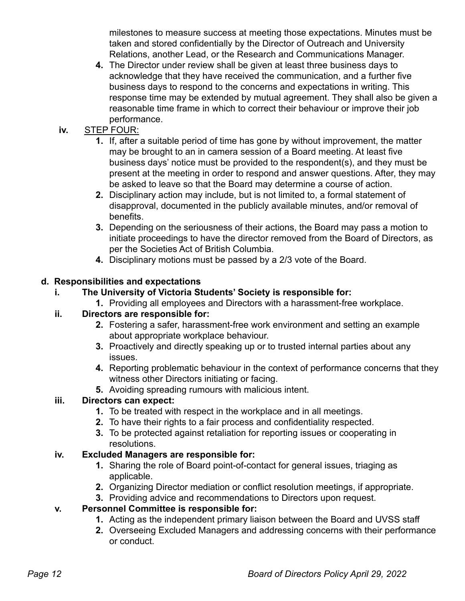milestones to measure success at meeting those expectations. Minutes must be taken and stored confidentially by the Director of Outreach and University Relations, another Lead, or the Research and Communications Manager.

**4.** The Director under review shall be given at least three business days to acknowledge that they have received the communication, and a further five business days to respond to the concerns and expectations in writing. This response time may be extended by mutual agreement. They shall also be given a reasonable time frame in which to correct their behaviour or improve their job performance.

# **iv.** STEP FOUR:

- **1.** If, after a suitable period of time has gone by without improvement, the matter may be brought to an in camera session of a Board meeting. At least five business days' notice must be provided to the respondent(s), and they must be present at the meeting in order to respond and answer questions. After, they may be asked to leave so that the Board may determine a course of action.
- **2.** Disciplinary action may include, but is not limited to, a formal statement of disapproval, documented in the publicly available minutes, and/or removal of benefits.
- **3.** Depending on the seriousness of their actions, the Board may pass a motion to initiate proceedings to have the director removed from the Board of Directors, as per the Societies Act of British Columbia.
- **4.** Disciplinary motions must be passed by a 2/3 vote of the Board.

# **d. Responsibilities and expectations**

# **i. The University of Victoria Students' Society is responsible for:**

**1.** Providing all employees and Directors with a harassment-free workplace.

# **ii. Directors are responsible for:**

- **2.** Fostering a safer, harassment-free work environment and setting an example about appropriate workplace behaviour.
- **3.** Proactively and directly speaking up or to trusted internal parties about any issues.
- **4.** Reporting problematic behaviour in the context of performance concerns that they witness other Directors initiating or facing.
- **5.** Avoiding spreading rumours with malicious intent.

# **iii. Directors can expect:**

- **1.** To be treated with respect in the workplace and in all meetings.
- **2.** To have their rights to a fair process and confidentiality respected.
- **3.** To be protected against retaliation for reporting issues or cooperating in resolutions.

# **iv. Excluded Managers are responsible for:**

- **1.** Sharing the role of Board point-of-contact for general issues, triaging as applicable.
- **2.** Organizing Director mediation or conflict resolution meetings, if appropriate.
- **3.** Providing advice and recommendations to Directors upon request.

# **v. Personnel Committee is responsible for:**

- **1.** Acting as the independent primary liaison between the Board and UVSS staff
- **2.** Overseeing Excluded Managers and addressing concerns with their performance or conduct.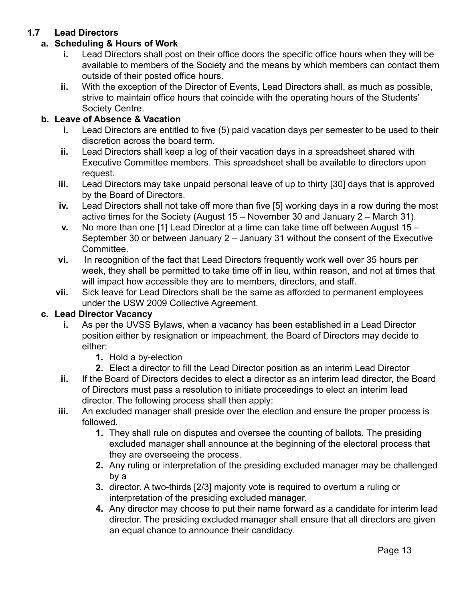## <span id="page-13-0"></span>**1.7 Lead Directors**

## **a. Scheduling & Hours of Work**

- **i.** Lead Directors shall post on their office doors the specific office hours when they will be available to members of the Society and the means by which members can contact them outside of their posted office hours.
- **ii.** With the exception of the Director of Events, Lead Directors shall, as much as possible, strive to maintain office hours that coincide with the operating hours of the Students' Society Centre.

## **b. Leave of Absence & Vacation**

- **i.** Lead Directors are entitled to five (5) paid vacation days per semester to be used to their discretion across the board term.
- **ii.** Lead Directors shall keep a log of their vacation days in a spreadsheet shared with Executive Committee members. This spreadsheet shall be available to directors upon request.
- **iii.** Lead Directors may take unpaid personal leave of up to thirty [30] days that is approved by the Board of Directors.
- **iv.** Lead Directors shall not take off more than five [5] working days in a row during the most active times for the Society (August 15 – November 30 and January 2 – March 31).
- **v.** No more than one [1] Lead Director at a time can take time off between August 15 September 30 or between January 2 – January 31 without the consent of the Executive Committee.
- **vi.** In recognition of the fact that Lead Directors frequently work well over 35 hours per week, they shall be permitted to take time off in lieu, within reason, and not at times that will impact how accessible they are to members, directors, and staff.
- **vii.** Sick leave for Lead Directors shall be the same as afforded to permanent employees under the USW 2009 Collective Agreement.

#### **c. Lead Director Vacancy**

- **i.** As per the UVSS Bylaws, when a vacancy has been established in a Lead Director position either by resignation or impeachment, the Board of Directors may decide to either:
	- **1.** Hold a by-election
	- **2.** Elect a director to fill the Lead Director position as an interim Lead Director
- **ii.** If the Board of Directors decides to elect a director as an interim lead director, the Board of Directors must pass a resolution to initiate proceedings to elect an interim lead director. The following process shall then apply:
- **iii.** An excluded manager shall preside over the election and ensure the proper process is followed.
	- **1.** They shall rule on disputes and oversee the counting of ballots. The presiding excluded manager shall announce at the beginning of the electoral process that they are overseeing the process.
	- **2.** Any ruling or interpretation of the presiding excluded manager may be challenged by a
	- **3.** director. A two-thirds [2/3] majority vote is required to overturn a ruling or interpretation of the presiding excluded manager.
	- **4.** Any director may choose to put their name forward as a candidate for interim lead director. The presiding excluded manager shall ensure that all directors are given an equal chance to announce their candidacy.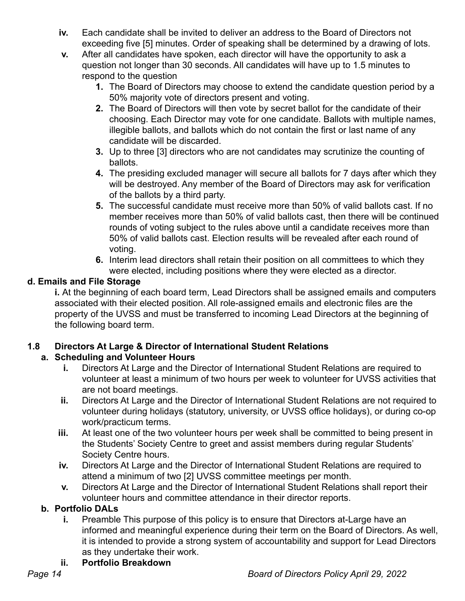- **iv.** Each candidate shall be invited to deliver an address to the Board of Directors not exceeding five [5] minutes. Order of speaking shall be determined by a drawing of lots.
- **v.** After all candidates have spoken, each director will have the opportunity to ask a question not longer than 30 seconds. All candidates will have up to 1.5 minutes to respond to the question
	- **1.** The Board of Directors may choose to extend the candidate question period by a 50% majority vote of directors present and voting.
	- **2.** The Board of Directors will then vote by secret ballot for the candidate of their choosing. Each Director may vote for one candidate. Ballots with multiple names, illegible ballots, and ballots which do not contain the first or last name of any candidate will be discarded.
	- **3.** Up to three [3] directors who are not candidates may scrutinize the counting of ballots.
	- **4.** The presiding excluded manager will secure all ballots for 7 days after which they will be destroyed. Any member of the Board of Directors may ask for verification of the ballots by a third party.
	- **5.** The successful candidate must receive more than 50% of valid ballots cast. If no member receives more than 50% of valid ballots cast, then there will be continued rounds of voting subject to the rules above until a candidate receives more than 50% of valid ballots cast. Election results will be revealed after each round of voting.
	- **6.** Interim lead directors shall retain their position on all committees to which they were elected, including positions where they were elected as a director.

# **d. Emails and File Storage**

**i.** At the beginning of each board term, Lead Directors shall be assigned emails and computers associated with their elected position. All role-assigned emails and electronic files are the property of the UVSS and must be transferred to incoming Lead Directors at the beginning of the following board term.

# <span id="page-14-0"></span>**1.8 Directors At Large & Director of International Student Relations**

# **a. Scheduling and Volunteer Hours**

- **i.** Directors At Large and the Director of International Student Relations are required to volunteer at least a minimum of two hours per week to volunteer for UVSS activities that are not board meetings.
- **ii.** Directors At Large and the Director of International Student Relations are not required to volunteer during holidays (statutory, university, or UVSS office holidays), or during co-op work/practicum terms.
- **iii.** At least one of the two volunteer hours per week shall be committed to being present in the Students' Society Centre to greet and assist members during regular Students' Society Centre hours.
- **iv.** Directors At Large and the Director of International Student Relations are required to attend a minimum of two [2] UVSS committee meetings per month.
- **v.** Directors At Large and the Director of International Student Relations shall report their volunteer hours and committee attendance in their director reports.

# **b. Portfolio DALs**

- **i.** Preamble This purpose of this policy is to ensure that Directors at-Large have an informed and meaningful experience during their term on the Board of Directors. As well, it is intended to provide a strong system of accountability and support for Lead Directors as they undertake their work.
- **ii. Portfolio Breakdown**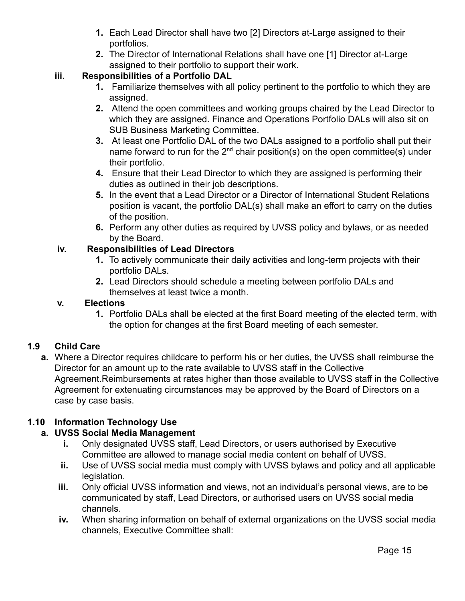- **1.** Each Lead Director shall have two [2] Directors at-Large assigned to their portfolios.
- **2.** The Director of International Relations shall have one [1] Director at-Large assigned to their portfolio to support their work.

# **iii. Responsibilities of a Portfolio DAL**

- **1.** Familiarize themselves with all policy pertinent to the portfolio to which they are assigned.
- **2.** Attend the open committees and working groups chaired by the Lead Director to which they are assigned. Finance and Operations Portfolio DALs will also sit on SUB Business Marketing Committee.
- **3.** At least one Portfolio DAL of the two DALs assigned to a portfolio shall put their name forward to run for the  $2^{nd}$  chair position(s) on the open committee(s) under their portfolio.
- **4.** Ensure that their Lead Director to which they are assigned is performing their duties as outlined in their job descriptions.
- **5.** In the event that a Lead Director or a Director of International Student Relations position is vacant, the portfolio DAL(s) shall make an effort to carry on the duties of the position.
- **6.** Perform any other duties as required by UVSS policy and bylaws, or as needed by the Board.

## **iv. Responsibilities of Lead Directors**

- **1.** To actively communicate their daily activities and long-term projects with their portfolio DALs.
- **2.** Lead Directors should schedule a meeting between portfolio DALs and themselves at least twice a month.

## **v. Elections**

**1.** Portfolio DALs shall be elected at the first Board meeting of the elected term, with the option for changes at the first Board meeting of each semester.

# <span id="page-15-0"></span>**1.9 Child Care**

**a.** Where a Director requires childcare to perform his or her duties, the UVSS shall reimburse the Director for an amount up to the rate available to UVSS staff in the Collective Agreement.Reimbursements at rates higher than those available to UVSS staff in the Collective Agreement for extenuating circumstances may be approved by the Board of Directors on a case by case basis.

# <span id="page-15-1"></span>**1.10 Information Technology Use**

# **a. UVSS Social Media Management**

- **i.** Only designated UVSS staff, Lead Directors, or users authorised by Executive Committee are allowed to manage social media content on behalf of UVSS.
- **ii.** Use of UVSS social media must comply with UVSS bylaws and policy and all applicable legislation.
- **iii.** Only official UVSS information and views, not an individual's personal views, are to be communicated by staff, Lead Directors, or authorised users on UVSS social media channels.
- **iv.** When sharing information on behalf of external organizations on the UVSS social media channels, Executive Committee shall: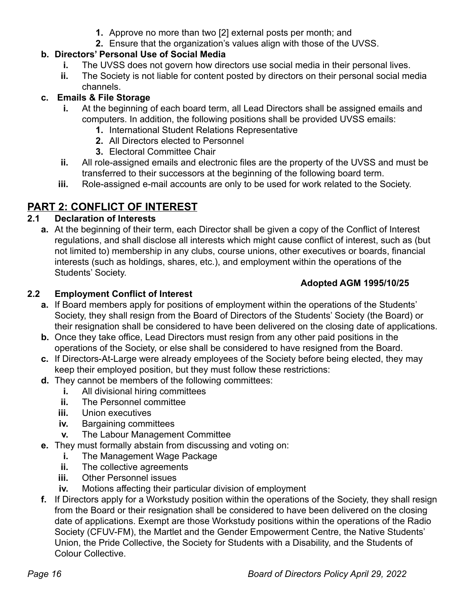- **1.** Approve no more than two [2] external posts per month; and
- **2.** Ensure that the organization's values align with those of the UVSS.

# **b. Directors' Personal Use of Social Media**

- **i.** The UVSS does not govern how directors use social media in their personal lives.
- **ii.** The Society is not liable for content posted by directors on their personal social media channels.

## **c. Emails & File Storage**

- **i.** At the beginning of each board term, all Lead Directors shall be assigned emails and computers. In addition, the following positions shall be provided UVSS emails:
	- **1.** International Student Relations Representative
	- **2.** All Directors elected to Personnel
	- **3.** Electoral Committee Chair
- **ii.** All role-assigned emails and electronic files are the property of the UVSS and must be transferred to their successors at the beginning of the following board term.
- **iii.** Role-assigned e-mail accounts are only to be used for work related to the Society.

# <span id="page-16-0"></span>**PART 2: CONFLICT OF INTEREST**

## <span id="page-16-1"></span>**2.1 Declaration of Interests**

**a.** At the beginning of their term, each Director shall be given a copy of the Conflict of Interest regulations, and shall disclose all interests which might cause conflict of interest, such as (but not limited to) membership in any clubs, course unions, other executives or boards, financial interests (such as holdings, shares, etc.), and employment within the operations of the Students' Society.

## **Adopted AGM 1995/10/25**

# <span id="page-16-2"></span>**2.2 Employment Conflict of Interest**

- **a.** If Board members apply for positions of employment within the operations of the Students' Society, they shall resign from the Board of Directors of the Students' Society (the Board) or their resignation shall be considered to have been delivered on the closing date of applications.
- **b.** Once they take office, Lead Directors must resign from any other paid positions in the operations of the Society, or else shall be considered to have resigned from the Board.
- **c.** If Directors-At-Large were already employees of the Society before being elected, they may keep their employed position, but they must follow these restrictions:
- **d.** They cannot be members of the following committees:
	- **i.** All divisional hiring committees
	- **ii.** The Personnel committee
	- **iii.** Union executives
	- **iv.** Bargaining committees
	- **v.** The Labour Management Committee
- **e.** They must formally abstain from discussing and voting on:
	- **i.** The Management Wage Package
	- **ii.** The collective agreements
	- **iii.** Other Personnel issues
	- **iv.** Motions affecting their particular division of employment
- **f.** If Directors apply for a Workstudy position within the operations of the Society, they shall resign from the Board or their resignation shall be considered to have been delivered on the closing date of applications. Exempt are those Workstudy positions within the operations of the Radio Society (CFUV-FM), the Martlet and the Gender Empowerment Centre, the Native Students' Union, the Pride Collective, the Society for Students with a Disability, and the Students of Colour Collective.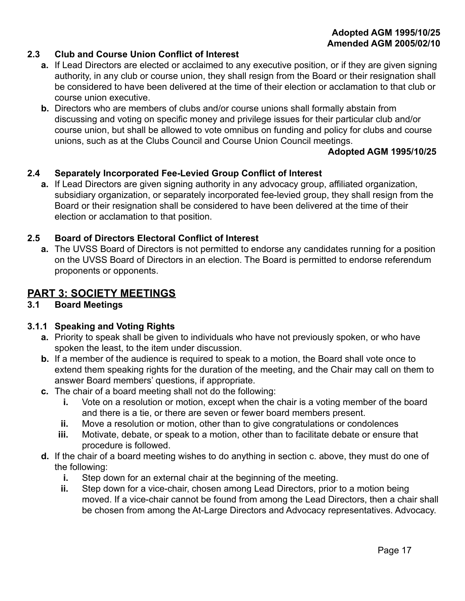#### **Adopted AGM 1995/10/25 Amended AGM 2005/02/10**

## <span id="page-17-0"></span>**2.3 Club and Course Union Conflict of Interest**

- **a.** If Lead Directors are elected or acclaimed to any executive position, or if they are given signing authority, in any club or course union, they shall resign from the Board or their resignation shall be considered to have been delivered at the time of their election or acclamation to that club or course union executive.
- **b.** Directors who are members of clubs and/or course unions shall formally abstain from discussing and voting on specific money and privilege issues for their particular club and/or course union, but shall be allowed to vote omnibus on funding and policy for clubs and course unions, such as at the Clubs Council and Course Union Council meetings.

#### **Adopted AGM 1995/10/25**

#### <span id="page-17-1"></span>**2.4 Separately Incorporated Fee-Levied Group Conflict of Interest**

**a.** If Lead Directors are given signing authority in any advocacy group, affiliated organization, subsidiary organization, or separately incorporated fee-levied group, they shall resign from the Board or their resignation shall be considered to have been delivered at the time of their election or acclamation to that position.

#### <span id="page-17-2"></span>**2.5 Board of Directors Electoral Conflict of Interest**

**a.** The UVSS Board of Directors is not permitted to endorse any candidates running for a position on the UVSS Board of Directors in an election. The Board is permitted to endorse referendum proponents or opponents.

## <span id="page-17-3"></span>**PART 3: SOCIETY MEETINGS**

## <span id="page-17-4"></span>**3.1 Board Meetings**

#### <span id="page-17-5"></span>**3.1.1 Speaking and Voting Rights**

- **a.** Priority to speak shall be given to individuals who have not previously spoken, or who have spoken the least, to the item under discussion.
- **b.** If a member of the audience is required to speak to a motion, the Board shall vote once to extend them speaking rights for the duration of the meeting, and the Chair may call on them to answer Board members' questions, if appropriate.
- **c.** The chair of a board meeting shall not do the following:
	- **i.** Vote on a resolution or motion, except when the chair is a voting member of the board and there is a tie, or there are seven or fewer board members present.
	- **ii.** Move a resolution or motion, other than to give congratulations or condolences
	- **iii.** Motivate, debate, or speak to a motion, other than to facilitate debate or ensure that procedure is followed.
- **d.** If the chair of a board meeting wishes to do anything in section c. above, they must do one of the following:
	- **i.** Step down for an external chair at the beginning of the meeting.
	- **ii.** Step down for a vice-chair, chosen among Lead Directors, prior to a motion being moved. If a vice-chair cannot be found from among the Lead Directors, then a chair shall be chosen from among the At-Large Directors and Advocacy representatives. Advocacy.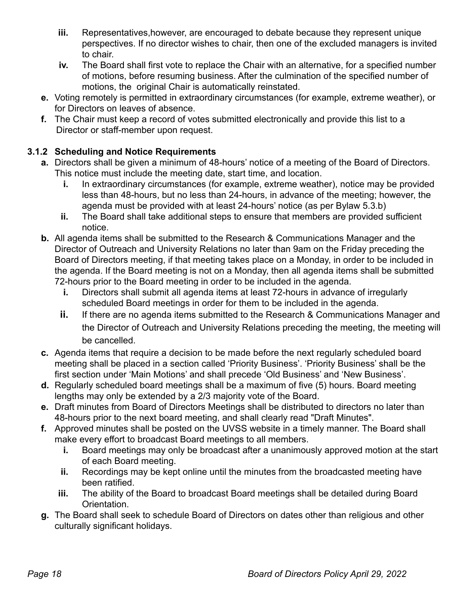- **iii.** Representatives, however, are encouraged to debate because they represent unique perspectives. If no director wishes to chair, then one of the excluded managers is invited to chair.
- **iv.** The Board shall first vote to replace the Chair with an alternative, for a specified number of motions, before resuming business. After the culmination of the specified number of motions, the original Chair is automatically reinstated.
- **e.** Voting remotely is permitted in extraordinary circumstances (for example, extreme weather), or for Directors on leaves of absence.
- **f.** The Chair must keep a record of votes submitted electronically and provide this list to a Director or staff-member upon request.

# <span id="page-18-0"></span>**3.1.2 Scheduling and Notice Requirements**

- **a.** Directors shall be given a minimum of 48-hours' notice of a meeting of the Board of Directors. This notice must include the meeting date, start time, and location.
	- **i.** In extraordinary circumstances (for example, extreme weather), notice may be provided less than 48-hours, but no less than 24-hours, in advance of the meeting; however, the agenda must be provided with at least 24-hours' notice (as per Bylaw 5.3.b)
	- **ii.** The Board shall take additional steps to ensure that members are provided sufficient notice.
- **b.** All agenda items shall be submitted to the Research & Communications Manager and the Director of Outreach and University Relations no later than 9am on the Friday preceding the Board of Directors meeting, if that meeting takes place on a Monday, in order to be included in the agenda. If the Board meeting is not on a Monday, then all agenda items shall be submitted 72-hours prior to the Board meeting in order to be included in the agenda.
	- **i.** Directors shall submit all agenda items at least 72-hours in advance of irregularly scheduled Board meetings in order for them to be included in the agenda.
	- **ii.** If there are no agenda items submitted to the Research & Communications Manager and the Director of Outreach and University Relations preceding the meeting, the meeting will be cancelled.
- **c.** Agenda items that require a decision to be made before the next regularly scheduled board meeting shall be placed in a section called 'Priority Business'. 'Priority Business' shall be the first section under 'Main Motions' and shall precede 'Old Business' and 'New Business'.
- **d.** Regularly scheduled board meetings shall be a maximum of five (5) hours. Board meeting lengths may only be extended by a 2/3 majority vote of the Board.
- **e.** Draft minutes from Board of Directors Meetings shall be distributed to directors no later than 48-hours prior to the next board meeting, and shall clearly read "Draft Minutes".
- **f.** Approved minutes shall be posted on the UVSS website in a timely manner. The Board shall make every effort to broadcast Board meetings to all members.
	- **i.** Board meetings may only be broadcast after a unanimously approved motion at the start of each Board meeting.
	- **ii.** Recordings may be kept online until the minutes from the broadcasted meeting have been ratified.
	- **iii.** The ability of the Board to broadcast Board meetings shall be detailed during Board Orientation.
- **g.** The Board shall seek to schedule Board of Directors on dates other than religious and other culturally significant holidays.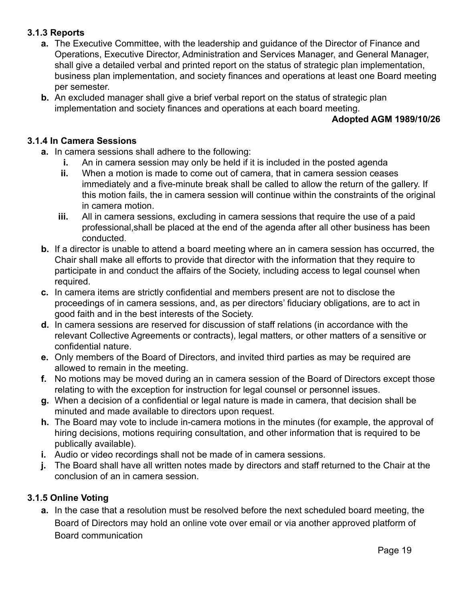## <span id="page-19-0"></span>**3.1.3 Reports**

- **a.** The Executive Committee, with the leadership and guidance of the Director of Finance and Operations, Executive Director, Administration and Services Manager, and General Manager, shall give a detailed verbal and printed report on the status of strategic plan implementation, business plan implementation, and society finances and operations at least one Board meeting per semester.
- **b.** An excluded manager shall give a brief verbal report on the status of strategic plan implementation and society finances and operations at each board meeting.

## **Adopted AGM 1989/10/26**

## <span id="page-19-1"></span>**3.1.4 In Camera Sessions**

- **a.** In camera sessions shall adhere to the following:
	- **i.** An in camera session may only be held if it is included in the posted agenda
	- **ii.** When a motion is made to come out of camera, that in camera session ceases immediately and a five-minute break shall be called to allow the return of the gallery. If this motion fails, the in camera session will continue within the constraints of the original in camera motion.
	- **iii.** All in camera sessions, excluding in camera sessions that require the use of a paid professional,shall be placed at the end of the agenda after all other business has been conducted.
- **b.** If a director is unable to attend a board meeting where an in camera session has occurred, the Chair shall make all efforts to provide that director with the information that they require to participate in and conduct the affairs of the Society, including access to legal counsel when required.
- **c.** In camera items are strictly confidential and members present are not to disclose the proceedings of in camera sessions, and, as per directors' fiduciary obligations, are to act in good faith and in the best interests of the Society.
- **d.** In camera sessions are reserved for discussion of staff relations (in accordance with the relevant Collective Agreements or contracts), legal matters, or other matters of a sensitive or confidential nature.
- **e.** Only members of the Board of Directors, and invited third parties as may be required are allowed to remain in the meeting.
- **f.** No motions may be moved during an in camera session of the Board of Directors except those relating to with the exception for instruction for legal counsel or personnel issues.
- **g.** When a decision of a confidential or legal nature is made in camera, that decision shall be minuted and made available to directors upon request.
- **h.** The Board may vote to include in-camera motions in the minutes (for example, the approval of hiring decisions, motions requiring consultation, and other information that is required to be publically available).
- **i.** Audio or video recordings shall not be made of in camera sessions.
- **j.** The Board shall have all written notes made by directors and staff returned to the Chair at the conclusion of an in camera session.

## <span id="page-19-2"></span>**3.1.5 Online Voting**

**a.** In the case that a resolution must be resolved before the next scheduled board meeting, the Board of Directors may hold an online vote over email or via another approved platform of Board communication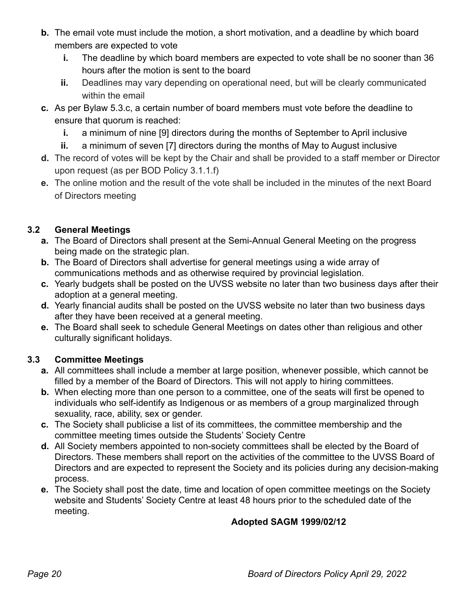- **b.** The email vote must include the motion, a short motivation, and a deadline by which board members are expected to vote
	- **i.** The deadline by which board members are expected to vote shall be no sooner than 36 hours after the motion is sent to the board
	- **ii.** Deadlines may vary depending on operational need, but will be clearly communicated within the email
- **c.** As per Bylaw 5.3.c, a certain number of board members must vote before the deadline to ensure that quorum is reached:
	- **i.** a minimum of nine [9] directors during the months of September to April inclusive
	- **ii.** a minimum of seven [7] directors during the months of May to August inclusive
- **d.** The record of votes will be kept by the Chair and shall be provided to a staff member or Director upon request (as per BOD Policy 3.1.1.f)
- **e.** The online motion and the result of the vote shall be included in the minutes of the next Board of Directors meeting

# <span id="page-20-0"></span>**3.2 General Meetings**

- **a.** The Board of Directors shall present at the Semi-Annual General Meeting on the progress being made on the strategic plan.
- **b.** The Board of Directors shall advertise for general meetings using a wide array of communications methods and as otherwise required by provincial legislation.
- **c.** Yearly budgets shall be posted on the UVSS website no later than two business days after their adoption at a general meeting.
- **d.** Yearly financial audits shall be posted on the UVSS website no later than two business days after they have been received at a general meeting.
- **e.** The Board shall seek to schedule General Meetings on dates other than religious and other culturally significant holidays.

# <span id="page-20-1"></span>**3.3 Committee Meetings**

- **a.** All committees shall include a member at large position, whenever possible, which cannot be filled by a member of the Board of Directors. This will not apply to hiring committees.
- **b.** When electing more than one person to a committee, one of the seats will first be opened to individuals who self-identify as Indigenous or as members of a group marginalized through sexuality, race, ability, sex or gender.
- **c.** The Society shall publicise a list of its committees, the committee membership and the committee meeting times outside the Students' Society Centre
- **d.** All Society members appointed to non-society committees shall be elected by the Board of Directors. These members shall report on the activities of the committee to the UVSS Board of Directors and are expected to represent the Society and its policies during any decision-making process.
- **e.** The Society shall post the date, time and location of open committee meetings on the Society website and Students' Society Centre at least 48 hours prior to the scheduled date of the meeting.

# **Adopted SAGM 1999/02/12**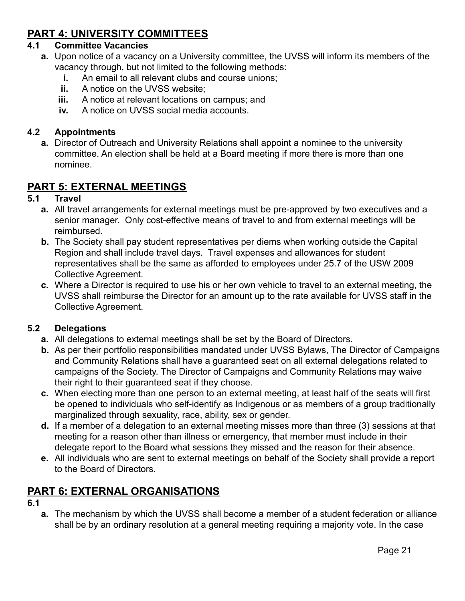# <span id="page-21-0"></span>**PART 4: UNIVERSITY COMMITTEES**

#### <span id="page-21-1"></span>**4.1 Committee Vacancies**

- **a.** Upon notice of a vacancy on a University committee, the UVSS will inform its members of the vacancy through, but not limited to the following methods:
	- **i.** An email to all relevant clubs and course unions;
	- **ii.** A notice on the UVSS website:
	- **iii.** A notice at relevant locations on campus; and
	- **iv.** A notice on UVSS social media accounts.

## <span id="page-21-2"></span>**4.2 Appointments**

**a.** Director of Outreach and University Relations shall appoint a nominee to the university committee. An election shall be held at a Board meeting if more there is more than one nominee.

# <span id="page-21-3"></span>**PART 5: EXTERNAL MEETINGS**

#### <span id="page-21-4"></span>**5.1 Travel**

- **a.** All travel arrangements for external meetings must be pre-approved by two executives and a senior manager. Only cost-effective means of travel to and from external meetings will be reimbursed.
- **b.** The Society shall pay student representatives per diems when working outside the Capital Region and shall include travel days. Travel expenses and allowances for student representatives shall be the same as afforded to employees under 25.7 of the USW 2009 Collective Agreement.
- **c.** Where a Director is required to use his or her own vehicle to travel to an external meeting, the UVSS shall reimburse the Director for an amount up to the rate available for UVSS staff in the Collective Agreement.

## <span id="page-21-5"></span>**5.2 Delegations**

- **a.** All delegations to external meetings shall be set by the Board of Directors.
- **b.** As per their portfolio responsibilities mandated under UVSS Bylaws, The Director of Campaigns and Community Relations shall have a guaranteed seat on all external delegations related to campaigns of the Society. The Director of Campaigns and Community Relations may waive their right to their guaranteed seat if they choose.
- **c.** When electing more than one person to an external meeting, at least half of the seats will first be opened to individuals who self-identify as Indigenous or as members of a group traditionally marginalized through sexuality, race, ability, sex or gender.
- **d.** If a member of a delegation to an external meeting misses more than three (3) sessions at that meeting for a reason other than illness or emergency, that member must include in their delegate report to the Board what sessions they missed and the reason for their absence.
- **e.** All individuals who are sent to external meetings on behalf of the Society shall provide a report to the Board of Directors.

# <span id="page-21-6"></span>**PART 6: EXTERNAL ORGANISATIONS**

#### **6.1**

**a.** The mechanism by which the UVSS shall become a member of a student federation or alliance shall be by an ordinary resolution at a general meeting requiring a majority vote. In the case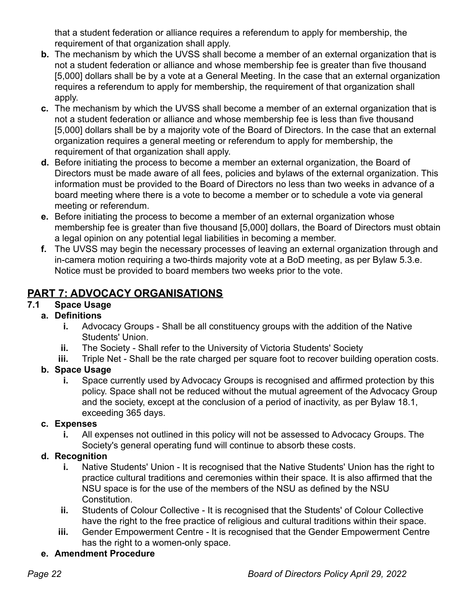that a student federation or alliance requires a referendum to apply for membership, the requirement of that organization shall apply.

- **b.** The mechanism by which the UVSS shall become a member of an external organization that is not a student federation or alliance and whose membership fee is greater than five thousand [5,000] dollars shall be by a vote at a General Meeting. In the case that an external organization requires a referendum to apply for membership, the requirement of that organization shall apply.
- **c.** The mechanism by which the UVSS shall become a member of an external organization that is not a student federation or alliance and whose membership fee is less than five thousand [5,000] dollars shall be by a majority vote of the Board of Directors. In the case that an external organization requires a general meeting or referendum to apply for membership, the requirement of that organization shall apply.
- **d.** Before initiating the process to become a member an external organization, the Board of Directors must be made aware of all fees, policies and bylaws of the external organization. This information must be provided to the Board of Directors no less than two weeks in advance of a board meeting where there is a vote to become a member or to schedule a vote via general meeting or referendum.
- **e.** Before initiating the process to become a member of an external organization whose membership fee is greater than five thousand [5,000] dollars, the Board of Directors must obtain a legal opinion on any potential legal liabilities in becoming a member.
- **f.** The UVSS may begin the necessary processes of leaving an external organization through and in-camera motion requiring a two-thirds majority vote at a BoD meeting, as per Bylaw 5.3.e. Notice must be provided to board members two weeks prior to the vote.

# <span id="page-22-0"></span>**PART 7: ADVOCACY ORGANISATIONS**

# <span id="page-22-1"></span>**7.1 Space Usage**

- **a. Definitions i.** Advocacy Groups - Shall be all constituency groups with the addition of the Native Students' Union.
	- **ii.** The Society Shall refer to the University of Victoria Students' Society
	- **iii.** Triple Net Shall be the rate charged per square foot to recover building operation costs.

# **b. Space Usage**

**i.** Space currently used by Advocacy Groups is recognised and affirmed protection by this policy. Space shall not be reduced without the mutual agreement of the Advocacy Group and the society, except at the conclusion of a period of inactivity, as per Bylaw 18.1, exceeding 365 days.

# **c. Expenses**

**i.** All expenses not outlined in this policy will not be assessed to Advocacy Groups. The Society's general operating fund will continue to absorb these costs.

# **d. Recognition**

- **i.** Native Students' Union It is recognised that the Native Students' Union has the right to practice cultural traditions and ceremonies within their space. It is also affirmed that the NSU space is for the use of the members of the NSU as defined by the NSU Constitution.
- **ii.** Students of Colour Collective It is recognised that the Students' of Colour Collective have the right to the free practice of religious and cultural traditions within their space.
- **iii.** Gender Empowerment Centre It is recognised that the Gender Empowerment Centre has the right to a women-only space.
- **e. Amendment Procedure**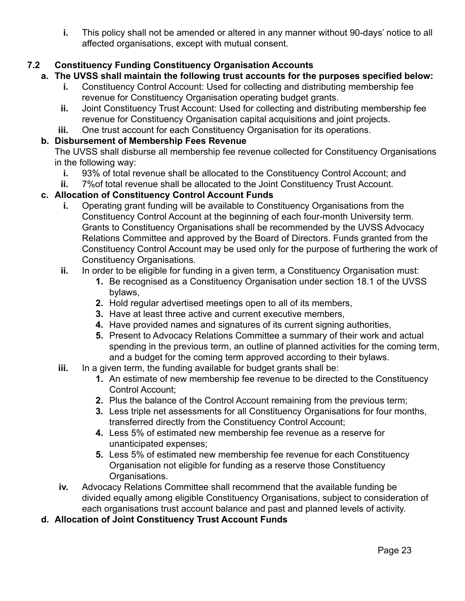**i.** This policy shall not be amended or altered in any manner without 90-days' notice to all affected organisations, except with mutual consent.

# <span id="page-23-0"></span>**7.2 Constituency Funding Constituency Organisation Accounts**

- **a. The UVSS shall maintain the following trust accounts for the purposes specified below:**
	- **i.** Constituency Control Account: Used for collecting and distributing membership fee revenue for Constituency Organisation operating budget grants.
	- **ii.** Joint Constituency Trust Account: Used for collecting and distributing membership fee revenue for Constituency Organisation capital acquisitions and joint projects.
	- **iii.** One trust account for each Constituency Organisation for its operations.

## **b. Disbursement of Membership Fees Revenue**

The UVSS shall disburse all membership fee revenue collected for Constituency Organisations in the following way:

- **i.** 93% of total revenue shall be allocated to the Constituency Control Account; and
- **ii.** 7%of total revenue shall be allocated to the Joint Constituency Trust Account.

## **c. Allocation of Constituency Control Account Funds**

- **i.** Operating grant funding will be available to Constituency Organisations from the Constituency Control Account at the beginning of each four-month University term. Grants to Constituency Organisations shall be recommended by the UVSS Advocacy Relations Committee and approved by the Board of Directors. Funds granted from the Constituency Control Account may be used only for the purpose of furthering the work of Constituency Organisations.
- **ii.** In order to be eligible for funding in a given term, a Constituency Organisation must:
	- **1.** Be recognised as a Constituency Organisation under section 18.1 of the UVSS bylaws,
	- **2.** Hold regular advertised meetings open to all of its members,
	- **3.** Have at least three active and current executive members,
	- **4.** Have provided names and signatures of its current signing authorities,
	- **5.** Present to Advocacy Relations Committee a summary of their work and actual spending in the previous term, an outline of planned activities for the coming term, and a budget for the coming term approved according to their bylaws.
- **iii.** In a given term, the funding available for budget grants shall be:
	- **1.** An estimate of new membership fee revenue to be directed to the Constituency Control Account;
	- **2.** Plus the balance of the Control Account remaining from the previous term;
	- **3.** Less triple net assessments for all Constituency Organisations for four months, transferred directly from the Constituency Control Account;
	- **4.** Less 5% of estimated new membership fee revenue as a reserve for unanticipated expenses;
	- **5.** Less 5% of estimated new membership fee revenue for each Constituency Organisation not eligible for funding as a reserve those Constituency Organisations.
- **iv.** Advocacy Relations Committee shall recommend that the available funding be divided equally among eligible Constituency Organisations, subject to consideration of each organisations trust account balance and past and planned levels of activity.
- **d. Allocation of Joint Constituency Trust Account Funds**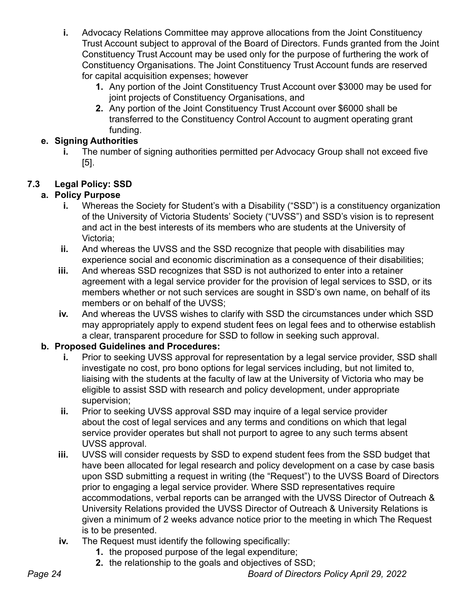- **i.** Advocacy Relations Committee may approve allocations from the Joint Constituency Trust Account subject to approval of the Board of Directors. Funds granted from the Joint Constituency Trust Account may be used only for the purpose of furthering the work of Constituency Organisations. The Joint Constituency Trust Account funds are reserved for capital acquisition expenses; however
	- **1.** Any portion of the Joint Constituency Trust Account over \$3000 may be used for joint projects of Constituency Organisations, and
	- **2.** Any portion of the Joint Constituency Trust Account over \$6000 shall be transferred to the Constituency Control Account to augment operating grant funding.

# **e. Signing Authorities**

**i.** The number of signing authorities permitted per Advocacy Group shall not exceed five [5].

# <span id="page-24-0"></span>**7.3 Legal Policy: SSD**

# **a. Policy Purpose**

- **i.** Whereas the Society for Student's with a Disability ("SSD") is a constituency organization of the University of Victoria Students' Society ("UVSS") and SSD's vision is to represent and act in the best interests of its members who are students at the University of Victoria;
- **ii.** And whereas the UVSS and the SSD recognize that people with disabilities may experience social and economic discrimination as a consequence of their disabilities;
- **iii.** And whereas SSD recognizes that SSD is not authorized to enter into a retainer agreement with a legal service provider for the provision of legal services to SSD, or its members whether or not such services are sought in SSD's own name, on behalf of its members or on behalf of the UVSS;
- **iv.** And whereas the UVSS wishes to clarify with SSD the circumstances under which SSD may appropriately apply to expend student fees on legal fees and to otherwise establish a clear, transparent procedure for SSD to follow in seeking such approval.

# **b. Proposed Guidelines and Procedures:**

- **i.** Prior to seeking UVSS approval for representation by a legal service provider, SSD shall investigate no cost, pro bono options for legal services including, but not limited to, liaising with the students at the faculty of law at the University of Victoria who may be eligible to assist SSD with research and policy development, under appropriate supervision;
- **ii.** Prior to seeking UVSS approval SSD may inquire of a legal service provider about the cost of legal services and any terms and conditions on which that legal service provider operates but shall not purport to agree to any such terms absent UVSS approval.
- **iii.** UVSS will consider requests by SSD to expend student fees from the SSD budget that have been allocated for legal research and policy development on a case by case basis upon SSD submitting a request in writing (the "Request") to the UVSS Board of Directors prior to engaging a legal service provider. Where SSD representatives require accommodations, verbal reports can be arranged with the UVSS Director of Outreach & University Relations provided the UVSS Director of Outreach & University Relations is given a minimum of 2 weeks advance notice prior to the meeting in which The Request is to be presented.
- **iv.** The Request must identify the following specifically:
	- **1.** the proposed purpose of the legal expenditure;
	- **2.** the relationship to the goals and objectives of SSD;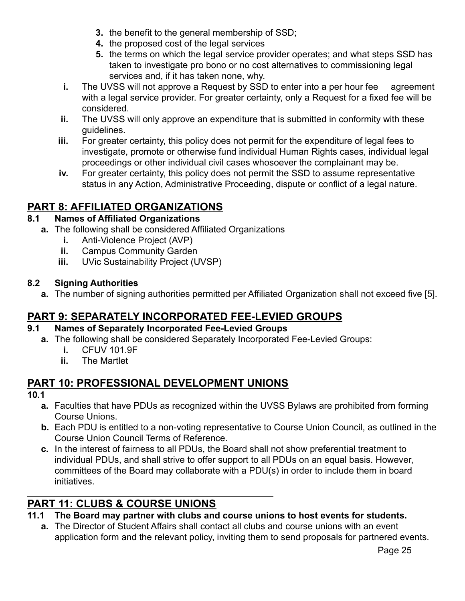- **3.** the benefit to the general membership of SSD;
- **4.** the proposed cost of the legal services
- **5.** the terms on which the legal service provider operates; and what steps SSD has taken to investigate pro bono or no cost alternatives to commissioning legal services and, if it has taken none, why.
- **i.** The UVSS will not approve a Request by SSD to enter into a per hour fee agreement with a legal service provider. For greater certainty, only a Request for a fixed fee will be considered.
- **ii.** The UVSS will only approve an expenditure that is submitted in conformity with these guidelines.
- **iii.** For greater certainty, this policy does not permit for the expenditure of legal fees to investigate, promote or otherwise fund individual Human Rights cases, individual legal proceedings or other individual civil cases whosoever the complainant may be.
- **iv.** For greater certainty, this policy does not permit the SSD to assume representative status in any Action, Administrative Proceeding, dispute or conflict of a legal nature.

# <span id="page-25-0"></span>**PART 8: AFFILIATED ORGANIZATIONS**

# <span id="page-25-1"></span>**8.1 Names of Affiliated Organizations**

- **a.** The following shall be considered Affiliated Organizations
	- **i.** Anti-Violence Project (AVP)
	- **ii.** Campus Community Garden
	- **iii.** UVic Sustainability Project (UVSP)

## <span id="page-25-2"></span>**8.2 Signing Authorities**

**a.** The number of signing authorities permitted per Affiliated Organization shall not exceed five [5].

# <span id="page-25-3"></span>**PART 9: SEPARATELY INCORPORATED FEE-LEVIED GROUPS**

## <span id="page-25-4"></span>**9.1 Names of Separately Incorporated Fee-Levied Groups**

- **a.** The following shall be considered Separately Incorporated Fee-Levied Groups:
	- **i.** CFUV 101.9F
	- **ii.** The Martlet

# <span id="page-25-5"></span>**PART 10: PROFESSIONAL DEVELOPMENT UNIONS**

**10.1**

- **a.** Faculties that have PDUs as recognized within the UVSS Bylaws are prohibited from forming Course Unions.
- **b.** Each PDU is entitled to a non-voting representative to Course Union Council, as outlined in the Course Union Council Terms of Reference.
- **c.** In the interest of fairness to all PDUs, the Board shall not show preferential treatment to individual PDUs, and shall strive to offer support to all PDUs on an equal basis. However, committees of the Board may collaborate with a PDU(s) in order to include them in board initiatives.

# <span id="page-25-6"></span>**PART 11: CLUBS & COURSE UNIONS**

# <span id="page-25-7"></span>**11.1 The Board may partner with clubs and course unions to host events for students.**

**a.** The Director of Student Affairs shall contact all clubs and course unions with an event application form and the relevant policy, inviting them to send proposals for partnered events.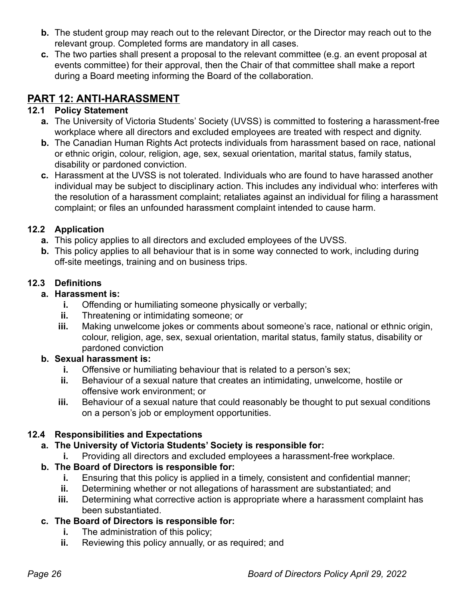- **b.** The student group may reach out to the relevant Director, or the Director may reach out to the relevant group. Completed forms are mandatory in all cases.
- **c.** The two parties shall present a proposal to the relevant committee (e.g. an event proposal at events committee) for their approval, then the Chair of that committee shall make a report during a Board meeting informing the Board of the collaboration.

# <span id="page-26-0"></span>**PART 12: ANTI-HARASSMENT**

# <span id="page-26-1"></span>**12.1 Policy Statement**

- **a.** The University of Victoria Students' Society (UVSS) is committed to fostering a harassment-free workplace where all directors and excluded employees are treated with respect and dignity.
- **b.** The Canadian Human Rights Act protects individuals from harassment based on race, national or ethnic origin, colour, religion, age, sex, sexual orientation, marital status, family status, disability or pardoned conviction.
- **c.** Harassment at the UVSS is not tolerated. Individuals who are found to have harassed another individual may be subject to disciplinary action. This includes any individual who: interferes with the resolution of a harassment complaint; retaliates against an individual for filing a harassment complaint; or files an unfounded harassment complaint intended to cause harm.

# <span id="page-26-2"></span>**12.2 Application**

- **a.** This policy applies to all directors and excluded employees of the UVSS.
- **b.** This policy applies to all behaviour that is in some way connected to work, including during off-site meetings, training and on business trips.

# <span id="page-26-3"></span>**12.3 Definitions**

# **a. Harassment is:**

- **i.** Offending or humiliating someone physically or verbally;
- **ii.** Threatening or intimidating someone; or
- **iii.** Making unwelcome jokes or comments about someone's race, national or ethnic origin, colour, religion, age, sex, sexual orientation, marital status, family status, disability or pardoned conviction

# **b. Sexual harassment is:**

- **i.** Offensive or humiliating behaviour that is related to a person's sex;
- **ii.** Behaviour of a sexual nature that creates an intimidating, unwelcome, hostile or offensive work environment; or
- **iii.** Behaviour of a sexual nature that could reasonably be thought to put sexual conditions on a person's job or employment opportunities.

# <span id="page-26-4"></span>**12.4 Responsibilities and Expectations**

- **a. The University of Victoria Students' Society is responsible for:**
	- **i.** Providing all directors and excluded employees a harassment-free workplace.

# **b. The Board of Directors is responsible for:**

- **i.** Ensuring that this policy is applied in a timely, consistent and confidential manner;
- **ii.** Determining whether or not allegations of harassment are substantiated; and
- **iii.** Determining what corrective action is appropriate where a harassment complaint has been substantiated.

# **c. The Board of Directors is responsible for:**

- **i.** The administration of this policy;
- **ii.** Reviewing this policy annually, or as required; and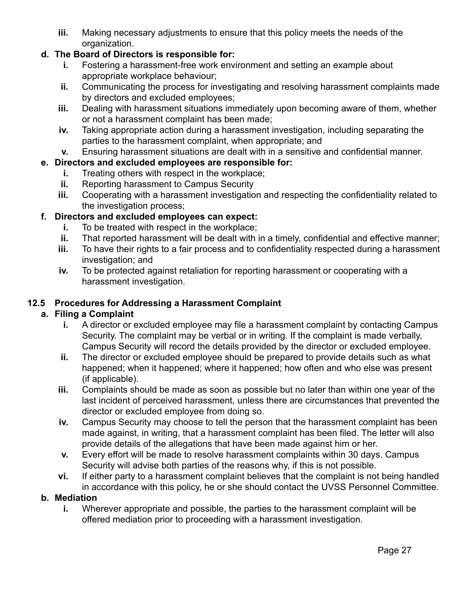**iii.** Making necessary adjustments to ensure that this policy meets the needs of the organization.

# **d. The Board of Directors is responsible for:**

- **i.** Fostering a harassment-free work environment and setting an example about appropriate workplace behaviour;
- **ii.** Communicating the process for investigating and resolving harassment complaints made by directors and excluded employees;
- **iii.** Dealing with harassment situations immediately upon becoming aware of them, whether or not a harassment complaint has been made;
- **iv.** Taking appropriate action during a harassment investigation, including separating the parties to the harassment complaint, when appropriate; and
- **v.** Ensuring harassment situations are dealt with in a sensitive and confidential manner.

## **e. Directors and excluded employees are responsible for:**

- **i.** Treating others with respect in the workplace;
- **ii.** Reporting harassment to Campus Security
- **iii.** Cooperating with a harassment investigation and respecting the confidentiality related to the investigation process;

## **f. Directors and excluded employees can expect:**

- **i.** To be treated with respect in the workplace;
- **ii.** That reported harassment will be dealt with in a timely, confidential and effective manner;
- **iii.** To have their rights to a fair process and to confidentiality respected during a harassment investigation; and
- **iv.** To be protected against retaliation for reporting harassment or cooperating with a harassment investigation.

## <span id="page-27-0"></span>**12.5 Procedures for Addressing a Harassment Complaint**

## **a. Filing a Complaint**

- **i.** A director or excluded employee may file a harassment complaint by contacting Campus Security. The complaint may be verbal or in writing. If the complaint is made verbally, Campus Security will record the details provided by the director or excluded employee.
- **ii.** The director or excluded employee should be prepared to provide details such as what happened; when it happened; where it happened; how often and who else was present (if applicable).
- **iii.** Complaints should be made as soon as possible but no later than within one year of the last incident of perceived harassment, unless there are circumstances that prevented the director or excluded employee from doing so.
- **iv.** Campus Security may choose to tell the person that the harassment complaint has been made against, in writing, that a harassment complaint has been filed. The letter will also provide details of the allegations that have been made against him or her.
- **v.** Every effort will be made to resolve harassment complaints within 30 days. Campus Security will advise both parties of the reasons why, if this is not possible.
- **vi.** If either party to a harassment complaint believes that the complaint is not being handled in accordance with this policy, he or she should contact the UVSS Personnel Committee.

#### **b. Mediation**

**i.** Wherever appropriate and possible, the parties to the harassment complaint will be offered mediation prior to proceeding with a harassment investigation.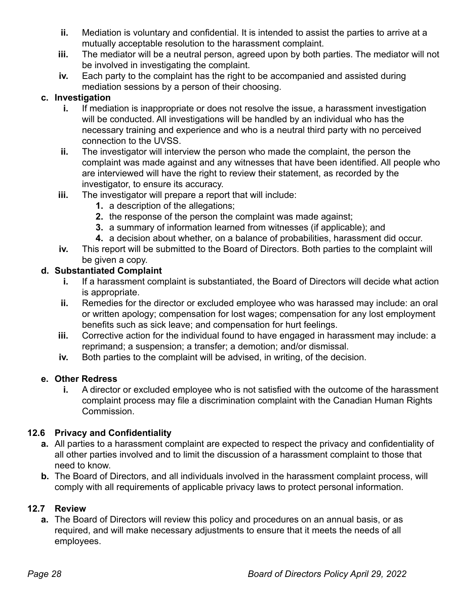- **ii.** Mediation is voluntary and confidential. It is intended to assist the parties to arrive at a mutually acceptable resolution to the harassment complaint.
- **iii.** The mediator will be a neutral person, agreed upon by both parties. The mediator will not be involved in investigating the complaint.
- **iv.** Each party to the complaint has the right to be accompanied and assisted during mediation sessions by a person of their choosing.

## **c. Investigation**

- **i.** If mediation is inappropriate or does not resolve the issue, a harassment investigation will be conducted. All investigations will be handled by an individual who has the necessary training and experience and who is a neutral third party with no perceived connection to the UVSS.
- **ii.** The investigator will interview the person who made the complaint, the person the complaint was made against and any witnesses that have been identified. All people who are interviewed will have the right to review their statement, as recorded by the investigator, to ensure its accuracy.
- **iii.** The investigator will prepare a report that will include:
	- **1.** a description of the allegations;
	- **2.** the response of the person the complaint was made against;
	- **3.** a summary of information learned from witnesses (if applicable); and
	- **4.** a decision about whether, on a balance of probabilities, harassment did occur.
- **iv.** This report will be submitted to the Board of Directors. Both parties to the complaint will be given a copy.

## **d. Substantiated Complaint**

- **i.** If a harassment complaint is substantiated, the Board of Directors will decide what action is appropriate.
- **ii.** Remedies for the director or excluded employee who was harassed may include: an oral or written apology; compensation for lost wages; compensation for any lost employment benefits such as sick leave; and compensation for hurt feelings.
- **iii.** Corrective action for the individual found to have engaged in harassment may include: a reprimand; a suspension; a transfer; a demotion; and/or dismissal.
- **iv.** Both parties to the complaint will be advised, in writing, of the decision.

## **e. Other Redress**

**i.** A director or excluded employee who is not satisfied with the outcome of the harassment complaint process may file a discrimination complaint with the Canadian Human Rights Commission.

# <span id="page-28-0"></span>**12.6 Privacy and Confidentiality**

- **a.** All parties to a harassment complaint are expected to respect the privacy and confidentiality of all other parties involved and to limit the discussion of a harassment complaint to those that need to know.
- **b.** The Board of Directors, and all individuals involved in the harassment complaint process, will comply with all requirements of applicable privacy laws to protect personal information.

# <span id="page-28-1"></span>**12.7 Review**

**a.** The Board of Directors will review this policy and procedures on an annual basis, or as required, and will make necessary adjustments to ensure that it meets the needs of all employees.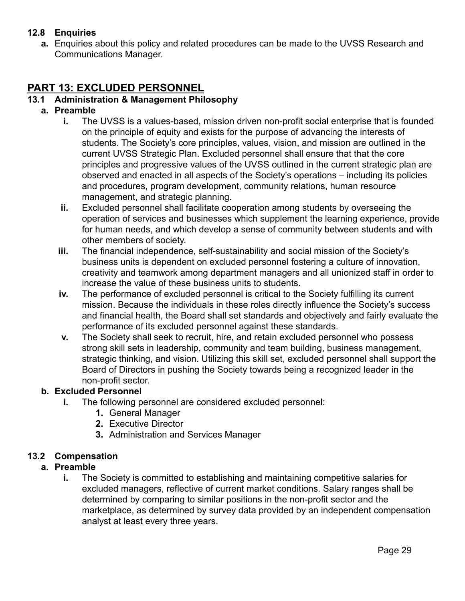# <span id="page-29-0"></span>**12.8 Enquiries**

**a.** Enquiries about this policy and related procedures can be made to the UVSS Research and Communications Manager.

# <span id="page-29-1"></span>**PART 13: EXCLUDED PERSONNEL**

## <span id="page-29-2"></span>**13.1 Administration & Management Philosophy**

#### **a. Preamble**

- **i.** The UVSS is a values-based, mission driven non-profit social enterprise that is founded on the principle of equity and exists for the purpose of advancing the interests of students. The Society's core principles, values, vision, and mission are outlined in the current UVSS Strategic Plan. Excluded personnel shall ensure that that the core principles and progressive values of the UVSS outlined in the current strategic plan are observed and enacted in all aspects of the Society's operations – including its policies and procedures, program development, community relations, human resource management, and strategic planning.
- **ii.** Excluded personnel shall facilitate cooperation among students by overseeing the operation of services and businesses which supplement the learning experience, provide for human needs, and which develop a sense of community between students and with other members of society.
- **iii.** The financial independence, self-sustainability and social mission of the Society's business units is dependent on excluded personnel fostering a culture of innovation, creativity and teamwork among department managers and all unionized staff in order to increase the value of these business units to students.
- **iv.** The performance of excluded personnel is critical to the Society fulfilling its current mission. Because the individuals in these roles directly influence the Society's success and financial health, the Board shall set standards and objectively and fairly evaluate the performance of its excluded personnel against these standards.
- **v.** The Society shall seek to recruit, hire, and retain excluded personnel who possess strong skill sets in leadership, community and team building, business management, strategic thinking, and vision. Utilizing this skill set, excluded personnel shall support the Board of Directors in pushing the Society towards being a recognized leader in the non-profit sector.

#### **b. Excluded Personnel**

- **i.** The following personnel are considered excluded personnel:
	- **1.** General Manager
	- **2.** Executive Director
	- **3.** Administration and Services Manager

#### <span id="page-29-3"></span>**13.2 Compensation**

#### **a. Preamble**

**i.** The Society is committed to establishing and maintaining competitive salaries for excluded managers, reflective of current market conditions. Salary ranges shall be determined by comparing to similar positions in the non-profit sector and the marketplace, as determined by survey data provided by an independent compensation analyst at least every three years.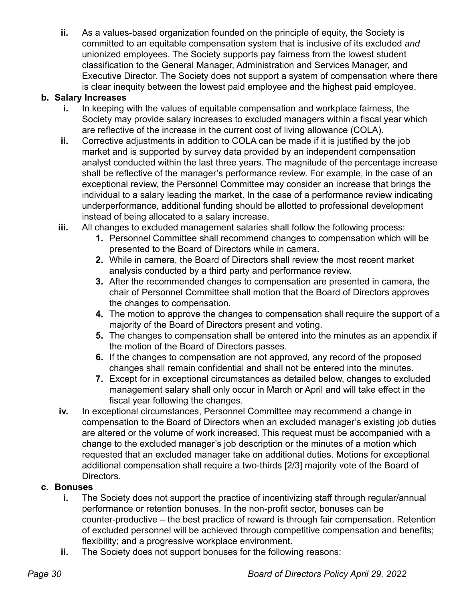**ii.** As a values-based organization founded on the principle of equity, the Society is committed to an equitable compensation system that is inclusive of its excluded *and* unionized employees. The Society supports pay fairness from the lowest student classification to the General Manager, Administration and Services Manager, and Executive Director. The Society does not support a system of compensation where there is clear inequity between the lowest paid employee and the highest paid employee.

## **b. Salary Increases**

- **i.** In keeping with the values of equitable compensation and workplace fairness, the Society may provide salary increases to excluded managers within a fiscal year which are reflective of the increase in the current cost of living allowance (COLA).
- **ii.** Corrective adjustments in addition to COLA can be made if it is justified by the job market and is supported by survey data provided by an independent compensation analyst conducted within the last three years. The magnitude of the percentage increase shall be reflective of the manager's performance review. For example, in the case of an exceptional review, the Personnel Committee may consider an increase that brings the individual to a salary leading the market. In the case of a performance review indicating underperformance, additional funding should be allotted to professional development instead of being allocated to a salary increase.
- **iii.** All changes to excluded management salaries shall follow the following process:
	- **1.** Personnel Committee shall recommend changes to compensation which will be presented to the Board of Directors while in camera.
	- **2.** While in camera, the Board of Directors shall review the most recent market analysis conducted by a third party and performance review.
	- **3.** After the recommended changes to compensation are presented in camera, the chair of Personnel Committee shall motion that the Board of Directors approves the changes to compensation.
	- **4.** The motion to approve the changes to compensation shall require the support of a majority of the Board of Directors present and voting.
	- **5.** The changes to compensation shall be entered into the minutes as an appendix if the motion of the Board of Directors passes.
	- **6.** If the changes to compensation are not approved, any record of the proposed changes shall remain confidential and shall not be entered into the minutes.
	- **7.** Except for in exceptional circumstances as detailed below, changes to excluded management salary shall only occur in March or April and will take effect in the fiscal year following the changes.
- **iv.** In exceptional circumstances, Personnel Committee may recommend a change in compensation to the Board of Directors when an excluded manager's existing job duties are altered or the volume of work increased. This request must be accompanied with a change to the excluded manager's job description or the minutes of a motion which requested that an excluded manager take on additional duties. Motions for exceptional additional compensation shall require a two-thirds [2/3] majority vote of the Board of Directors.

## **c. Bonuses**

- **i.** The Society does not support the practice of incentivizing staff through regular/annual performance or retention bonuses. In the non-profit sector, bonuses can be counter-productive – the best practice of reward is through fair compensation. Retention of excluded personnel will be achieved through competitive compensation and benefits; flexibility; and a progressive workplace environment.
- **ii.** The Society does not support bonuses for the following reasons: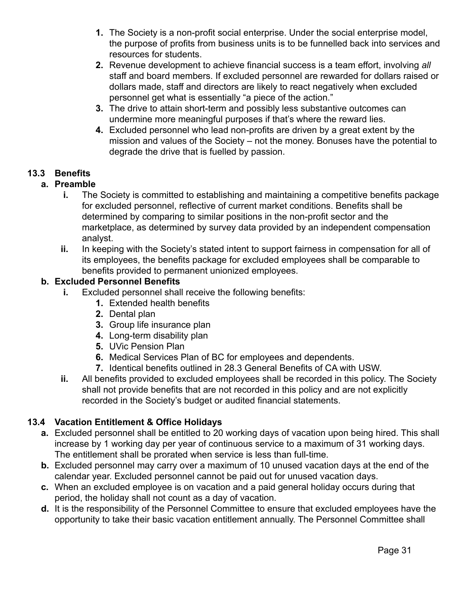- **1.** The Society is a non-profit social enterprise. Under the social enterprise model, the purpose of profits from business units is to be funnelled back into services and resources for students.
- **2.** Revenue development to achieve financial success is a team effort, involving *all* staff and board members. If excluded personnel are rewarded for dollars raised or dollars made, staff and directors are likely to react negatively when excluded personnel get what is essentially "a piece of the action."
- **3.** The drive to attain short-term and possibly less substantive outcomes can undermine more meaningful purposes if that's where the reward lies.
- **4.** Excluded personnel who lead non-profits are driven by a great extent by the mission and values of the Society – not the money. Bonuses have the potential to degrade the drive that is fuelled by passion.

## <span id="page-31-0"></span>**13.3 Benefits**

## **a. Preamble**

- **i.** The Society is committed to establishing and maintaining a competitive benefits package for excluded personnel, reflective of current market conditions. Benefits shall be determined by comparing to similar positions in the non-profit sector and the marketplace, as determined by survey data provided by an independent compensation analyst.
- **ii.** In keeping with the Society's stated intent to support fairness in compensation for all of its employees, the benefits package for excluded employees shall be comparable to benefits provided to permanent unionized employees.

## **b. Excluded Personnel Benefits**

- **i.** Excluded personnel shall receive the following benefits:
	- **1.** Extended health benefits
	- **2.** Dental plan
	- **3.** Group life insurance plan
	- **4.** Long-term disability plan
	- **5.** UVic Pension Plan
	- **6.** Medical Services Plan of BC for employees and dependents.
	- **7.** Identical benefits outlined in 28.3 General Benefits of CA with USW.
- **ii.** All benefits provided to excluded employees shall be recorded in this policy. The Society shall not provide benefits that are not recorded in this policy and are not explicitly recorded in the Society's budget or audited financial statements.

## <span id="page-31-1"></span>**13.4 Vacation Entitlement & Office Holidays**

- **a.** Excluded personnel shall be entitled to 20 working days of vacation upon being hired. This shall increase by 1 working day per year of continuous service to a maximum of 31 working days. The entitlement shall be prorated when service is less than full-time.
- **b.** Excluded personnel may carry over a maximum of 10 unused vacation days at the end of the calendar year. Excluded personnel cannot be paid out for unused vacation days.
- **c.** When an excluded employee is on vacation and a paid general holiday occurs during that period, the holiday shall not count as a day of vacation.
- **d.** It is the responsibility of the Personnel Committee to ensure that excluded employees have the opportunity to take their basic vacation entitlement annually. The Personnel Committee shall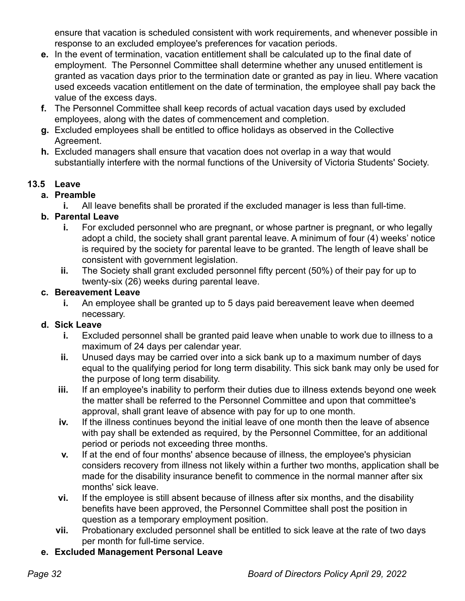ensure that vacation is scheduled consistent with work requirements, and whenever possible in response to an excluded employee's preferences for vacation periods.

- **e.** In the event of termination, vacation entitlement shall be calculated up to the final date of employment. The Personnel Committee shall determine whether any unused entitlement is granted as vacation days prior to the termination date or granted as pay in lieu. Where vacation used exceeds vacation entitlement on the date of termination, the employee shall pay back the value of the excess days.
- **f.** The Personnel Committee shall keep records of actual vacation days used by excluded employees, along with the dates of commencement and completion.
- **g.** Excluded employees shall be entitled to office holidays as observed in the Collective Agreement.
- **h.** Excluded managers shall ensure that vacation does not overlap in a way that would substantially interfere with the normal functions of the University of Victoria Students' Society.

# <span id="page-32-0"></span>**13.5 Leave**

## **a. Preamble**

**i.** All leave benefits shall be prorated if the excluded manager is less than full-time.

# **b. Parental Leave**

- **i.** For excluded personnel who are pregnant, or whose partner is pregnant, or who legally adopt a child, the society shall grant parental leave. A minimum of four (4) weeks' notice is required by the society for parental leave to be granted. The length of leave shall be consistent with government legislation.
- **ii.** The Society shall grant excluded personnel fifty percent (50%) of their pay for up to twenty-six (26) weeks during parental leave.

## **c. Bereavement Leave**

**i.** An employee shall be granted up to 5 days paid bereavement leave when deemed necessary.

# **d. Sick Leave**

- **i.** Excluded personnel shall be granted paid leave when unable to work due to illness to a maximum of 24 days per calendar year.
- **ii.** Unused days may be carried over into a sick bank up to a maximum number of days equal to the qualifying period for long term disability. This sick bank may only be used for the purpose of long term disability.
- **iii.** If an employee's inability to perform their duties due to illness extends beyond one week the matter shall be referred to the Personnel Committee and upon that committee's approval, shall grant leave of absence with pay for up to one month.
- **iv.** If the illness continues beyond the initial leave of one month then the leave of absence with pay shall be extended as required, by the Personnel Committee, for an additional period or periods not exceeding three months.
- **v.** If at the end of four months' absence because of illness, the employee's physician considers recovery from illness not likely within a further two months, application shall be made for the disability insurance benefit to commence in the normal manner after six months' sick leave.
- **vi.** If the employee is still absent because of illness after six months, and the disability benefits have been approved, the Personnel Committee shall post the position in question as a temporary employment position.
- **vii.** Probationary excluded personnel shall be entitled to sick leave at the rate of two days per month for full-time service.

# **e. Excluded Management Personal Leave**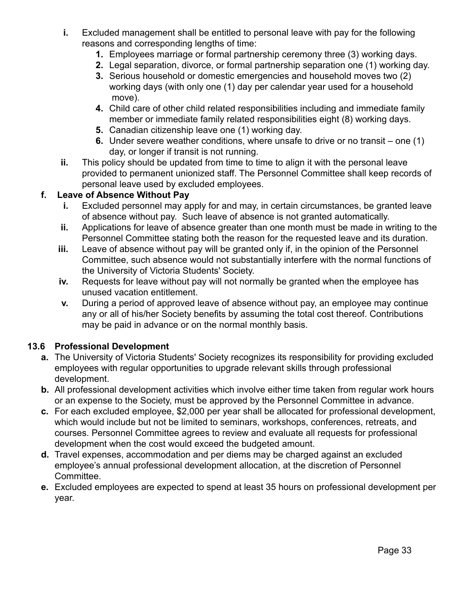- **i.** Excluded management shall be entitled to personal leave with pay for the following reasons and corresponding lengths of time:
	- **1.** Employees marriage or formal partnership ceremony three (3) working days.
	- **2.** Legal separation, divorce, or formal partnership separation one (1) working day.
	- **3.** Serious household or domestic emergencies and household moves two (2) working days (with only one (1) day per calendar year used for a household move).
	- **4.** Child care of other child related responsibilities including and immediate family member or immediate family related responsibilities eight (8) working days.
	- **5.** Canadian citizenship leave one (1) working day.
	- **6.** Under severe weather conditions, where unsafe to drive or no transit one (1) day, or longer if transit is not running.
- **ii.** This policy should be updated from time to time to align it with the personal leave provided to permanent unionized staff. The Personnel Committee shall keep records of personal leave used by excluded employees.

## **f. Leave of Absence Without Pay**

- **i.** Excluded personnel may apply for and may, in certain circumstances, be granted leave of absence without pay. Such leave of absence is not granted automatically.
- **ii.** Applications for leave of absence greater than one month must be made in writing to the Personnel Committee stating both the reason for the requested leave and its duration.
- **iii.** Leave of absence without pay will be granted only if, in the opinion of the Personnel Committee, such absence would not substantially interfere with the normal functions of the University of Victoria Students' Society.
- **iv.** Requests for leave without pay will not normally be granted when the employee has unused vacation entitlement.
- **v.** During a period of approved leave of absence without pay, an employee may continue any or all of his/her Society benefits by assuming the total cost thereof. Contributions may be paid in advance or on the normal monthly basis.

## <span id="page-33-0"></span>**13.6 Professional Development**

- **a.** The University of Victoria Students' Society recognizes its responsibility for providing excluded employees with regular opportunities to upgrade relevant skills through professional development.
- **b.** All professional development activities which involve either time taken from regular work hours or an expense to the Society, must be approved by the Personnel Committee in advance.
- **c.** For each excluded employee, \$2,000 per year shall be allocated for professional development, which would include but not be limited to seminars, workshops, conferences, retreats, and courses. Personnel Committee agrees to review and evaluate all requests for professional development when the cost would exceed the budgeted amount.
- **d.** Travel expenses, accommodation and per diems may be charged against an excluded employee's annual professional development allocation, at the discretion of Personnel Committee.
- **e.** Excluded employees are expected to spend at least 35 hours on professional development per year.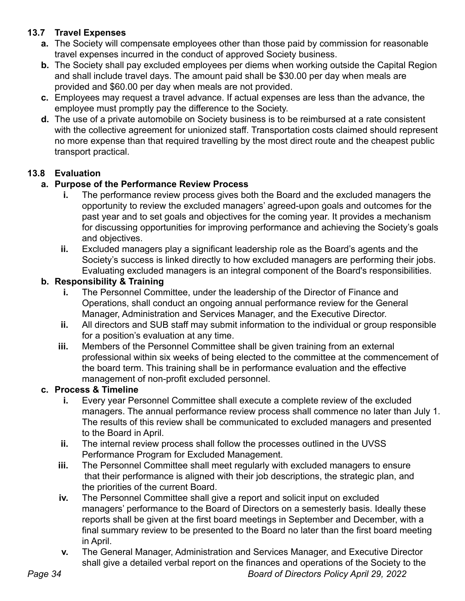# <span id="page-34-0"></span>**13.7 Travel Expenses**

- **a.** The Society will compensate employees other than those paid by commission for reasonable travel expenses incurred in the conduct of approved Society business.
- **b.** The Society shall pay excluded employees per diems when working outside the Capital Region and shall include travel days. The amount paid shall be \$30.00 per day when meals are provided and \$60.00 per day when meals are not provided.
- **c.** Employees may request a travel advance. If actual expenses are less than the advance, the employee must promptly pay the difference to the Society.
- **d.** The use of a private automobile on Society business is to be reimbursed at a rate consistent with the collective agreement for unionized staff. Transportation costs claimed should represent no more expense than that required travelling by the most direct route and the cheapest public transport practical.

# <span id="page-34-1"></span>**13.8 Evaluation**

## **a. Purpose of the Performance Review Process**

- **i.** The performance review process gives both the Board and the excluded managers the opportunity to review the excluded managers' agreed-upon goals and outcomes for the past year and to set goals and objectives for the coming year. It provides a mechanism for discussing opportunities for improving performance and achieving the Society's goals and objectives.
- **ii.** Excluded managers play a significant leadership role as the Board's agents and the Society's success is linked directly to how excluded managers are performing their jobs. Evaluating excluded managers is an integral component of the Board's responsibilities.

## **b. Responsibility & Training**

- **i.** The Personnel Committee, under the leadership of the Director of Finance and Operations, shall conduct an ongoing annual performance review for the General Manager, Administration and Services Manager, and the Executive Director.
- **ii.** All directors and SUB staff may submit information to the individual or group responsible for a position's evaluation at any time.
- **iii.** Members of the Personnel Committee shall be given training from an external professional within six weeks of being elected to the committee at the commencement of the board term. This training shall be in performance evaluation and the effective management of non-profit excluded personnel.

## **c. Process & Timeline**

- **i.** Every year Personnel Committee shall execute a complete review of the excluded managers. The annual performance review process shall commence no later than July 1. The results of this review shall be communicated to excluded managers and presented to the Board in April.
- **ii.** The internal review process shall follow the processes outlined in the UVSS Performance Program for Excluded Management.
- **iii.** The Personnel Committee shall meet regularly with excluded managers to ensure that their performance is aligned with their job descriptions, the strategic plan, and the priorities of the current Board.
- **iv.** The Personnel Committee shall give a report and solicit input on excluded managers' performance to the Board of Directors on a semesterly basis. Ideally these reports shall be given at the first board meetings in September and December, with a final summary review to be presented to the Board no later than the first board meeting in April.
- **v.** The General Manager, Administration and Services Manager, and Executive Director shall give a detailed verbal report on the finances and operations of the Society to the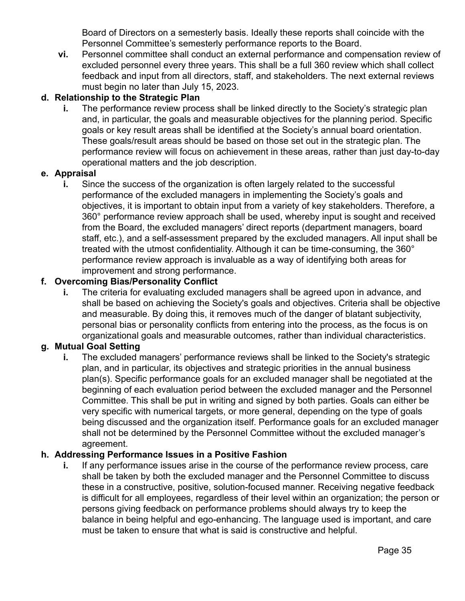Board of Directors on a semesterly basis. Ideally these reports shall coincide with the Personnel Committee's semesterly performance reports to the Board.

**vi.** Personnel committee shall conduct an external performance and compensation review of excluded personnel every three years. This shall be a full 360 review which shall collect feedback and input from all directors, staff, and stakeholders. The next external reviews must begin no later than July 15, 2023.

## **d. Relationship to the Strategic Plan**

**i.** The performance review process shall be linked directly to the Society's strategic plan and, in particular, the goals and measurable objectives for the planning period. Specific goals or key result areas shall be identified at the Society's annual board orientation. These goals/result areas should be based on those set out in the strategic plan. The performance review will focus on achievement in these areas, rather than just day-to-day operational matters and the job description.

## **e. Appraisal**

**i.** Since the success of the organization is often largely related to the successful performance of the excluded managers in implementing the Society's goals and objectives, it is important to obtain input from a variety of key stakeholders. Therefore, a 360° performance review approach shall be used, whereby input is sought and received from the Board, the excluded managers' direct reports (department managers, board staff, etc.), and a self-assessment prepared by the excluded managers. All input shall be treated with the utmost confidentiality. Although it can be time-consuming, the 360° performance review approach is invaluable as a way of identifying both areas for improvement and strong performance.

## **f. Overcoming Bias/Personality Conflict**

**i.** The criteria for evaluating excluded managers shall be agreed upon in advance, and shall be based on achieving the Society's goals and objectives. Criteria shall be objective and measurable. By doing this, it removes much of the danger of blatant subjectivity, personal bias or personality conflicts from entering into the process, as the focus is on organizational goals and measurable outcomes, rather than individual characteristics.

## **g. Mutual Goal Setting**

**i.** The excluded managers' performance reviews shall be linked to the Society's strategic plan, and in particular, its objectives and strategic priorities in the annual business plan(s). Specific performance goals for an excluded manager shall be negotiated at the beginning of each evaluation period between the excluded manager and the Personnel Committee. This shall be put in writing and signed by both parties. Goals can either be very specific with numerical targets, or more general, depending on the type of goals being discussed and the organization itself. Performance goals for an excluded manager shall not be determined by the Personnel Committee without the excluded manager's agreement.

## **h. Addressing Performance Issues in a Positive Fashion**

**i.** If any performance issues arise in the course of the performance review process, care shall be taken by both the excluded manager and the Personnel Committee to discuss these in a constructive, positive, solution-focused manner. Receiving negative feedback is difficult for all employees, regardless of their level within an organization; the person or persons giving feedback on performance problems should always try to keep the balance in being helpful and ego-enhancing. The language used is important, and care must be taken to ensure that what is said is constructive and helpful.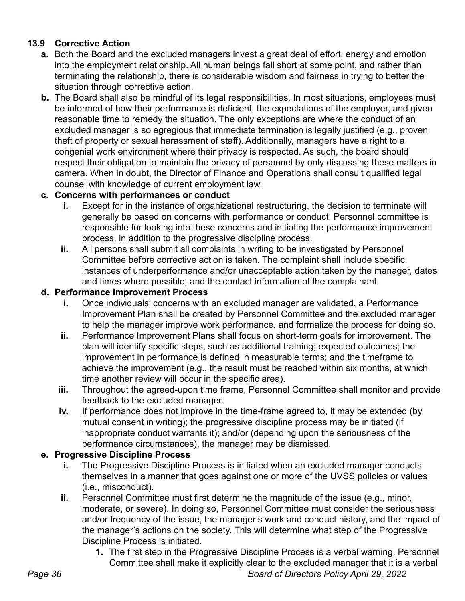#### **13.9 Corrective Action**

- **a.** Both the Board and the excluded managers invest a great deal of effort, energy and emotion into the employment relationship. All human beings fall short at some point, and rather than terminating the relationship, there is considerable wisdom and fairness in trying to better the situation through corrective action.
- **b.** The Board shall also be mindful of its legal responsibilities. In most situations, employees must be informed of how their performance is deficient, the expectations of the employer, and given reasonable time to remedy the situation. The only exceptions are where the conduct of an excluded manager is so egregious that immediate termination is legally justified (e.g., proven theft of property or sexual harassment of staff). Additionally, managers have a right to a congenial work environment where their privacy is respected. As such, the board should respect their obligation to maintain the privacy of personnel by only discussing these matters in camera. When in doubt, the Director of Finance and Operations shall consult qualified legal counsel with knowledge of current employment law.

#### **c. Concerns with performances or conduct**

- **i.** Except for in the instance of organizational restructuring, the decision to terminate will generally be based on concerns with performance or conduct. Personnel committee is responsible for looking into these concerns and initiating the performance improvement process, in addition to the progressive discipline process.
- **ii.** All persons shall submit all complaints in writing to be investigated by Personnel Committee before corrective action is taken. The complaint shall include specific instances of underperformance and/or unacceptable action taken by the manager, dates and times where possible, and the contact information of the complainant.

#### **d. Performance Improvement Process**

- **i.** Once individuals' concerns with an excluded manager are validated, a Performance Improvement Plan shall be created by Personnel Committee and the excluded manager to help the manager improve work performance, and formalize the process for doing so.
- **ii.** Performance Improvement Plans shall focus on short-term goals for improvement. The plan will identify specific steps, such as additional training; expected outcomes; the improvement in performance is defined in measurable terms; and the timeframe to achieve the improvement (e.g., the result must be reached within six months, at which time another review will occur in the specific area).
- **iii.** Throughout the agreed-upon time frame, Personnel Committee shall monitor and provide feedback to the excluded manager.
- **iv.** If performance does not improve in the time-frame agreed to, it may be extended (by mutual consent in writing); the progressive discipline process may be initiated (if inappropriate conduct warrants it); and/or (depending upon the seriousness of the performance circumstances), the manager may be dismissed.

#### **e. Progressive Discipline Process**

- **i.** The Progressive Discipline Process is initiated when an excluded manager conducts themselves in a manner that goes against one or more of the UVSS policies or values (i.e., misconduct).
- **ii.** Personnel Committee must first determine the magnitude of the issue (e.g., minor, moderate, or severe). In doing so, Personnel Committee must consider the seriousness and/or frequency of the issue, the manager's work and conduct history, and the impact of the manager's actions on the society. This will determine what step of the Progressive Discipline Process is initiated.
	- **1.** The first step in the Progressive Discipline Process is a verbal warning. Personnel Committee shall make it explicitly clear to the excluded manager that it is a verbal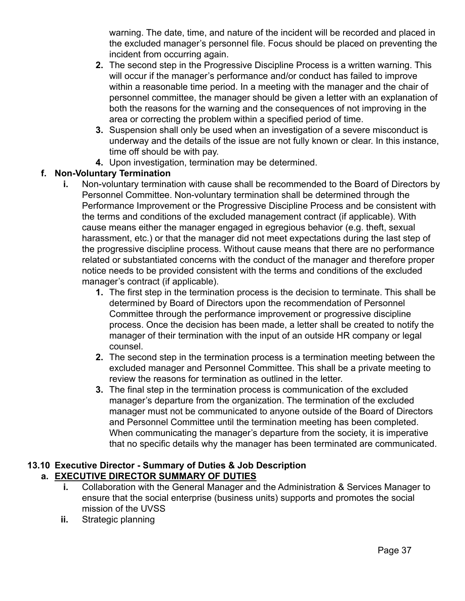warning. The date, time, and nature of the incident will be recorded and placed in the excluded manager's personnel file. Focus should be placed on preventing the incident from occurring again.

- **2.** The second step in the Progressive Discipline Process is a written warning. This will occur if the manager's performance and/or conduct has failed to improve within a reasonable time period. In a meeting with the manager and the chair of personnel committee, the manager should be given a letter with an explanation of both the reasons for the warning and the consequences of not improving in the area or correcting the problem within a specified period of time.
- **3.** Suspension shall only be used when an investigation of a severe misconduct is underway and the details of the issue are not fully known or clear. In this instance, time off should be with pay.
- **4.** Upon investigation, termination may be determined.

#### **f. Non-Voluntary Termination**

- **i.** Non-voluntary termination with cause shall be recommended to the Board of Directors by Personnel Committee. Non-voluntary termination shall be determined through the Performance Improvement or the Progressive Discipline Process and be consistent with the terms and conditions of the excluded management contract (if applicable). With cause means either the manager engaged in egregious behavior (e.g. theft, sexual harassment, etc.) or that the manager did not meet expectations during the last step of the progressive discipline process. Without cause means that there are no performance related or substantiated concerns with the conduct of the manager and therefore proper notice needs to be provided consistent with the terms and conditions of the excluded manager's contract (if applicable).
	- **1.** The first step in the termination process is the decision to terminate. This shall be determined by Board of Directors upon the recommendation of Personnel Committee through the performance improvement or progressive discipline process. Once the decision has been made, a letter shall be created to notify the manager of their termination with the input of an outside HR company or legal counsel.
	- **2.** The second step in the termination process is a termination meeting between the excluded manager and Personnel Committee. This shall be a private meeting to review the reasons for termination as outlined in the letter.
	- **3.** The final step in the termination process is communication of the excluded manager's departure from the organization. The termination of the excluded manager must not be communicated to anyone outside of the Board of Directors and Personnel Committee until the termination meeting has been completed. When communicating the manager's departure from the society, it is imperative that no specific details why the manager has been terminated are communicated.

#### **13.10 Executive Director - Summary of Duties & Job Description a. EXECUTIVE DIRECTOR SUMMARY OF DUTIES**

- **i.** Collaboration with the General Manager and the Administration & Services Manager to ensure that the social enterprise (business units) supports and promotes the social mission of the UVSS
- **ii.** Strategic planning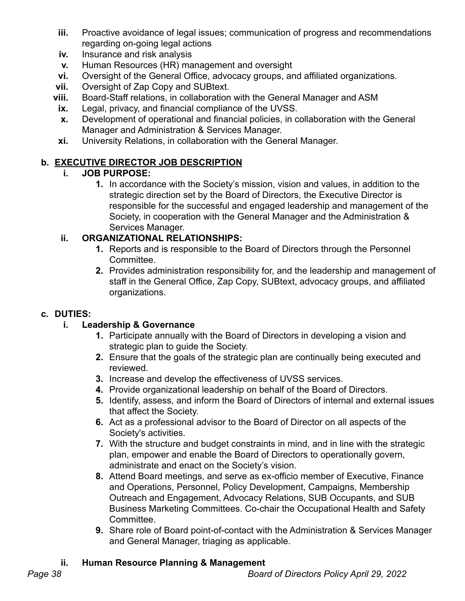- **iii.** Proactive avoidance of legal issues; communication of progress and recommendations regarding on-going legal actions
- **iv.** Insurance and risk analysis
- **v.** Human Resources (HR) management and oversight
- **vi.** Oversight of the General Office, advocacy groups, and affiliated organizations.
- **vii.** Oversight of Zap Copy and SUBtext.
- **viii.** Board-Staff relations, in collaboration with the General Manager and ASM
	- **ix.** Legal, privacy, and financial compliance of the UVSS.
	- **x.** Development of operational and financial policies, in collaboration with the General Manager and Administration & Services Manager.
- **xi.** University Relations, in collaboration with the General Manager.

### **b. EXECUTIVE DIRECTOR JOB DESCRIPTION**

### **i. JOB PURPOSE:**

**1.** In accordance with the Society's mission, vision and values, in addition to the strategic direction set by the Board of Directors, the Executive Director is responsible for the successful and engaged leadership and management of the Society, in cooperation with the General Manager and the Administration & Services Manager.

### **ii. ORGANIZATIONAL RELATIONSHIPS:**

- **1.** Reports and is responsible to the Board of Directors through the Personnel Committee.
- **2.** Provides administration responsibility for, and the leadership and management of staff in the General Office, Zap Copy, SUBtext, advocacy groups, and affiliated organizations.

### **c. DUTIES:**

### **i. Leadership & Governance**

- **1.** Participate annually with the Board of Directors in developing a vision and strategic plan to guide the Society.
- **2.** Ensure that the goals of the strategic plan are continually being executed and reviewed.
- **3.** Increase and develop the effectiveness of UVSS services.
- **4.** Provide organizational leadership on behalf of the Board of Directors.
- **5.** Identify, assess, and inform the Board of Directors of internal and external issues that affect the Society.
- **6.** Act as a professional advisor to the Board of Director on all aspects of the Society's activities.
- **7.** With the structure and budget constraints in mind, and in line with the strategic plan, empower and enable the Board of Directors to operationally govern, administrate and enact on the Society's vision.
- **8.** Attend Board meetings, and serve as ex-officio member of Executive, Finance and Operations, Personnel, Policy Development, Campaigns, Membership Outreach and Engagement, Advocacy Relations, SUB Occupants, and SUB Business Marketing Committees. Co-chair the Occupational Health and Safety **Committee.**
- **9.** Share role of Board point-of-contact with the Administration & Services Manager and General Manager, triaging as applicable.

### **ii. Human Resource Planning & Management**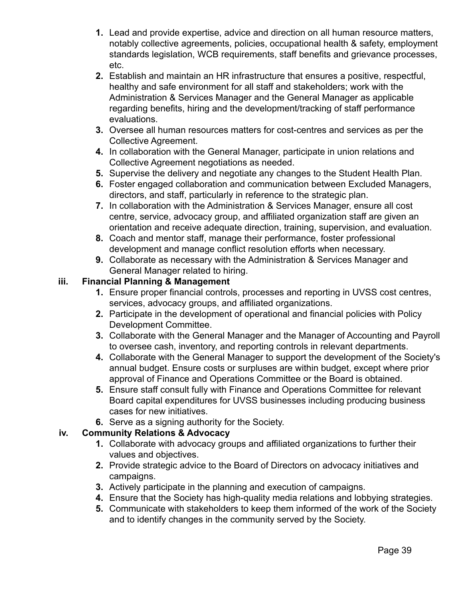- **1.** Lead and provide expertise, advice and direction on all human resource matters, notably collective agreements, policies, occupational health & safety, employment standards legislation, WCB requirements, staff benefits and grievance processes, etc.
- **2.** Establish and maintain an HR infrastructure that ensures a positive, respectful, healthy and safe environment for all staff and stakeholders; work with the Administration & Services Manager and the General Manager as applicable regarding benefits, hiring and the development/tracking of staff performance evaluations.
- **3.** Oversee all human resources matters for cost-centres and services as per the Collective Agreement.
- **4.** In collaboration with the General Manager, participate in union relations and Collective Agreement negotiations as needed.
- **5.** Supervise the delivery and negotiate any changes to the Student Health Plan.
- **6.** Foster engaged collaboration and communication between Excluded Managers, directors, and staff, particularly in reference to the strategic plan.
- **7.** In collaboration with the Administration & Services Manager, ensure all cost centre, service, advocacy group, and affiliated organization staff are given an orientation and receive adequate direction, training, supervision, and evaluation.
- **8.** Coach and mentor staff, manage their performance, foster professional development and manage conflict resolution efforts when necessary.
- **9.** Collaborate as necessary with the Administration & Services Manager and General Manager related to hiring.

#### **iii. Financial Planning & Management**

- **1.** Ensure proper financial controls, processes and reporting in UVSS cost centres, services, advocacy groups, and affiliated organizations.
- **2.** Participate in the development of operational and financial policies with Policy Development Committee.
- **3.** Collaborate with the General Manager and the Manager of Accounting and Payroll to oversee cash, inventory, and reporting controls in relevant departments.
- **4.** Collaborate with the General Manager to support the development of the Society's annual budget. Ensure costs or surpluses are within budget, except where prior approval of Finance and Operations Committee or the Board is obtained.
- **5.** Ensure staff consult fully with Finance and Operations Committee for relevant Board capital expenditures for UVSS businesses including producing business cases for new initiatives.
- **6.** Serve as a signing authority for the Society.

#### **iv. Community Relations & Advocacy**

- **1.** Collaborate with advocacy groups and affiliated organizations to further their values and objectives.
- **2.** Provide strategic advice to the Board of Directors on advocacy initiatives and campaigns.
- **3.** Actively participate in the planning and execution of campaigns.
- **4.** Ensure that the Society has high-quality media relations and lobbying strategies.
- **5.** Communicate with stakeholders to keep them informed of the work of the Society and to identify changes in the community served by the Society.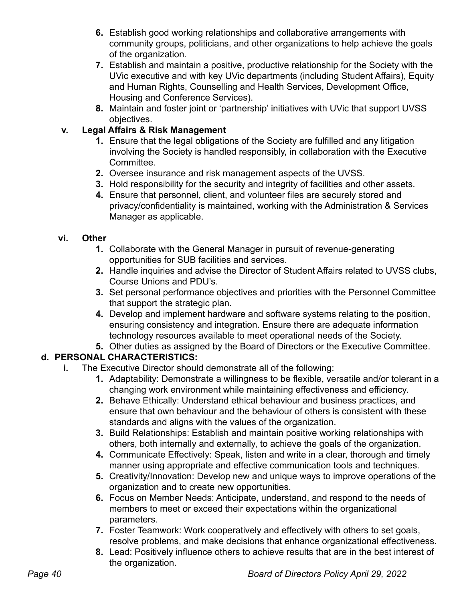- **6.** Establish good working relationships and collaborative arrangements with community groups, politicians, and other organizations to help achieve the goals of the organization.
- **7.** Establish and maintain a positive, productive relationship for the Society with the UVic executive and with key UVic departments (including Student Affairs), Equity and Human Rights, Counselling and Health Services, Development Office, Housing and Conference Services).
- **8.** Maintain and foster joint or 'partnership' initiatives with UVic that support UVSS objectives.

### **v. Legal Affairs & Risk Management**

- **1.** Ensure that the legal obligations of the Society are fulfilled and any litigation involving the Society is handled responsibly, in collaboration with the Executive **Committee.**
- **2.** Oversee insurance and risk management aspects of the UVSS.
- **3.** Hold responsibility for the security and integrity of facilities and other assets.
- **4.** Ensure that personnel, client, and volunteer files are securely stored and privacy/confidentiality is maintained, working with the Administration & Services Manager as applicable.

### **vi. Other**

- **1.** Collaborate with the General Manager in pursuit of revenue-generating opportunities for SUB facilities and services.
- **2.** Handle inquiries and advise the Director of Student Affairs related to UVSS clubs, Course Unions and PDU's.
- **3.** Set personal performance objectives and priorities with the Personnel Committee that support the strategic plan.
- **4.** Develop and implement hardware and software systems relating to the position, ensuring consistency and integration. Ensure there are adequate information technology resources available to meet operational needs of the Society.
- **5.** Other duties as assigned by the Board of Directors or the Executive Committee.

## **d. PERSONAL CHARACTERISTICS:**

- **i.** The Executive Director should demonstrate all of the following:
	- **1.** Adaptability: Demonstrate a willingness to be flexible, versatile and/or tolerant in a changing work environment while maintaining effectiveness and efficiency.
	- **2.** Behave Ethically: Understand ethical behaviour and business practices, and ensure that own behaviour and the behaviour of others is consistent with these standards and aligns with the values of the organization.
	- **3.** Build Relationships: Establish and maintain positive working relationships with others, both internally and externally, to achieve the goals of the organization.
	- **4.** Communicate Effectively: Speak, listen and write in a clear, thorough and timely manner using appropriate and effective communication tools and techniques.
	- **5.** Creativity/Innovation: Develop new and unique ways to improve operations of the organization and to create new opportunities.
	- **6.** Focus on Member Needs: Anticipate, understand, and respond to the needs of members to meet or exceed their expectations within the organizational parameters.
	- **7.** Foster Teamwork: Work cooperatively and effectively with others to set goals, resolve problems, and make decisions that enhance organizational effectiveness.
	- **8.** Lead: Positively influence others to achieve results that are in the best interest of the organization.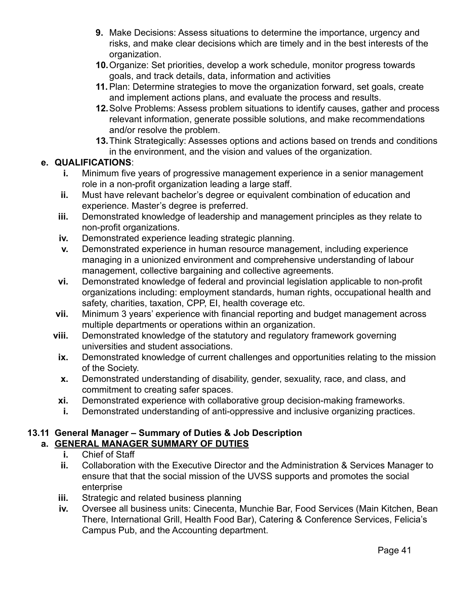- **9.** Make Decisions: Assess situations to determine the importance, urgency and risks, and make clear decisions which are timely and in the best interests of the organization.
- **10.**Organize: Set priorities, develop a work schedule, monitor progress towards goals, and track details, data, information and activities
- **11.**Plan: Determine strategies to move the organization forward, set goals, create and implement actions plans, and evaluate the process and results.
- **12.**Solve Problems: Assess problem situations to identify causes, gather and process relevant information, generate possible solutions, and make recommendations and/or resolve the problem.
- **13.**Think Strategically: Assesses options and actions based on trends and conditions in the environment, and the vision and values of the organization.

#### **e. QUALIFICATIONS**:

- **i.** Minimum five years of progressive management experience in a senior management role in a non-profit organization leading a large staff.
- **ii.** Must have relevant bachelor's degree or equivalent combination of education and experience. Master's degree is preferred.
- **iii.** Demonstrated knowledge of leadership and management principles as they relate to non-profit organizations.
- **iv.** Demonstrated experience leading strategic planning.
- **v.** Demonstrated experience in human resource management, including experience managing in a unionized environment and comprehensive understanding of labour management, collective bargaining and collective agreements.
- **vi.** Demonstrated knowledge of federal and provincial legislation applicable to non-profit organizations including: employment standards, human rights, occupational health and safety, charities, taxation, CPP, EI, health coverage etc.
- **vii.** Minimum 3 years' experience with financial reporting and budget management across multiple departments or operations within an organization.
- **viii.** Demonstrated knowledge of the statutory and regulatory framework governing universities and student associations.
	- **ix.** Demonstrated knowledge of current challenges and opportunities relating to the mission of the Society.
	- **x.** Demonstrated understanding of disability, gender, sexuality, race, and class, and commitment to creating safer spaces.
- **xi.** Demonstrated experience with collaborative group decision-making frameworks.
- **i.** Demonstrated understanding of anti-oppressive and inclusive organizing practices.

#### **13.11 General Manager – Summary of Duties & Job Description a. GENERAL MANAGER SUMMARY OF DUTIES**

- **i.** Chief of Staff
	- **ii.** Collaboration with the Executive Director and the Administration & Services Manager to ensure that that the social mission of the UVSS supports and promotes the social enterprise
- **iii.** Strategic and related business planning
- **iv.** Oversee all business units: Cinecenta, Munchie Bar, Food Services (Main Kitchen, Bean There, International Grill, Health Food Bar), Catering & Conference Services, Felicia's Campus Pub, and the Accounting department.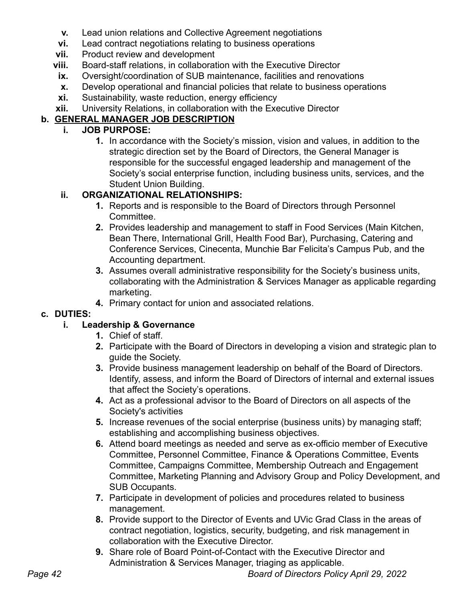- **v.** Lead union relations and Collective Agreement negotiations
- **vi.** Lead contract negotiations relating to business operations
- **vii.** Product review and development
- **viii.** Board-staff relations, in collaboration with the Executive Director
- **ix.** Oversight/coordination of SUB maintenance, facilities and renovations
- **x.** Develop operational and financial policies that relate to business operations
- **xi.** Sustainability, waste reduction, energy efficiency
- **xii.** University Relations, in collaboration with the Executive Director

### **b. GENERAL MANAGER JOB DESCRIPTION**

### **i. JOB PURPOSE:**

**1.** In accordance with the Society's mission, vision and values, in addition to the strategic direction set by the Board of Directors, the General Manager is responsible for the successful engaged leadership and management of the Society's social enterprise function, including business units, services, and the Student Union Building.

### **ii. ORGANIZATIONAL RELATIONSHIPS:**

- **1.** Reports and is responsible to the Board of Directors through Personnel Committee.
- **2.** Provides leadership and management to staff in Food Services (Main Kitchen, Bean There, International Grill, Health Food Bar), Purchasing, Catering and Conference Services, Cinecenta, Munchie Bar Felicita's Campus Pub, and the Accounting department.
- **3.** Assumes overall administrative responsibility for the Society's business units, collaborating with the Administration & Services Manager as applicable regarding marketing.
- **4.** Primary contact for union and associated relations.

### **c. DUTIES:**

### **i. Leadership & Governance**

- **1.** Chief of staff.
- **2.** Participate with the Board of Directors in developing a vision and strategic plan to guide the Society.
- **3.** Provide business management leadership on behalf of the Board of Directors. Identify, assess, and inform the Board of Directors of internal and external issues that affect the Society's operations.
- **4.** Act as a professional advisor to the Board of Directors on all aspects of the Society's activities
- **5.** Increase revenues of the social enterprise (business units) by managing staff; establishing and accomplishing business objectives.
- **6.** Attend board meetings as needed and serve as ex-officio member of Executive Committee, Personnel Committee, Finance & Operations Committee, Events Committee, Campaigns Committee, Membership Outreach and Engagement Committee, Marketing Planning and Advisory Group and Policy Development, and SUB Occupants.
- **7.** Participate in development of policies and procedures related to business management.
- **8.** Provide support to the Director of Events and UVic Grad Class in the areas of contract negotiation, logistics, security, budgeting, and risk management in collaboration with the Executive Director.
- **9.** Share role of Board Point-of-Contact with the Executive Director and Administration & Services Manager, triaging as applicable.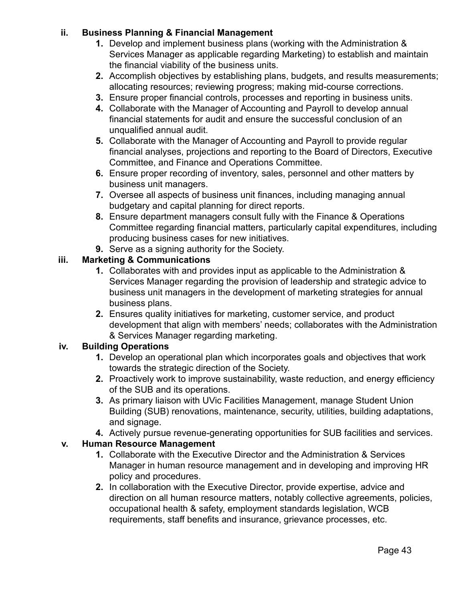#### **ii. Business Planning & Financial Management**

- **1.** Develop and implement business plans (working with the Administration & Services Manager as applicable regarding Marketing) to establish and maintain the financial viability of the business units.
- **2.** Accomplish objectives by establishing plans, budgets, and results measurements; allocating resources; reviewing progress; making mid-course corrections.
- **3.** Ensure proper financial controls, processes and reporting in business units.
- **4.** Collaborate with the Manager of Accounting and Payroll to develop annual financial statements for audit and ensure the successful conclusion of an unqualified annual audit.
- **5.** Collaborate with the Manager of Accounting and Payroll to provide regular financial analyses, projections and reporting to the Board of Directors, Executive Committee, and Finance and Operations Committee.
- **6.** Ensure proper recording of inventory, sales, personnel and other matters by business unit managers.
- **7.** Oversee all aspects of business unit finances, including managing annual budgetary and capital planning for direct reports.
- **8.** Ensure department managers consult fully with the Finance & Operations Committee regarding financial matters, particularly capital expenditures, including producing business cases for new initiatives.
- **9.** Serve as a signing authority for the Society.

#### **iii. Marketing & Communications**

- **1.** Collaborates with and provides input as applicable to the Administration & Services Manager regarding the provision of leadership and strategic advice to business unit managers in the development of marketing strategies for annual business plans.
- **2.** Ensures quality initiatives for marketing, customer service, and product development that align with members' needs; collaborates with the Administration & Services Manager regarding marketing.

#### **iv. Building Operations**

- **1.** Develop an operational plan which incorporates goals and objectives that work towards the strategic direction of the Society.
- **2.** Proactively work to improve sustainability, waste reduction, and energy efficiency of the SUB and its operations.
- **3.** As primary liaison with UVic Facilities Management, manage Student Union Building (SUB) renovations, maintenance, security, utilities, building adaptations, and signage.
- **4.** Actively pursue revenue-generating opportunities for SUB facilities and services.

#### **v. Human Resource Management**

- **1.** Collaborate with the Executive Director and the Administration & Services Manager in human resource management and in developing and improving HR policy and procedures.
- **2.** In collaboration with the Executive Director, provide expertise, advice and direction on all human resource matters, notably collective agreements, policies, occupational health & safety, employment standards legislation, WCB requirements, staff benefits and insurance, grievance processes, etc.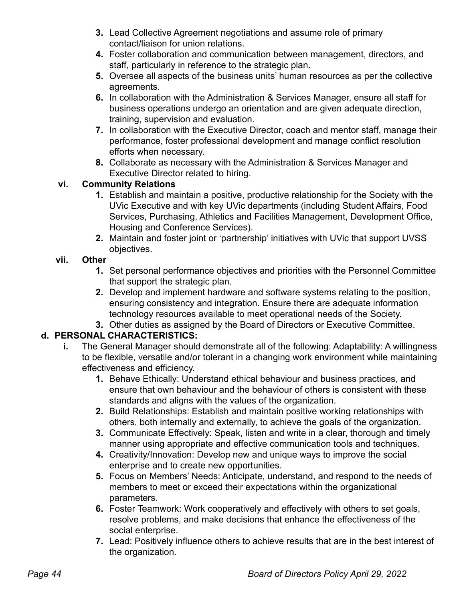- **3.** Lead Collective Agreement negotiations and assume role of primary contact/liaison for union relations.
- **4.** Foster collaboration and communication between management, directors, and staff, particularly in reference to the strategic plan.
- **5.** Oversee all aspects of the business units' human resources as per the collective agreements.
- **6.** In collaboration with the Administration & Services Manager, ensure all staff for business operations undergo an orientation and are given adequate direction, training, supervision and evaluation.
- **7.** In collaboration with the Executive Director, coach and mentor staff, manage their performance, foster professional development and manage conflict resolution efforts when necessary.
- **8.** Collaborate as necessary with the Administration & Services Manager and Executive Director related to hiring.

### **vi. Community Relations**

- **1.** Establish and maintain a positive, productive relationship for the Society with the UVic Executive and with key UVic departments (including Student Affairs, Food Services, Purchasing, Athletics and Facilities Management, Development Office, Housing and Conference Services).
- **2.** Maintain and foster joint or 'partnership' initiatives with UVic that support UVSS objectives.

### **vii. Other**

- **1.** Set personal performance objectives and priorities with the Personnel Committee that support the strategic plan.
- **2.** Develop and implement hardware and software systems relating to the position, ensuring consistency and integration. Ensure there are adequate information technology resources available to meet operational needs of the Society.
- **3.** Other duties as assigned by the Board of Directors or Executive Committee.

### **d. PERSONAL CHARACTERISTICS:**

- **i.** The General Manager should demonstrate all of the following: Adaptability: A willingness to be flexible, versatile and/or tolerant in a changing work environment while maintaining effectiveness and efficiency.
	- **1.** Behave Ethically: Understand ethical behaviour and business practices, and ensure that own behaviour and the behaviour of others is consistent with these standards and aligns with the values of the organization.
	- **2.** Build Relationships: Establish and maintain positive working relationships with others, both internally and externally, to achieve the goals of the organization.
	- **3.** Communicate Effectively: Speak, listen and write in a clear, thorough and timely manner using appropriate and effective communication tools and techniques.
	- **4.** Creativity/Innovation: Develop new and unique ways to improve the social enterprise and to create new opportunities.
	- **5.** Focus on Members' Needs: Anticipate, understand, and respond to the needs of members to meet or exceed their expectations within the organizational parameters.
	- **6.** Foster Teamwork: Work cooperatively and effectively with others to set goals, resolve problems, and make decisions that enhance the effectiveness of the social enterprise.
	- **7.** Lead: Positively influence others to achieve results that are in the best interest of the organization.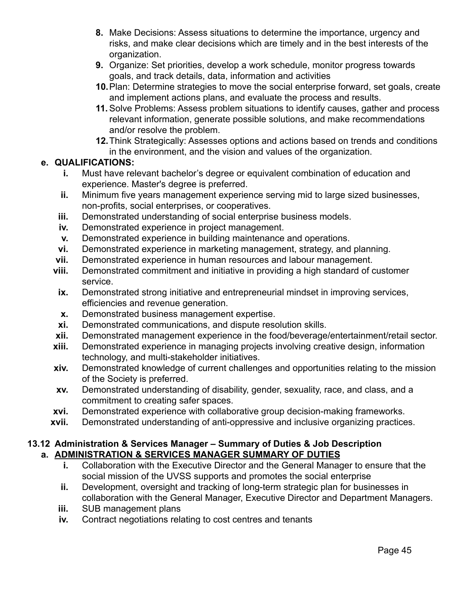- **8.** Make Decisions: Assess situations to determine the importance, urgency and risks, and make clear decisions which are timely and in the best interests of the organization.
- **9.** Organize: Set priorities, develop a work schedule, monitor progress towards goals, and track details, data, information and activities
- **10.**Plan: Determine strategies to move the social enterprise forward, set goals, create and implement actions plans, and evaluate the process and results.
- **11.**Solve Problems: Assess problem situations to identify causes, gather and process relevant information, generate possible solutions, and make recommendations and/or resolve the problem.
- **12.**Think Strategically: Assesses options and actions based on trends and conditions in the environment, and the vision and values of the organization.

#### **e. QUALIFICATIONS:**

- **i.** Must have relevant bachelor's degree or equivalent combination of education and experience. Master's degree is preferred.
- **ii.** Minimum five years management experience serving mid to large sized businesses, non-profits, social enterprises, or cooperatives.
- **iii.** Demonstrated understanding of social enterprise business models.
- **iv.** Demonstrated experience in project management.
- **v.** Demonstrated experience in building maintenance and operations.
- **vi.** Demonstrated experience in marketing management, strategy, and planning.
- **vii.** Demonstrated experience in human resources and labour management.
- **viii.** Demonstrated commitment and initiative in providing a high standard of customer service.
- **ix.** Demonstrated strong initiative and entrepreneurial mindset in improving services, efficiencies and revenue generation.
- **x.** Demonstrated business management expertise.
- **xi.** Demonstrated communications, and dispute resolution skills.
- **xii.** Demonstrated management experience in the food/beverage/entertainment/retail sector.
- **xiii.** Demonstrated experience in managing projects involving creative design, information technology, and multi-stakeholder initiatives.
- **xiv.** Demonstrated knowledge of current challenges and opportunities relating to the mission of the Society is preferred.
- **xv.** Demonstrated understanding of disability, gender, sexuality, race, and class, and a commitment to creating safer spaces.
- **xvi.** Demonstrated experience with collaborative group decision-making frameworks.
- **xvii.** Demonstrated understanding of anti-oppressive and inclusive organizing practices.

#### **13.12 Administration & Services Manager – Summary of Duties & Job Description a. ADMINISTRATION & SERVICES MANAGER SUMMARY OF DUTIES**

- **i.** Collaboration with the Executive Director and the General Manager to ensure that the social mission of the UVSS supports and promotes the social enterprise
- **ii.** Development, oversight and tracking of long-term strategic plan for businesses in collaboration with the General Manager, Executive Director and Department Managers.
- **iii.** SUB management plans
- **iv.** Contract negotiations relating to cost centres and tenants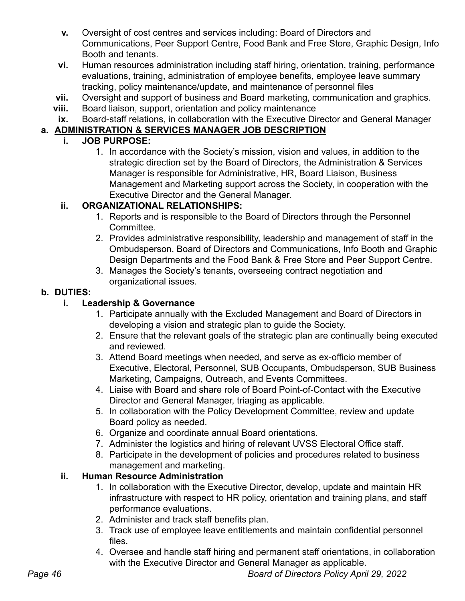- **v.** Oversight of cost centres and services including: Board of Directors and Communications, Peer Support Centre, Food Bank and Free Store, Graphic Design, Info Booth and tenants.
- **vi.** Human resources administration including staff hiring, orientation, training, performance evaluations, training, administration of employee benefits, employee leave summary tracking, policy maintenance/update, and maintenance of personnel files
- **vii.** Oversight and support of business and Board marketing, communication and graphics.
- **viii.** Board liaison, support, orientation and policy maintenance
- **ix.** Board-staff relations, in collaboration with the Executive Director and General Manager

### **a. ADMINISTRATION & SERVICES MANAGER JOB DESCRIPTION**

#### **i. JOB PURPOSE:**

1. In accordance with the Society's mission, vision and values, in addition to the strategic direction set by the Board of Directors, the Administration & Services Manager is responsible for Administrative, HR, Board Liaison, Business Management and Marketing support across the Society, in cooperation with the Executive Director and the General Manager.

### **ii. ORGANIZATIONAL RELATIONSHIPS:**

- 1. Reports and is responsible to the Board of Directors through the Personnel Committee.
- 2. Provides administrative responsibility, leadership and management of staff in the Ombudsperson, Board of Directors and Communications, Info Booth and Graphic Design Departments and the Food Bank & Free Store and Peer Support Centre.
- 3. Manages the Society's tenants, overseeing contract negotiation and organizational issues.

#### **b. DUTIES:**

### **i. Leadership & Governance**

- 1. Participate annually with the Excluded Management and Board of Directors in developing a vision and strategic plan to guide the Society.
- 2. Ensure that the relevant goals of the strategic plan are continually being executed and reviewed.
- 3. Attend Board meetings when needed, and serve as ex-officio member of Executive, Electoral, Personnel, SUB Occupants, Ombudsperson, SUB Business Marketing, Campaigns, Outreach, and Events Committees.
- 4. Liaise with Board and share role of Board Point-of-Contact with the Executive Director and General Manager, triaging as applicable.
- 5. In collaboration with the Policy Development Committee, review and update Board policy as needed.
- 6. Organize and coordinate annual Board orientations.
- 7. Administer the logistics and hiring of relevant UVSS Electoral Office staff.
- 8. Participate in the development of policies and procedures related to business management and marketing.

### **ii. Human Resource Administration**

- 1. In collaboration with the Executive Director, develop, update and maintain HR infrastructure with respect to HR policy, orientation and training plans, and staff performance evaluations.
- 2. Administer and track staff benefits plan.
- 3. Track use of employee leave entitlements and maintain confidential personnel files.
- 4. Oversee and handle staff hiring and permanent staff orientations, in collaboration with the Executive Director and General Manager as applicable.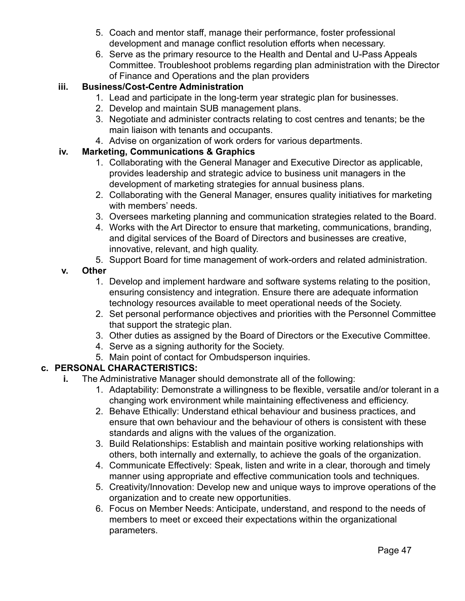- 5. Coach and mentor staff, manage their performance, foster professional development and manage conflict resolution efforts when necessary.
- 6. Serve as the primary resource to the Health and Dental and U-Pass Appeals Committee. Troubleshoot problems regarding plan administration with the Director of Finance and Operations and the plan providers

### **iii. Business/Cost-Centre Administration**

- 1. Lead and participate in the long-term year strategic plan for businesses.
- 2. Develop and maintain SUB management plans.
- 3. Negotiate and administer contracts relating to cost centres and tenants; be the main liaison with tenants and occupants.
- 4. Advise on organization of work orders for various departments.

### **iv. Marketing, Communications & Graphics**

- 1. Collaborating with the General Manager and Executive Director as applicable, provides leadership and strategic advice to business unit managers in the development of marketing strategies for annual business plans.
- 2. Collaborating with the General Manager, ensures quality initiatives for marketing with members' needs.
- 3. Oversees marketing planning and communication strategies related to the Board.
- 4. Works with the Art Director to ensure that marketing, communications, branding, and digital services of the Board of Directors and businesses are creative, innovative, relevant, and high quality.
- 5. Support Board for time management of work-orders and related administration.

### **v. Other**

- 1. Develop and implement hardware and software systems relating to the position, ensuring consistency and integration. Ensure there are adequate information technology resources available to meet operational needs of the Society.
- 2. Set personal performance objectives and priorities with the Personnel Committee that support the strategic plan.
- 3. Other duties as assigned by the Board of Directors or the Executive Committee.
- 4. Serve as a signing authority for the Society.
- 5. Main point of contact for Ombudsperson inquiries.

### **c. PERSONAL CHARACTERISTICS:**

- **i.** The Administrative Manager should demonstrate all of the following:
	- 1. Adaptability: Demonstrate a willingness to be flexible, versatile and/or tolerant in a changing work environment while maintaining effectiveness and efficiency.
	- 2. Behave Ethically: Understand ethical behaviour and business practices, and ensure that own behaviour and the behaviour of others is consistent with these standards and aligns with the values of the organization.
	- 3. Build Relationships: Establish and maintain positive working relationships with others, both internally and externally, to achieve the goals of the organization.
	- 4. Communicate Effectively: Speak, listen and write in a clear, thorough and timely manner using appropriate and effective communication tools and techniques.
	- 5. Creativity/Innovation: Develop new and unique ways to improve operations of the organization and to create new opportunities.
	- 6. Focus on Member Needs: Anticipate, understand, and respond to the needs of members to meet or exceed their expectations within the organizational parameters.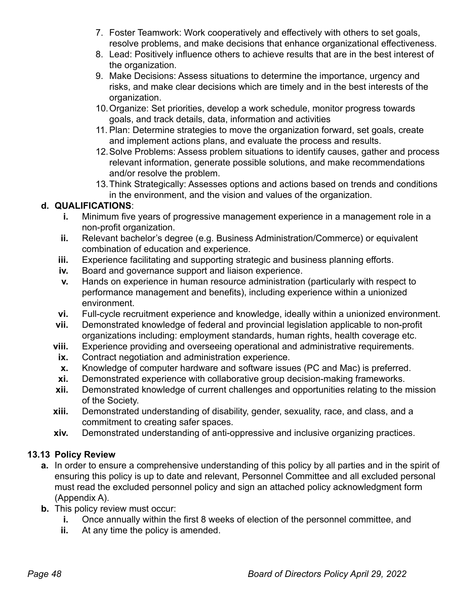- 7. Foster Teamwork: Work cooperatively and effectively with others to set goals, resolve problems, and make decisions that enhance organizational effectiveness.
- 8. Lead: Positively influence others to achieve results that are in the best interest of the organization.
- 9. Make Decisions: Assess situations to determine the importance, urgency and risks, and make clear decisions which are timely and in the best interests of the organization.
- 10.Organize: Set priorities, develop a work schedule, monitor progress towards goals, and track details, data, information and activities
- 11. Plan: Determine strategies to move the organization forward, set goals, create and implement actions plans, and evaluate the process and results.
- 12.Solve Problems: Assess problem situations to identify causes, gather and process relevant information, generate possible solutions, and make recommendations and/or resolve the problem.
- 13.Think Strategically: Assesses options and actions based on trends and conditions in the environment, and the vision and values of the organization.

### **d. QUALIFICATIONS**:

- **i.** Minimum five years of progressive management experience in a management role in a non-profit organization.
- **ii.** Relevant bachelor's degree (e.g. Business Administration/Commerce) or equivalent combination of education and experience.
- **iii.** Experience facilitating and supporting strategic and business planning efforts.
- **iv.** Board and governance support and liaison experience.
- **v.** Hands on experience in human resource administration (particularly with respect to performance management and benefits), including experience within a unionized environment.
- **vi.** Full-cycle recruitment experience and knowledge, ideally within a unionized environment.
- **vii.** Demonstrated knowledge of federal and provincial legislation applicable to non-profit organizations including: employment standards, human rights, health coverage etc.
- **viii.** Experience providing and overseeing operational and administrative requirements.
- **ix.** Contract negotiation and administration experience.
- **x.** Knowledge of computer hardware and software issues (PC and Mac) is preferred.
- **xi.** Demonstrated experience with collaborative group decision-making frameworks.
- **xii.** Demonstrated knowledge of current challenges and opportunities relating to the mission of the Society.
- **xiii.** Demonstrated understanding of disability, gender, sexuality, race, and class, and a commitment to creating safer spaces.
- **xiv.** Demonstrated understanding of anti-oppressive and inclusive organizing practices.

### **13.13 Policy Review**

- **a.** In order to ensure a comprehensive understanding of this policy by all parties and in the spirit of ensuring this policy is up to date and relevant, Personnel Committee and all excluded personal must read the excluded personnel policy and sign an attached policy acknowledgment form (Appendix A).
- **b.** This policy review must occur:
	- **i.** Once annually within the first 8 weeks of election of the personnel committee, and
	- **ii.** At any time the policy is amended.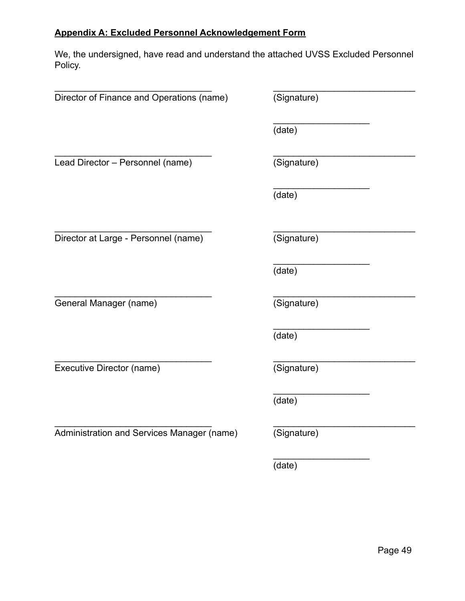### **Appendix A: Excluded Personnel Acknowledgement Form**

We, the undersigned, have read and understand the attached UVSS Excluded Personnel Policy.

| Director of Finance and Operations (name)  | (Signature) |
|--------------------------------------------|-------------|
|                                            | (date)      |
| Lead Director - Personnel (name)           | (Signature) |
|                                            | (date)      |
| Director at Large - Personnel (name)       | (Signature) |
|                                            | (date)      |
| General Manager (name)                     | (Signature) |
|                                            | (date)      |
| Executive Director (name)                  | (Signature) |
|                                            | (date)      |
| Administration and Services Manager (name) | (Signature) |
|                                            | (date)      |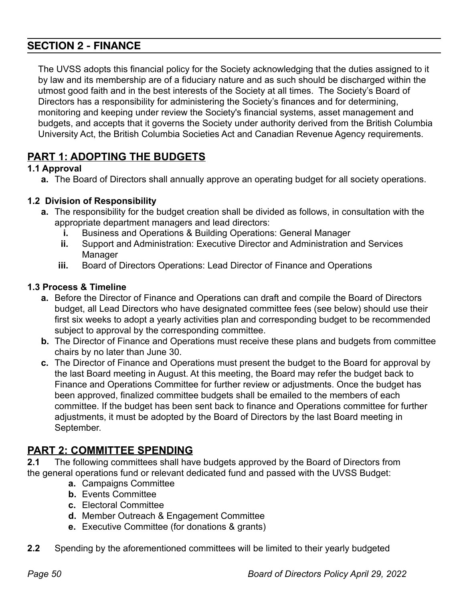### **SECTION 2 - FINANCE**

The UVSS adopts this financial policy for the Society acknowledging that the duties assigned to it by law and its membership are of a fiduciary nature and as such should be discharged within the utmost good faith and in the best interests of the Society at all times. The Society's Board of Directors has a responsibility for administering the Society's finances and for determining, monitoring and keeping under review the Society's financial systems, asset management and budgets, and accepts that it governs the Society under authority derived from the British Columbia University Act, the British Columbia Societies Act and Canadian Revenue Agency requirements.

## **PART 1: ADOPTING THE BUDGETS**

#### **1.1 Approval**

**a.** The Board of Directors shall annually approve an operating budget for all society operations.

#### **1.2 Division of Responsibility**

- **a.** The responsibility for the budget creation shall be divided as follows, in consultation with the appropriate department managers and lead directors:
	- **i.** Business and Operations & Building Operations: General Manager
	- **ii.** Support and Administration: Executive Director and Administration and Services Manager
	- **iii.** Board of Directors Operations: Lead Director of Finance and Operations

#### **1.3 Process & Timeline**

- **a.** Before the Director of Finance and Operations can draft and compile the Board of Directors budget, all Lead Directors who have designated committee fees (see below) should use their first six weeks to adopt a yearly activities plan and corresponding budget to be recommended subject to approval by the corresponding committee.
- **b.** The Director of Finance and Operations must receive these plans and budgets from committee chairs by no later than June 30.
- **c.** The Director of Finance and Operations must present the budget to the Board for approval by the last Board meeting in August. At this meeting, the Board may refer the budget back to Finance and Operations Committee for further review or adjustments. Once the budget has been approved, finalized committee budgets shall be emailed to the members of each committee. If the budget has been sent back to finance and Operations committee for further adjustments, it must be adopted by the Board of Directors by the last Board meeting in September.

## **PART 2: COMMITTEE SPENDING**

**2.1** The following committees shall have budgets approved by the Board of Directors from the general operations fund or relevant dedicated fund and passed with the UVSS Budget:

- **a.** Campaigns Committee
- **b.** Events Committee
- **c.** Electoral Committee
- **d.** Member Outreach & Engagement Committee
- **e.** Executive Committee (for donations & grants)
- **2.2** Spending by the aforementioned committees will be limited to their yearly budgeted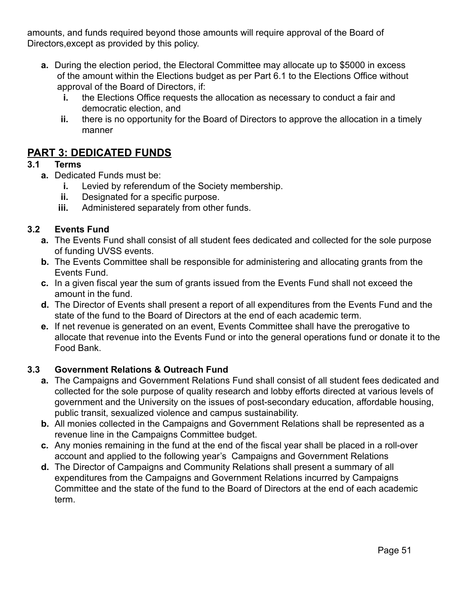amounts, and funds required beyond those amounts will require approval of the Board of Directors,except as provided by this policy.

- **a.** During the election period, the Electoral Committee may allocate up to \$5000 in excess of the amount within the Elections budget as per Part 6.1 to the Elections Office without approval of the Board of Directors, if:
	- **i.** the Elections Office requests the allocation as necessary to conduct a fair and democratic election, and
	- **ii.** there is no opportunity for the Board of Directors to approve the allocation in a timely manner

## **PART 3: DEDICATED FUNDS**

#### **3.1 Terms**

- **a.** Dedicated Funds must be:
	- **i.** Levied by referendum of the Society membership.
	- **ii.** Designated for a specific purpose.
	- **iii.** Administered separately from other funds.

#### **3.2 Events Fund**

- **a.** The Events Fund shall consist of all student fees dedicated and collected for the sole purpose of funding UVSS events.
- **b.** The Events Committee shall be responsible for administering and allocating grants from the Events Fund.
- **c.** In a given fiscal year the sum of grants issued from the Events Fund shall not exceed the amount in the fund.
- **d.** The Director of Events shall present a report of all expenditures from the Events Fund and the state of the fund to the Board of Directors at the end of each academic term.
- **e.** If net revenue is generated on an event, Events Committee shall have the prerogative to allocate that revenue into the Events Fund or into the general operations fund or donate it to the Food Bank.

### **3.3 Government Relations & Outreach Fund**

- **a.** The Campaigns and Government Relations Fund shall consist of all student fees dedicated and collected for the sole purpose of quality research and lobby efforts directed at various levels of government and the University on the issues of post-secondary education, affordable housing, public transit, sexualized violence and campus sustainability.
- **b.** All monies collected in the Campaigns and Government Relations shall be represented as a revenue line in the Campaigns Committee budget.
- **c.** Any monies remaining in the fund at the end of the fiscal year shall be placed in a roll-over account and applied to the following year's Campaigns and Government Relations
- **d.** The Director of Campaigns and Community Relations shall present a summary of all expenditures from the Campaigns and Government Relations incurred by Campaigns Committee and the state of the fund to the Board of Directors at the end of each academic term.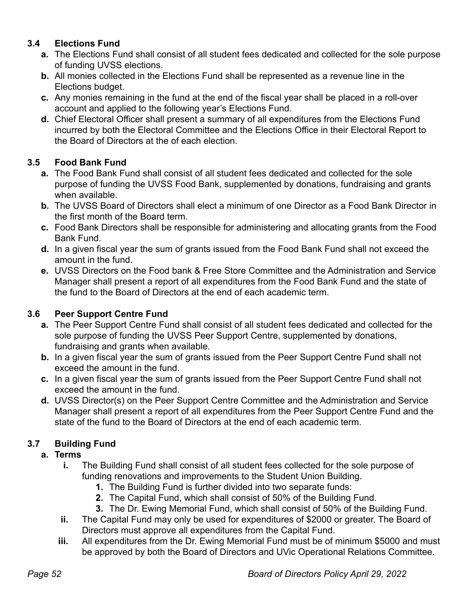### **3.4 Elections Fund**

- **a.** The Elections Fund shall consist of all student fees dedicated and collected for the sole purpose of funding UVSS elections.
- **b.** All monies collected in the Elections Fund shall be represented as a revenue line in the Elections budget.
- **c.** Any monies remaining in the fund at the end of the fiscal year shall be placed in a roll-over account and applied to the following year's Elections Fund.
- **d.** Chief Electoral Officer shall present a summary of all expenditures from the Elections Fund incurred by both the Electoral Committee and the Elections Office in their Electoral Report to the Board of Directors at the of each election.

### **3.5 Food Bank Fund**

- **a.** The Food Bank Fund shall consist of all student fees dedicated and collected for the sole purpose of funding the UVSS Food Bank, supplemented by donations, fundraising and grants when available.
- **b.** The UVSS Board of Directors shall elect a minimum of one Director as a Food Bank Director in the first month of the Board term.
- **c.** Food Bank Directors shall be responsible for administering and allocating grants from the Food Bank Fund.
- **d.** In a given fiscal year the sum of grants issued from the Food Bank Fund shall not exceed the amount in the fund.
- **e.** UVSS Directors on the Food bank & Free Store Committee and the Administration and Service Manager shall present a report of all expenditures from the Food Bank Fund and the state of the fund to the Board of Directors at the end of each academic term.

### **3.6 Peer Support Centre Fund**

- **a.** The Peer Support Centre Fund shall consist of all student fees dedicated and collected for the sole purpose of funding the UVSS Peer Support Centre, supplemented by donations, fundraising and grants when available.
- **b.** In a given fiscal year the sum of grants issued from the Peer Support Centre Fund shall not exceed the amount in the fund.
- **c.** In a given fiscal year the sum of grants issued from the Peer Support Centre Fund shall not exceed the amount in the fund.
- **d.** UVSS Director(s) on the Peer Support Centre Committee and the Administration and Service Manager shall present a report of all expenditures from the Peer Support Centre Fund and the state of the fund to the Board of Directors at the end of each academic term.

### **3.7 Building Fund**

### **a. Terms**

- **i.** The Building Fund shall consist of all student fees collected for the sole purpose of funding renovations and improvements to the Student Union Building.
	- **1.** The Building Fund is further divided into two separate funds:
	- **2.** The Capital Fund, which shall consist of 50% of the Building Fund.
	- **3.** The Dr. Ewing Memorial Fund, which shall consist of 50% of the Building Fund.
- **ii.** The Capital Fund may only be used for expenditures of \$2000 or greater. The Board of Directors must approve all expenditures from the Capital Fund.
- **iii.** All expenditures from the Dr. Ewing Memorial Fund must be of minimum \$5000 and must be approved by both the Board of Directors and UVic Operational Relations Committee.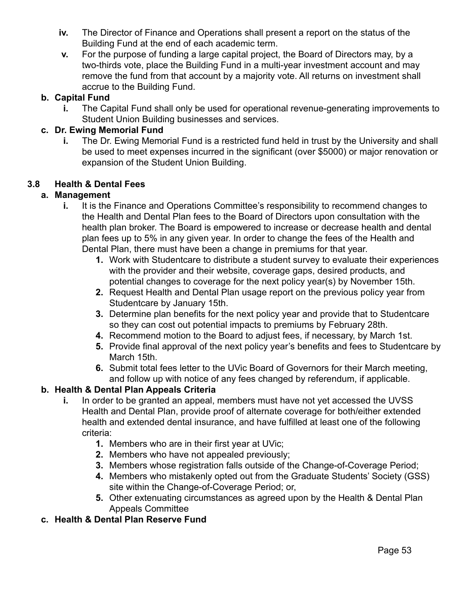- **iv.** The Director of Finance and Operations shall present a report on the status of the Building Fund at the end of each academic term.
- **v.** For the purpose of funding a large capital project, the Board of Directors may, by a two-thirds vote, place the Building Fund in a multi-year investment account and may remove the fund from that account by a majority vote. All returns on investment shall accrue to the Building Fund.

### **b. Capital Fund**

**i.** The Capital Fund shall only be used for operational revenue-generating improvements to Student Union Building businesses and services.

### **c. Dr. Ewing Memorial Fund**

**i.** The Dr. Ewing Memorial Fund is a restricted fund held in trust by the University and shall be used to meet expenses incurred in the significant (over \$5000) or major renovation or expansion of the Student Union Building.

### **3.8 Health & Dental Fees**

### **a. Management**

- **i.** It is the Finance and Operations Committee's responsibility to recommend changes to the Health and Dental Plan fees to the Board of Directors upon consultation with the health plan broker. The Board is empowered to increase or decrease health and dental plan fees up to 5% in any given year. In order to change the fees of the Health and Dental Plan, there must have been a change in premiums for that year.
	- **1.** Work with Studentcare to distribute a student survey to evaluate their experiences with the provider and their website, coverage gaps, desired products, and potential changes to coverage for the next policy year(s) by November 15th.
	- **2.** Request Health and Dental Plan usage report on the previous policy year from Studentcare by January 15th.
	- **3.** Determine plan benefits for the next policy year and provide that to Studentcare so they can cost out potential impacts to premiums by February 28th.
	- **4.** Recommend motion to the Board to adjust fees, if necessary, by March 1st.
	- **5.** Provide final approval of the next policy year's benefits and fees to Studentcare by March 15th.
	- **6.** Submit total fees letter to the UVic Board of Governors for their March meeting, and follow up with notice of any fees changed by referendum, if applicable.

### **b. Health & Dental Plan Appeals Criteria**

- **i.** In order to be granted an appeal, members must have not yet accessed the UVSS Health and Dental Plan, provide proof of alternate coverage for both/either extended health and extended dental insurance, and have fulfilled at least one of the following criteria:
	- **1.** Members who are in their first year at UVic;
	- **2.** Members who have not appealed previously;
	- **3.** Members whose registration falls outside of the Change-of-Coverage Period;
	- **4.** Members who mistakenly opted out from the Graduate Students' Society (GSS) site within the Change-of-Coverage Period; or,
	- **5.** Other extenuating circumstances as agreed upon by the Health & Dental Plan Appeals Committee
- **c. Health & Dental Plan Reserve Fund**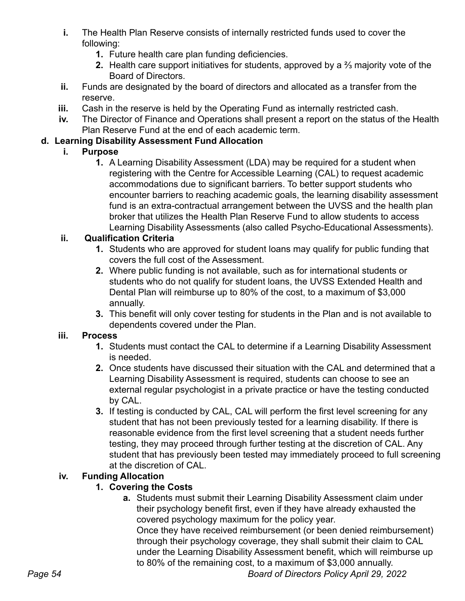- **i.** The Health Plan Reserve consists of internally restricted funds used to cover the following:
	- **1.** Future health care plan funding deficiencies.
	- **2.** Health care support initiatives for students, approved by a ⅔ majority vote of the Board of Directors.
- **ii.** Funds are designated by the board of directors and allocated as a transfer from the reserve.
- **iii.** Cash in the reserve is held by the Operating Fund as internally restricted cash.
- **iv.** The Director of Finance and Operations shall present a report on the status of the Health Plan Reserve Fund at the end of each academic term.

### **d. Learning Disability Assessment Fund Allocation**

### **i. Purpose**

**1.** A Learning Disability Assessment (LDA) may be required for a student when registering with the Centre for Accessible Learning (CAL) to request academic accommodations due to significant barriers. To better support students who encounter barriers to reaching academic goals, the learning disability assessment fund is an extra-contractual arrangement between the UVSS and the health plan broker that utilizes the Health Plan Reserve Fund to allow students to access Learning Disability Assessments (also called Psycho-Educational Assessments).

### **ii. Qualification Criteria**

- **1.** Students who are approved for student loans may qualify for public funding that covers the full cost of the Assessment.
- **2.** Where public funding is not available, such as for international students or students who do not qualify for student loans, the UVSS Extended Health and Dental Plan will reimburse up to 80% of the cost, to a maximum of \$3,000 annually.
- **3.** This benefit will only cover testing for students in the Plan and is not available to dependents covered under the Plan.

### **iii. Process**

- **1.** Students must contact the CAL to determine if a Learning Disability Assessment is needed.
- **2.** Once students have discussed their situation with the CAL and determined that a Learning Disability Assessment is required, students can choose to see an external regular psychologist in a private practice or have the testing conducted by CAL.
- **3.** If testing is conducted by CAL, CAL will perform the first level screening for any student that has not been previously tested for a learning disability. If there is reasonable evidence from the first level screening that a student needs further testing, they may proceed through further testing at the discretion of CAL. Any student that has previously been tested may immediately proceed to full screening at the discretion of CAL.

### **iv. Funding Allocation**

### **1. Covering the Costs**

**a.** Students must submit their Learning Disability Assessment claim under their psychology benefit first, even if they have already exhausted the covered psychology maximum for the policy year.

Once they have received reimbursement (or been denied reimbursement) through their psychology coverage, they shall submit their claim to CAL under the Learning Disability Assessment benefit, which will reimburse up to 80% of the remaining cost, to a maximum of \$3,000 annually.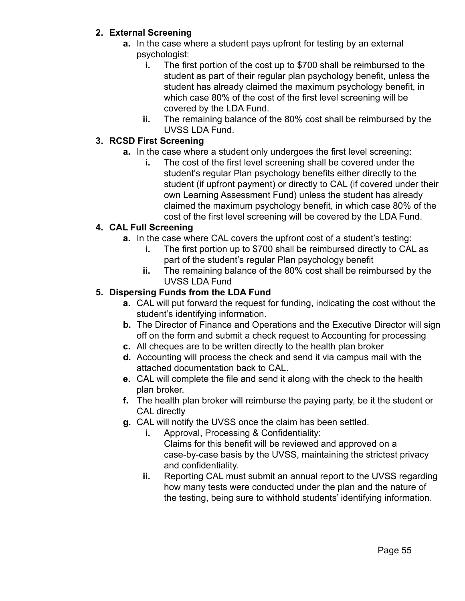#### **2. External Screening**

- **a.** In the case where a student pays upfront for testing by an external psychologist:
	- **i.** The first portion of the cost up to \$700 shall be reimbursed to the student as part of their regular plan psychology benefit, unless the student has already claimed the maximum psychology benefit, in which case 80% of the cost of the first level screening will be covered by the LDA Fund.
	- **ii.** The remaining balance of the 80% cost shall be reimbursed by the UVSS LDA Fund.

#### **3. RCSD First Screening**

- **a.** In the case where a student only undergoes the first level screening:
	- **i.** The cost of the first level screening shall be covered under the student's regular Plan psychology benefits either directly to the student (if upfront payment) or directly to CAL (if covered under their own Learning Assessment Fund) unless the student has already claimed the maximum psychology benefit, in which case 80% of the cost of the first level screening will be covered by the LDA Fund.

#### **4. CAL Full Screening**

- **a.** In the case where CAL covers the upfront cost of a student's testing:
	- **i.** The first portion up to \$700 shall be reimbursed directly to CAL as part of the student's regular Plan psychology benefit
	- **ii.** The remaining balance of the 80% cost shall be reimbursed by the UVSS LDA Fund

#### **5. Dispersing Funds from the LDA Fund**

- **a.** CAL will put forward the request for funding, indicating the cost without the student's identifying information.
- **b.** The Director of Finance and Operations and the Executive Director will sign off on the form and submit a check request to Accounting for processing
- **c.** All cheques are to be written directly to the health plan broker
- **d.** Accounting will process the check and send it via campus mail with the attached documentation back to CAL.
- **e.** CAL will complete the file and send it along with the check to the health plan broker.
- **f.** The health plan broker will reimburse the paying party, be it the student or CAL directly
- **g.** CAL will notify the UVSS once the claim has been settled.
	- **i.** Approval, Processing & Confidentiality: Claims for this benefit will be reviewed and approved on a case-by-case basis by the UVSS, maintaining the strictest privacy and confidentiality.
	- **ii.** Reporting CAL must submit an annual report to the UVSS regarding how many tests were conducted under the plan and the nature of the testing, being sure to withhold students' identifying information.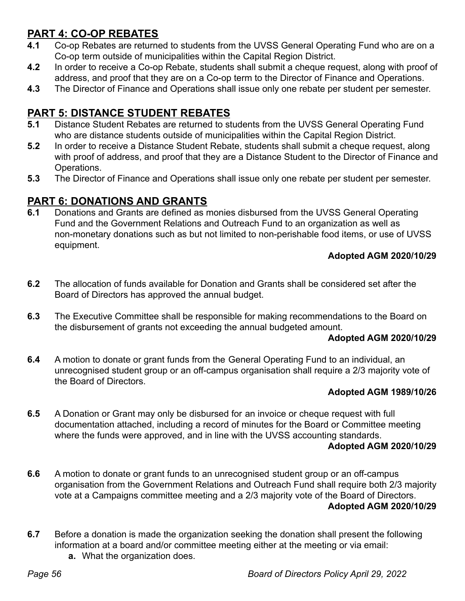## **PART 4: CO-OP REBATES**

- **4.1** Co-op Rebates are returned to students from the UVSS General Operating Fund who are on a Co-op term outside of municipalities within the Capital Region District.
- **4.2** In order to receive a Co-op Rebate, students shall submit a cheque request, along with proof of address, and proof that they are on a Co-op term to the Director of Finance and Operations.
- **4.3** The Director of Finance and Operations shall issue only one rebate per student per semester.

## **PART 5: DISTANCE STUDENT REBATES**

- **5.1** Distance Student Rebates are returned to students from the UVSS General Operating Fund who are distance students outside of municipalities within the Capital Region District.
- **5.2** In order to receive a Distance Student Rebate, students shall submit a cheque request, along with proof of address, and proof that they are a Distance Student to the Director of Finance and Operations.
- **5.3** The Director of Finance and Operations shall issue only one rebate per student per semester.

## **PART 6: DONATIONS AND GRANTS**

**6.1** Donations and Grants are defined as monies disbursed from the UVSS General Operating Fund and the Government Relations and Outreach Fund to an organization as well as non-monetary donations such as but not limited to non-perishable food items, or use of UVSS equipment.

#### **Adopted AGM 2020/10/29**

- **6.2** The allocation of funds available for Donation and Grants shall be considered set after the Board of Directors has approved the annual budget.
- **6.3** The Executive Committee shall be responsible for making recommendations to the Board on the disbursement of grants not exceeding the annual budgeted amount.

#### **Adopted AGM 2020/10/29**

**6.4** A motion to donate or grant funds from the General Operating Fund to an individual, an unrecognised student group or an off-campus organisation shall require a 2/3 majority vote of the Board of Directors.

#### **Adopted AGM 1989/10/26**

**6.5** A Donation or Grant may only be disbursed for an invoice or cheque request with full documentation attached, including a record of minutes for the Board or Committee meeting where the funds were approved, and in line with the UVSS accounting standards.

#### **Adopted AGM 2020/10/29**

- **6.6** A motion to donate or grant funds to an unrecognised student group or an off-campus organisation from the Government Relations and Outreach Fund shall require both 2/3 majority vote at a Campaigns committee meeting and a 2/3 majority vote of the Board of Directors. **Adopted AGM 2020/10/29**
- **6.7** Before a donation is made the organization seeking the donation shall present the following information at a board and/or committee meeting either at the meeting or via email:
	- **a.** What the organization does.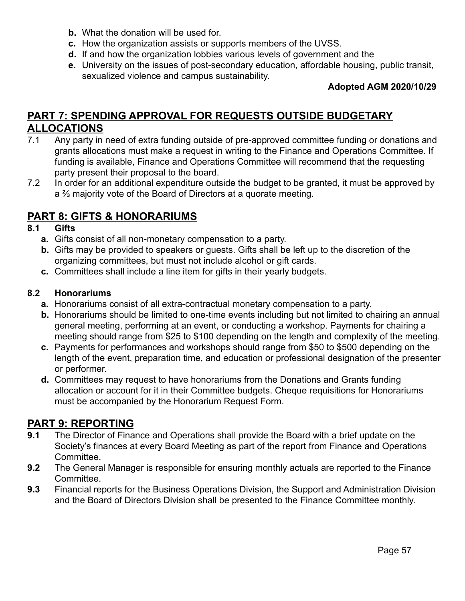- **b.** What the donation will be used for.
- **c.** How the organization assists or supports members of the UVSS.
- **d.** If and how the organization lobbies various levels of government and the
- **e.** University on the issues of post-secondary education, affordable housing, public transit, sexualized violence and campus sustainability.

#### **Adopted AGM 2020/10/29**

## **PART 7: SPENDING APPROVAL FOR REQUESTS OUTSIDE BUDGETARY ALLOCATIONS**

- 7.1 Any party in need of extra funding outside of pre-approved committee funding or donations and grants allocations must make a request in writing to the Finance and Operations Committee. If funding is available, Finance and Operations Committee will recommend that the requesting party present their proposal to the board.
- 7.2 In order for an additional expenditure outside the budget to be granted, it must be approved by a ⅔ majority vote of the Board of Directors at a quorate meeting.

### **PART 8: GIFTS & HONORARIUMS**

#### **8.1 Gifts**

- **a.** Gifts consist of all non-monetary compensation to a party.
- **b.** Gifts may be provided to speakers or guests. Gifts shall be left up to the discretion of the organizing committees, but must not include alcohol or gift cards.
- **c.** Committees shall include a line item for gifts in their yearly budgets.

#### **8.2 Honorariums**

- **a.** Honorariums consist of all extra-contractual monetary compensation to a party.
- **b.** Honorariums should be limited to one-time events including but not limited to chairing an annual general meeting, performing at an event, or conducting a workshop. Payments for chairing a meeting should range from \$25 to \$100 depending on the length and complexity of the meeting.
- **c.** Payments for performances and workshops should range from \$50 to \$500 depending on the length of the event, preparation time, and education or professional designation of the presenter or performer.
- **d.** Committees may request to have honorariums from the Donations and Grants funding allocation or account for it in their Committee budgets. Cheque requisitions for Honorariums must be accompanied by the Honorarium Request Form.

#### **PART 9: REPORTING**

- **9.1** The Director of Finance and Operations shall provide the Board with a brief update on the Society's finances at every Board Meeting as part of the report from Finance and Operations Committee.
- **9.2** The General Manager is responsible for ensuring monthly actuals are reported to the Finance Committee.
- **9.3** Financial reports for the Business Operations Division, the Support and Administration Division and the Board of Directors Division shall be presented to the Finance Committee monthly.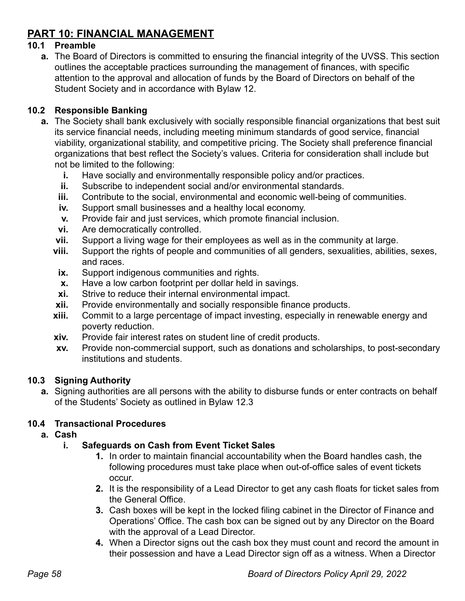## **PART 10: FINANCIAL MANAGEMENT**

#### **10.1 Preamble**

**a.** The Board of Directors is committed to ensuring the financial integrity of the UVSS. This section outlines the acceptable practices surrounding the management of finances, with specific attention to the approval and allocation of funds by the Board of Directors on behalf of the Student Society and in accordance with Bylaw 12.

#### **10.2 Responsible Banking**

- **a.** The Society shall bank exclusively with socially responsible financial organizations that best suit its service financial needs, including meeting minimum standards of good service, financial viability, organizational stability, and competitive pricing. The Society shall preference financial organizations that best reflect the Society's values. Criteria for consideration shall include but not be limited to the following:
	- **i.** Have socially and environmentally responsible policy and/or practices.
	- **ii.** Subscribe to independent social and/or environmental standards.
	- **iii.** Contribute to the social, environmental and economic well-being of communities.
	- **iv.** Support small businesses and a healthy local economy.
	- **v.** Provide fair and just services, which promote financial inclusion.
	- **vi.** Are democratically controlled.
	- **vii.** Support a living wage for their employees as well as in the community at large.
	- **viii.** Support the rights of people and communities of all genders, sexualities, abilities, sexes, and races.
	- **ix.** Support indigenous communities and rights.
	- **x.** Have a low carbon footprint per dollar held in savings.
	- **xi.** Strive to reduce their internal environmental impact.
	- **xii.** Provide environmentally and socially responsible finance products.
	- **xiii.** Commit to a large percentage of impact investing, especially in renewable energy and poverty reduction.
	- **xiv.** Provide fair interest rates on student line of credit products.
	- **xv.** Provide non-commercial support, such as donations and scholarships, to post-secondary institutions and students.

### **10.3 Signing Authority**

**a.** Signing authorities are all persons with the ability to disburse funds or enter contracts on behalf of the Students' Society as outlined in Bylaw 12.3

### **10.4 Transactional Procedures**

**a. Cash**

### **i. Safeguards on Cash from Event Ticket Sales**

- **1.** In order to maintain financial accountability when the Board handles cash, the following procedures must take place when out-of-office sales of event tickets occur.
- **2.** It is the responsibility of a Lead Director to get any cash floats for ticket sales from the General Office.
- **3.** Cash boxes will be kept in the locked filing cabinet in the Director of Finance and Operations' Office. The cash box can be signed out by any Director on the Board with the approval of a Lead Director.
- **4.** When a Director signs out the cash box they must count and record the amount in their possession and have a Lead Director sign off as a witness. When a Director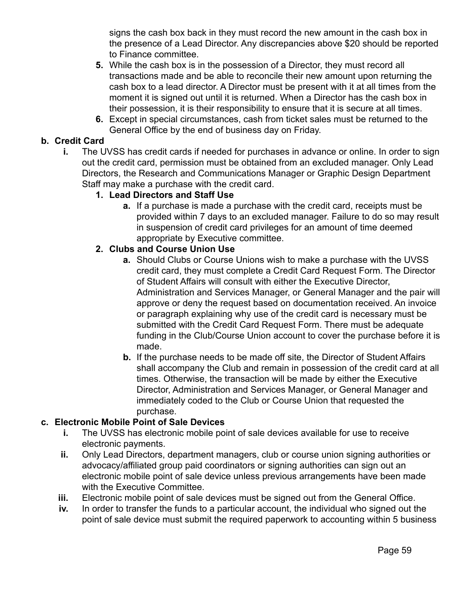signs the cash box back in they must record the new amount in the cash box in the presence of a Lead Director. Any discrepancies above \$20 should be reported to Finance committee.

- **5.** While the cash box is in the possession of a Director, they must record all transactions made and be able to reconcile their new amount upon returning the cash box to a lead director. A Director must be present with it at all times from the moment it is signed out until it is returned. When a Director has the cash box in their possession, it is their responsibility to ensure that it is secure at all times.
- **6.** Except in special circumstances, cash from ticket sales must be returned to the General Office by the end of business day on Friday.

#### **b. Credit Card**

**i.** The UVSS has credit cards if needed for purchases in advance or online. In order to sign out the credit card, permission must be obtained from an excluded manager. Only Lead Directors, the Research and Communications Manager or Graphic Design Department Staff may make a purchase with the credit card.

#### **1. Lead Directors and Staff Use**

**a.** If a purchase is made a purchase with the credit card, receipts must be provided within 7 days to an excluded manager. Failure to do so may result in suspension of credit card privileges for an amount of time deemed appropriate by Executive committee.

#### **2. Clubs and Course Union Use**

- **a.** Should Clubs or Course Unions wish to make a purchase with the UVSS credit card, they must complete a Credit Card Request Form. The Director of Student Affairs will consult with either the Executive Director, Administration and Services Manager, or General Manager and the pair will approve or deny the request based on documentation received. An invoice or paragraph explaining why use of the credit card is necessary must be submitted with the Credit Card Request Form. There must be adequate funding in the Club/Course Union account to cover the purchase before it is made.
- **b.** If the purchase needs to be made off site, the Director of Student Affairs shall accompany the Club and remain in possession of the credit card at all times. Otherwise, the transaction will be made by either the Executive Director, Administration and Services Manager, or General Manager and immediately coded to the Club or Course Union that requested the purchase.

#### **c. Electronic Mobile Point of Sale Devices**

- **i.** The UVSS has electronic mobile point of sale devices available for use to receive electronic payments.
- **ii.** Only Lead Directors, department managers, club or course union signing authorities or advocacy/affiliated group paid coordinators or signing authorities can sign out an electronic mobile point of sale device unless previous arrangements have been made with the Executive Committee.
- **iii.** Electronic mobile point of sale devices must be signed out from the General Office.
- **iv.** In order to transfer the funds to a particular account, the individual who signed out the point of sale device must submit the required paperwork to accounting within 5 business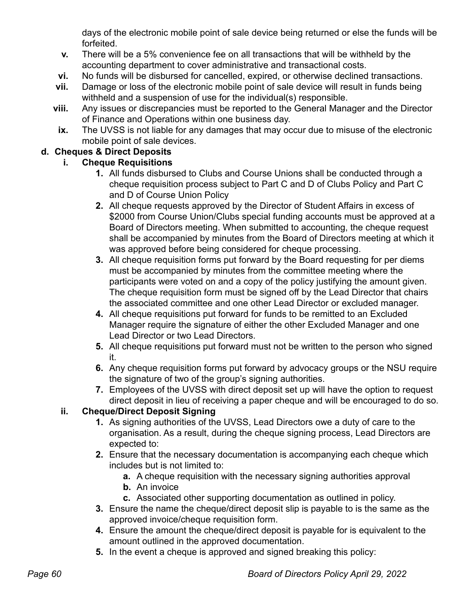days of the electronic mobile point of sale device being returned or else the funds will be forfeited.

- **v.** There will be a 5% convenience fee on all transactions that will be withheld by the accounting department to cover administrative and transactional costs.
- **vi.** No funds will be disbursed for cancelled, expired, or otherwise declined transactions.
- **vii.** Damage or loss of the electronic mobile point of sale device will result in funds being withheld and a suspension of use for the individual(s) responsible.
- **viii.** Any issues or discrepancies must be reported to the General Manager and the Director of Finance and Operations within one business day.
- **ix.** The UVSS is not liable for any damages that may occur due to misuse of the electronic mobile point of sale devices.

### **d. Cheques & Direct Deposits**

### **i. Cheque Requisitions**

- **1.** All funds disbursed to Clubs and Course Unions shall be conducted through a cheque requisition process subject to Part C and D of Clubs Policy and Part C and D of Course Union Policy
- **2.** All cheque requests approved by the Director of Student Affairs in excess of \$2000 from Course Union/Clubs special funding accounts must be approved at a Board of Directors meeting. When submitted to accounting, the cheque request shall be accompanied by minutes from the Board of Directors meeting at which it was approved before being considered for cheque processing.
- **3.** All cheque requisition forms put forward by the Board requesting for per diems must be accompanied by minutes from the committee meeting where the participants were voted on and a copy of the policy justifying the amount given. The cheque requisition form must be signed off by the Lead Director that chairs the associated committee and one other Lead Director or excluded manager.
- **4.** All cheque requisitions put forward for funds to be remitted to an Excluded Manager require the signature of either the other Excluded Manager and one Lead Director or two Lead Directors.
- **5.** All cheque requisitions put forward must not be written to the person who signed it.
- **6.** Any cheque requisition forms put forward by advocacy groups or the NSU require the signature of two of the group's signing authorities.
- **7.** Employees of the UVSS with direct deposit set up will have the option to request direct deposit in lieu of receiving a paper cheque and will be encouraged to do so.

### **ii. Cheque/Direct Deposit Signing**

- **1.** As signing authorities of the UVSS, Lead Directors owe a duty of care to the organisation. As a result, during the cheque signing process, Lead Directors are expected to:
- **2.** Ensure that the necessary documentation is accompanying each cheque which includes but is not limited to:
	- **a.** A cheque requisition with the necessary signing authorities approval
	- **b.** An invoice
	- **c.** Associated other supporting documentation as outlined in policy.
- **3.** Ensure the name the cheque/direct deposit slip is payable to is the same as the approved invoice/cheque requisition form.
- **4.** Ensure the amount the cheque/direct deposit is payable for is equivalent to the amount outlined in the approved documentation.
- **5.** In the event a cheque is approved and signed breaking this policy: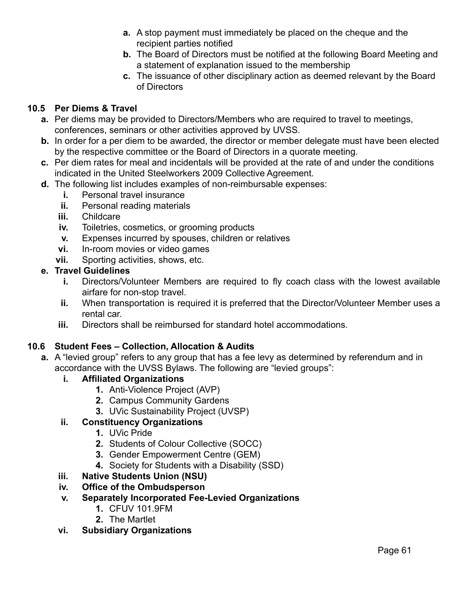- **a.** A stop payment must immediately be placed on the cheque and the recipient parties notified
- **b.** The Board of Directors must be notified at the following Board Meeting and a statement of explanation issued to the membership
- **c.** The issuance of other disciplinary action as deemed relevant by the Board of Directors

#### **10.5 Per Diems & Travel**

- **a.** Per diems may be provided to Directors/Members who are required to travel to meetings, conferences, seminars or other activities approved by UVSS.
- **b.** In order for a per diem to be awarded, the director or member delegate must have been elected by the respective committee or the Board of Directors in a quorate meeting.
- **c.** Per diem rates for meal and incidentals will be provided at the rate of and under the conditions indicated in the United Steelworkers 2009 Collective Agreement.
- **d.** The following list includes examples of non-reimbursable expenses:
	- **i.** Personal travel insurance
	- **ii.** Personal reading materials
	- **iii.** Childcare
	- **iv.** Toiletries, cosmetics, or grooming products
	- **v.** Expenses incurred by spouses, children or relatives
	- **vi.** In-room movies or video games
	- **vii.** Sporting activities, shows, etc.

#### **e. Travel Guidelines**

- **i.** Directors/Volunteer Members are required to fly coach class with the lowest available airfare for non-stop travel.
- **ii.** When transportation is required it is preferred that the Director/Volunteer Member uses a rental car.
- **iii.** Directors shall be reimbursed for standard hotel accommodations.

#### **10.6 Student Fees – Collection, Allocation & Audits**

- **a.** A "levied group" refers to any group that has a fee levy as determined by referendum and in accordance with the UVSS Bylaws. The following are "levied groups":
	- **i. Affiliated Organizations**
		- **1.** Anti-Violence Project (AVP)
		- **2.** Campus Community Gardens
		- **3.** UVic Sustainability Project (UVSP)

#### **ii. Constituency Organizations**

- **1.** UVic Pride
- **2.** Students of Colour Collective (SOCC)
- **3.** Gender Empowerment Centre (GEM)
- **4.** Society for Students with a Disability (SSD)

### **iii. Native Students Union (NSU)**

**iv. Office of the Ombudsperson**

### **v. Separately Incorporated Fee-Levied Organizations**

- **1.** CFUV 101.9FM
- **2.** The Martlet
- **vi. Subsidiary Organizations**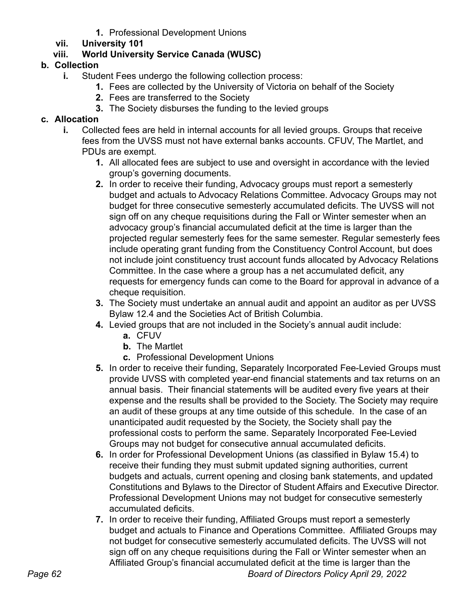**1.** Professional Development Unions

### **vii. University 101**

### **viii. World University Service Canada (WUSC)**

### **b. Collection**

- **i.** Student Fees undergo the following collection process:
	- **1.** Fees are collected by the University of Victoria on behalf of the Society
	- **2.** Fees are transferred to the Society
	- **3.** The Society disburses the funding to the levied groups

### **c. Allocation**

- **i.** Collected fees are held in internal accounts for all levied groups. Groups that receive fees from the UVSS must not have external banks accounts. CFUV, The Martlet, and PDUs are exempt.
	- **1.** All allocated fees are subject to use and oversight in accordance with the levied group's governing documents.
	- **2.** In order to receive their funding, Advocacy groups must report a semesterly budget and actuals to Advocacy Relations Committee. Advocacy Groups may not budget for three consecutive semesterly accumulated deficits. The UVSS will not sign off on any cheque requisitions during the Fall or Winter semester when an advocacy group's financial accumulated deficit at the time is larger than the projected regular semesterly fees for the same semester. Regular semesterly fees include operating grant funding from the Constituency Control Account, but does not include joint constituency trust account funds allocated by Advocacy Relations Committee. In the case where a group has a net accumulated deficit, any requests for emergency funds can come to the Board for approval in advance of a cheque requisition.
	- **3.** The Society must undertake an annual audit and appoint an auditor as per UVSS Bylaw 12.4 and the Societies Act of British Columbia.
	- **4.** Levied groups that are not included in the Society's annual audit include:
		- **a.** CFUV
		- **b.** The Martlet
		- **c.** Professional Development Unions
	- **5.** In order to receive their funding, Separately Incorporated Fee-Levied Groups must provide UVSS with completed year-end financial statements and tax returns on an annual basis. Their financial statements will be audited every five years at their expense and the results shall be provided to the Society. The Society may require an audit of these groups at any time outside of this schedule. In the case of an unanticipated audit requested by the Society, the Society shall pay the professional costs to perform the same. Separately Incorporated Fee-Levied Groups may not budget for consecutive annual accumulated deficits.
	- **6.** In order for Professional Development Unions (as classified in Bylaw 15.4) to receive their funding they must submit updated signing authorities, current budgets and actuals, current opening and closing bank statements, and updated Constitutions and Bylaws to the Director of Student Affairs and Executive Director. Professional Development Unions may not budget for consecutive semesterly accumulated deficits.
- **7.** In order to receive their funding, Affiliated Groups must report a semesterly budget and actuals to Finance and Operations Committee. Affiliated Groups may not budget for consecutive semesterly accumulated deficits. The UVSS will not sign off on any cheque requisitions during the Fall or Winter semester when an Affiliated Group's financial accumulated deficit at the time is larger than the *Page 62 Board of Directors Policy April 29, 2022*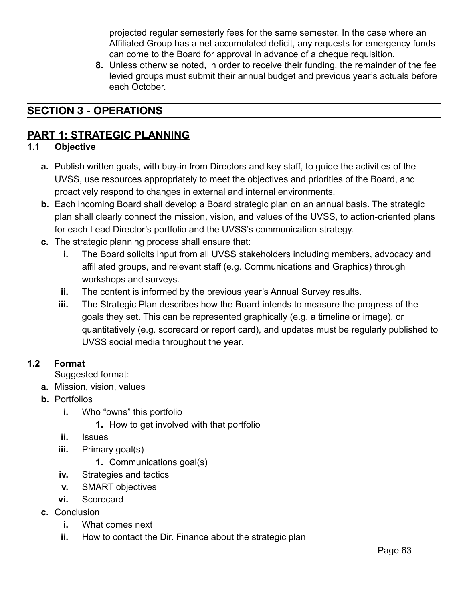projected regular semesterly fees for the same semester. In the case where an Affiliated Group has a net accumulated deficit, any requests for emergency funds can come to the Board for approval in advance of a cheque requisition.

**8.** Unless otherwise noted, in order to receive their funding, the remainder of the fee levied groups must submit their annual budget and previous year's actuals before each October.

## **SECTION 3 - OPERATIONS**

### **PART 1: STRATEGIC PLANNING**

#### **1.1 Objective**

- **a.** Publish written goals, with buy-in from Directors and key staff, to guide the activities of the UVSS, use resources appropriately to meet the objectives and priorities of the Board, and proactively respond to changes in external and internal environments.
- **b.** Each incoming Board shall develop a Board strategic plan on an annual basis. The strategic plan shall clearly connect the mission, vision, and values of the UVSS, to action-oriented plans for each Lead Director's portfolio and the UVSS's communication strategy.
- **c.** The strategic planning process shall ensure that:
	- **i.** The Board solicits input from all UVSS stakeholders including members, advocacy and affiliated groups, and relevant staff (e.g. Communications and Graphics) through workshops and surveys.
	- **ii.** The content is informed by the previous year's Annual Survey results.
	- **iii.** The Strategic Plan describes how the Board intends to measure the progress of the goals they set. This can be represented graphically (e.g. a timeline or image), or quantitatively (e.g. scorecard or report card), and updates must be regularly published to UVSS social media throughout the year.

#### **1.2 Format**

Suggested format:

- **a.** Mission, vision, values
- **b.** Portfolios
	- **i.** Who "owns" this portfolio
		- **1.** How to get involved with that portfolio
	- **ii.** Issues
	- **iii.** Primary goal(s)
		- **1.** Communications goal(s)
	- **iv.** Strategies and tactics
	- **v.** SMART objectives
	- **vi.** Scorecard
- **c.** Conclusion
	- **i.** What comes next
	- **ii.** How to contact the Dir. Finance about the strategic plan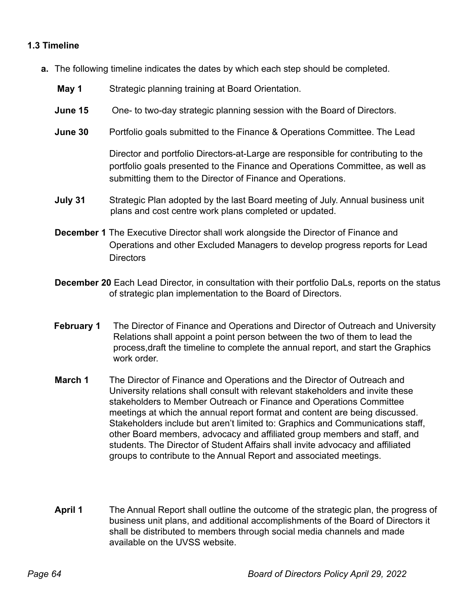#### **1.3 Timeline**

- **a.** The following timeline indicates the dates by which each step should be completed.
	- **May 1** Strategic planning training at Board Orientation.
	- **June 15** One- to two-day strategic planning session with the Board of Directors.
	- **June 30** Portfolio goals submitted to the Finance & Operations Committee. The Lead

Director and portfolio Directors-at-Large are responsible for contributing to the portfolio goals presented to the Finance and Operations Committee, as well as submitting them to the Director of Finance and Operations.

- **July 31** Strategic Plan adopted by the last Board meeting of July. Annual business unit plans and cost centre work plans completed or updated.
- **December 1** The Executive Director shall work alongside the Director of Finance and Operations and other Excluded Managers to develop progress reports for Lead Directors
- **December 20** Each Lead Director, in consultation with their portfolio DaLs, reports on the status of strategic plan implementation to the Board of Directors.
- **February 1** The Director of Finance and Operations and Director of Outreach and University Relations shall appoint a point person between the two of them to lead the process,draft the timeline to complete the annual report, and start the Graphics work order.
- **March 1** The Director of Finance and Operations and the Director of Outreach and University relations shall consult with relevant stakeholders and invite these stakeholders to Member Outreach or Finance and Operations Committee meetings at which the annual report format and content are being discussed. Stakeholders include but aren't limited to: Graphics and Communications staff, other Board members, advocacy and affiliated group members and staff, and students. The Director of Student Affairs shall invite advocacy and affiliated groups to contribute to the Annual Report and associated meetings.
- **April 1** The Annual Report shall outline the outcome of the strategic plan, the progress of business unit plans, and additional accomplishments of the Board of Directors it shall be distributed to members through social media channels and made available on the UVSS website.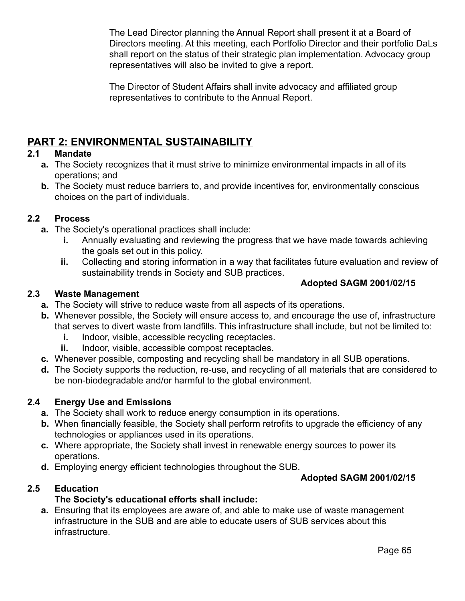The Lead Director planning the Annual Report shall present it at a Board of Directors meeting. At this meeting, each Portfolio Director and their portfolio DaLs shall report on the status of their strategic plan implementation. Advocacy group representatives will also be invited to give a report.

The Director of Student Affairs shall invite advocacy and affiliated group representatives to contribute to the Annual Report.

## **PART 2: ENVIRONMENTAL SUSTAINABILITY**

### **2.1 Mandate**

- **a.** The Society recognizes that it must strive to minimize environmental impacts in all of its operations; and
- **b.** The Society must reduce barriers to, and provide incentives for, environmentally conscious choices on the part of individuals.

#### **2.2 Process**

- **a.** The Society's operational practices shall include:
	- **i.** Annually evaluating and reviewing the progress that we have made towards achieving the goals set out in this policy.
	- **ii.** Collecting and storing information in a way that facilitates future evaluation and review of sustainability trends in Society and SUB practices.

### **Adopted SAGM 2001/02/15**

#### **2.3 Waste Management**

- **a.** The Society will strive to reduce waste from all aspects of its operations.
- **b.** Whenever possible, the Society will ensure access to, and encourage the use of, infrastructure that serves to divert waste from landfills. This infrastructure shall include, but not be limited to:
	- **i.** Indoor, visible, accessible recycling receptacles.
	- **ii.** Indoor, visible, accessible compost receptacles.
- **c.** Whenever possible, composting and recycling shall be mandatory in all SUB operations.
- **d.** The Society supports the reduction, re-use, and recycling of all materials that are considered to be non-biodegradable and/or harmful to the global environment.

### **2.4 Energy Use and Emissions**

- **a.** The Society shall work to reduce energy consumption in its operations.
- **b.** When financially feasible, the Society shall perform retrofits to upgrade the efficiency of any technologies or appliances used in its operations.
- **c.** Where appropriate, the Society shall invest in renewable energy sources to power its operations.
- **d.** Employing energy efficient technologies throughout the SUB.

### **Adopted SAGM 2001/02/15**

### **2.5 Education**

### **The Society's educational efforts shall include:**

**a.** Ensuring that its employees are aware of, and able to make use of waste management infrastructure in the SUB and are able to educate users of SUB services about this infrastructure.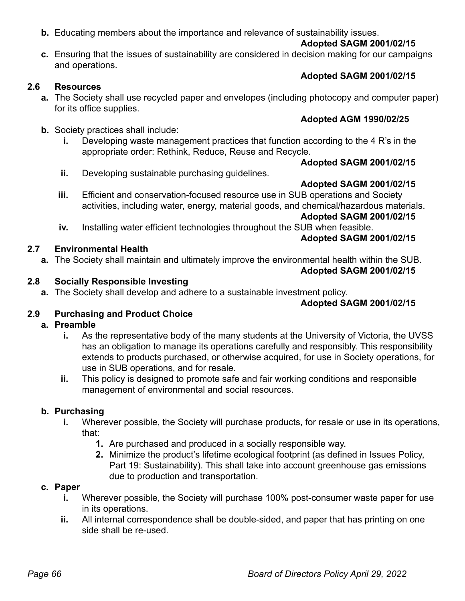#### **b.** Educating members about the importance and relevance of sustainability issues.

#### **Adopted SAGM 2001/02/15**

**c.** Ensuring that the issues of sustainability are considered in decision making for our campaigns and operations.

#### **2.6 Resources**

- **a.** The Society shall use recycled paper and envelopes (including photocopy and computer paper) for its office supplies.
- **b.** Society practices shall include:
	- **i.** Developing waste management practices that function according to the 4 R's in the appropriate order: Rethink, Reduce, Reuse and Recycle.

#### **Adopted SAGM 2001/02/15**

**Adopted SAGM 2001/02/15**

**Adopted AGM 1990/02/25**

- **ii.** Developing sustainable purchasing guidelines.
- **iii.** Efficient and conservation-focused resource use in SUB operations and Society activities, including water, energy, material goods, and chemical/hazardous materials.

#### **Adopted SAGM 2001/02/15**

**Adopted SAGM 2001/02/15**

**iv.** Installing water efficient technologies throughout the SUB when feasible.

#### **2.7 Environmental Health**

**a.** The Society shall maintain and ultimately improve the environmental health within the SUB.

#### **Adopted SAGM 2001/02/15**

#### **2.8 Socially Responsible Investing**

**a.** The Society shall develop and adhere to a sustainable investment policy.

#### **Adopted SAGM 2001/02/15**

### **2.9 Purchasing and Product Choice**

#### **a. Preamble**

- **i.** As the representative body of the many students at the University of Victoria, the UVSS has an obligation to manage its operations carefully and responsibly. This responsibility extends to products purchased, or otherwise acquired, for use in Society operations, for use in SUB operations, and for resale.
- **ii.** This policy is designed to promote safe and fair working conditions and responsible management of environmental and social resources.

#### **b. Purchasing**

- **i.** Wherever possible, the Society will purchase products, for resale or use in its operations, that:
	- **1.** Are purchased and produced in a socially responsible way.
	- **2.** Minimize the product's lifetime ecological footprint (as defined in Issues Policy, Part 19: Sustainability). This shall take into account greenhouse gas emissions due to production and transportation.

#### **c. Paper**

- **i.** Wherever possible, the Society will purchase 100% post-consumer waste paper for use in its operations.
- **ii.** All internal correspondence shall be double-sided, and paper that has printing on one side shall be re-used.

# **Adopted SAGM 2001/02/15**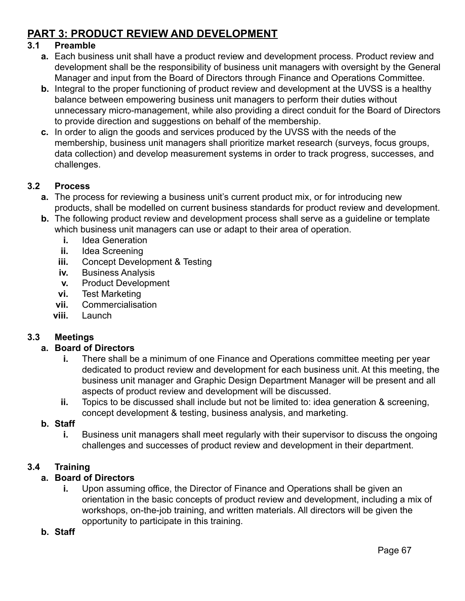## **PART 3: PRODUCT REVIEW AND DEVELOPMENT**

#### **3.1 Preamble**

- **a.** Each business unit shall have a product review and development process. Product review and development shall be the responsibility of business unit managers with oversight by the General Manager and input from the Board of Directors through Finance and Operations Committee.
- **b.** Integral to the proper functioning of product review and development at the UVSS is a healthy balance between empowering business unit managers to perform their duties without unnecessary micro-management, while also providing a direct conduit for the Board of Directors to provide direction and suggestions on behalf of the membership.
- **c.** In order to align the goods and services produced by the UVSS with the needs of the membership, business unit managers shall prioritize market research (surveys, focus groups, data collection) and develop measurement systems in order to track progress, successes, and challenges.

#### **3.2 Process**

- **a.** The process for reviewing a business unit's current product mix, or for introducing new products, shall be modelled on current business standards for product review and development.
- **b.** The following product review and development process shall serve as a guideline or template which business unit managers can use or adapt to their area of operation.
	- **i.** [Idea Generation](http://www.cambridgemr.com/Expertise/NewProductDevelopment/IdeaGeneration/)
	- **ii.** [Idea Screening](https://www.boundless.com/marketing/products/new-product-development--2/screening--2/)
	- **iii.** [Concept Development & Testing](http://mnav.com/focus-group-center/concept-testing/)
	- **iv.** [Business Analysis](http://www.strategyconsultinglimited.co.uk/marketing-and-advertising/new-product-development/)
	- **v.** [Product Development](http://hbr.org/2012/05/six-myths-of-product-development/)
	- **vi.** [Test Marketing](http://smallbusiness.chron.com/three-major-disadvantages-test-marketing-20409.html)
	- **vii.** [Commercialisation](https://www.innovateuk.org/documents/1524978/2138994/Concept+to+Commercialisation+-+A+Strategy+for+Business+Innovation+2011-2015/f9debf80-dd43-4284-be56-a11a3dda25a8)
	- **viii.** [Launch](http://businesscasestudies.co.uk/cadbury-schweppes/launching-a-new-product-into-a-developed-market/the-launch-strategy.html)

### **3.3 Meetings**

#### **a. Board of Directors**

- **i.** There shall be a minimum of one Finance and Operations committee meeting per year dedicated to product review and development for each business unit. At this meeting, the business unit manager and Graphic Design Department Manager will be present and all aspects of product review and development will be discussed.
- **ii.** Topics to be discussed shall include but not be limited to: idea generation & screening, concept development & testing, business analysis, and marketing.

#### **b. Staff**

**i.** Business unit managers shall meet regularly with their supervisor to discuss the ongoing challenges and successes of product review and development in their department.

### **3.4 Training**

### **a. Board of Directors**

**i.** Upon assuming office, the Director of Finance and Operations shall be given an orientation in the basic concepts of product review and development, including a mix of workshops, on-the-job training, and written materials. All directors will be given the opportunity to participate in this training.

#### **b. Staff**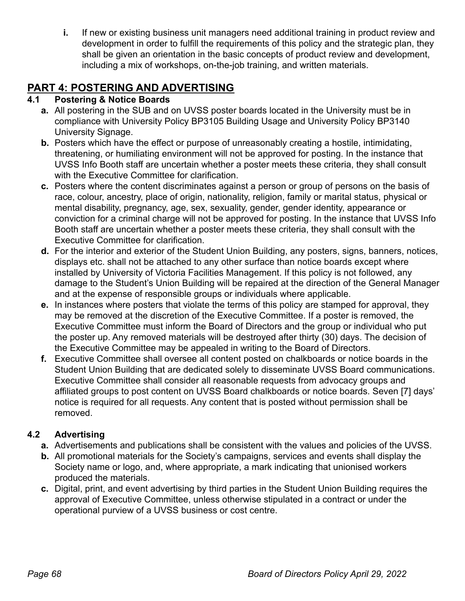**i.** If new or existing business unit managers need additional training in product review and development in order to fulfill the requirements of this policy and the strategic plan, they shall be given an orientation in the basic concepts of product review and development, including a mix of workshops, on-the-job training, and written materials.

## **PART 4: POSTERING AND ADVERTISING**

### **4.1 Postering & Notice Boards**

- **a.** All postering in the SUB and on UVSS poster boards located in the University must be in compliance with University Policy BP3105 Building Usage and University Policy BP3140 University Signage.
- **b.** Posters which have the effect or purpose of unreasonably creating a hostile, intimidating, threatening, or humiliating environment will not be approved for posting. In the instance that UVSS Info Booth staff are uncertain whether a poster meets these criteria, they shall consult with the Executive Committee for clarification.
- **c.** Posters where the content discriminates against a person or group of persons on the basis of race, colour, ancestry, place of origin, nationality, religion, family or marital status, physical or mental disability, pregnancy, age, sex, sexuality, gender, gender identity, appearance or conviction for a criminal charge will not be approved for posting. In the instance that UVSS Info Booth staff are uncertain whether a poster meets these criteria, they shall consult with the Executive Committee for clarification.
- **d.** For the interior and exterior of the Student Union Building, any posters, signs, banners, notices, displays etc. shall not be attached to any other surface than notice boards except where installed by University of Victoria Facilities Management. If this policy is not followed, any damage to the Student's Union Building will be repaired at the direction of the General Manager and at the expense of responsible groups or individuals where applicable.
- **e.** In instances where posters that violate the terms of this policy are stamped for approval, they may be removed at the discretion of the Executive Committee. If a poster is removed, the Executive Committee must inform the Board of Directors and the group or individual who put the poster up. Any removed materials will be destroyed after thirty (30) days. The decision of the Executive Committee may be appealed in writing to the Board of Directors.
- **f.** Executive Committee shall oversee all content posted on chalkboards or notice boards in the Student Union Building that are dedicated solely to disseminate UVSS Board communications. Executive Committee shall consider all reasonable requests from advocacy groups and affiliated groups to post content on UVSS Board chalkboards or notice boards. Seven [7] days' notice is required for all requests. Any content that is posted without permission shall be removed.

### **4.2 Advertising**

- **a.** Advertisements and publications shall be consistent with the values and policies of the UVSS.
- **b.** All promotional materials for the Society's campaigns, services and events shall display the Society name or logo, and, where appropriate, a mark indicating that unionised workers produced the materials.
- **c.** Digital, print, and event advertising by third parties in the Student Union Building requires the approval of Executive Committee, unless otherwise stipulated in a contract or under the operational purview of a UVSS business or cost centre.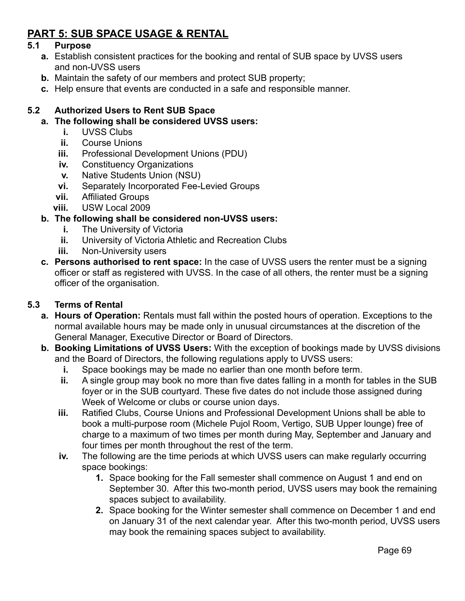## **PART 5: SUB SPACE USAGE & RENTAL**

#### **5.1 Purpose**

- **a.** Establish consistent practices for the booking and rental of SUB space by UVSS users and non-UVSS users
- **b.** Maintain the safety of our members and protect SUB property;
- **c.** Help ensure that events are conducted in a safe and responsible manner.

#### **5.2 Authorized Users to Rent SUB Space**

#### **a. The following shall be considered UVSS users:**

- **i.** UVSS Clubs
- **ii.** Course Unions
- **iii.** Professional Development Unions (PDU)
- **iv.** Constituency Organizations
- **v.** Native Students Union (NSU)
- **vi.** Separately Incorporated Fee-Levied Groups
- **vii.** Affiliated Groups
- **viii.** USW Local 2009

#### **b. The following shall be considered non-UVSS users:**

- **i.** The University of Victoria
- **ii.** University of Victoria Athletic and Recreation Clubs
- **iii.** Non-University users
- **c. Persons authorised to rent space:** In the case of UVSS users the renter must be a signing officer or staff as registered with UVSS. In the case of all others, the renter must be a signing officer of the organisation.

#### **5.3 Terms of Rental**

- **a. Hours of Operation:** Rentals must fall within the posted hours of operation. Exceptions to the normal available hours may be made only in unusual circumstances at the discretion of the General Manager, Executive Director or Board of Directors.
- **b. Booking Limitations of UVSS Users:** With the exception of bookings made by UVSS divisions and the Board of Directors, the following regulations apply to UVSS users:
	- **i.** Space bookings may be made no earlier than one month before term.
	- **ii.** A single group may book no more than five dates falling in a month for tables in the SUB foyer or in the SUB courtyard. These five dates do not include those assigned during Week of Welcome or clubs or course union days.
	- **iii.** Ratified Clubs, Course Unions and Professional Development Unions shall be able to book a multi-purpose room (Michele Pujol Room, Vertigo, SUB Upper lounge) free of charge to a maximum of two times per month during May, September and January and four times per month throughout the rest of the term.
	- **iv.** The following are the time periods at which UVSS users can make regularly occurring space bookings:
		- **1.** Space booking for the Fall semester shall commence on August 1 and end on September 30. After this two-month period, UVSS users may book the remaining spaces subject to availability.
		- **2.** Space booking for the Winter semester shall commence on December 1 and end on January 31 of the next calendar year. After this two-month period, UVSS users may book the remaining spaces subject to availability.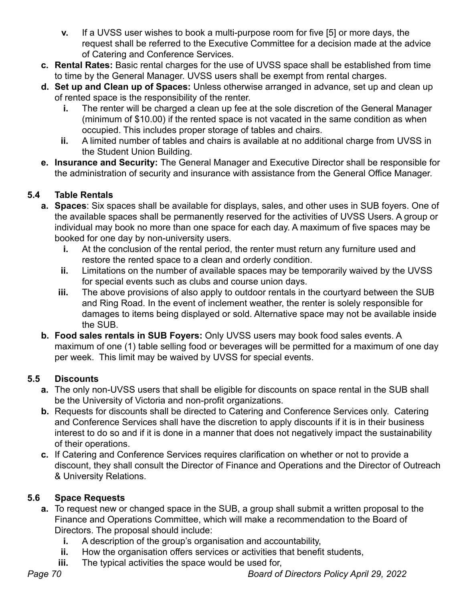- **v.** If a UVSS user wishes to book a multi-purpose room for five [5] or more days, the request shall be referred to the Executive Committee for a decision made at the advice of Catering and Conference Services.
- **c. Rental Rates:** Basic rental charges for the use of UVSS space shall be established from time to time by the General Manager. UVSS users shall be exempt from rental charges.
- **d. Set up and Clean up of Spaces:** Unless otherwise arranged in advance, set up and clean up of rented space is the responsibility of the renter.
	- **i.** The renter will be charged a clean up fee at the sole discretion of the General Manager (minimum of \$10.00) if the rented space is not vacated in the same condition as when occupied. This includes proper storage of tables and chairs.
	- **ii.** A limited number of tables and chairs is available at no additional charge from UVSS in the Student Union Building.
- **e. Insurance and Security:** The General Manager and Executive Director shall be responsible for the administration of security and insurance with assistance from the General Office Manager.

### **5.4 Table Rentals**

- **a. Spaces**: Six spaces shall be available for displays, sales, and other uses in SUB foyers. One of the available spaces shall be permanently reserved for the activities of UVSS Users. A group or individual may book no more than one space for each day. A maximum of five spaces may be booked for one day by non-university users.
	- **i.** At the conclusion of the rental period, the renter must return any furniture used and restore the rented space to a clean and orderly condition.
	- **ii.** Limitations on the number of available spaces may be temporarily waived by the UVSS for special events such as clubs and course union days.
	- **iii.** The above provisions of also apply to outdoor rentals in the courtyard between the SUB and Ring Road. In the event of inclement weather, the renter is solely responsible for damages to items being displayed or sold. Alternative space may not be available inside the SUB.
- **b. Food sales rentals in SUB Foyers:** Only UVSS users may book food sales events. A maximum of one (1) table selling food or beverages will be permitted for a maximum of one day per week. This limit may be waived by UVSS for special events.

### **5.5 Discounts**

- **a.** The only non-UVSS users that shall be eligible for discounts on space rental in the SUB shall be the University of Victoria and non-profit organizations.
- **b.** Requests for discounts shall be directed to Catering and Conference Services only. Catering and Conference Services shall have the discretion to apply discounts if it is in their business interest to do so and if it is done in a manner that does not negatively impact the sustainability of their operations.
- **c.** If Catering and Conference Services requires clarification on whether or not to provide a discount, they shall consult the Director of Finance and Operations and the Director of Outreach & University Relations.

### **5.6 Space Requests**

- **a.** To request new or changed space in the SUB, a group shall submit a written proposal to the Finance and Operations Committee, which will make a recommendation to the Board of Directors. The proposal should include:
	- **i.** A description of the group's organisation and accountability,
	- **ii.** How the organisation offers services or activities that benefit students,
	- **iii.** The typical activities the space would be used for,

*Page 70 Board of Directors Policy April 29, 2022*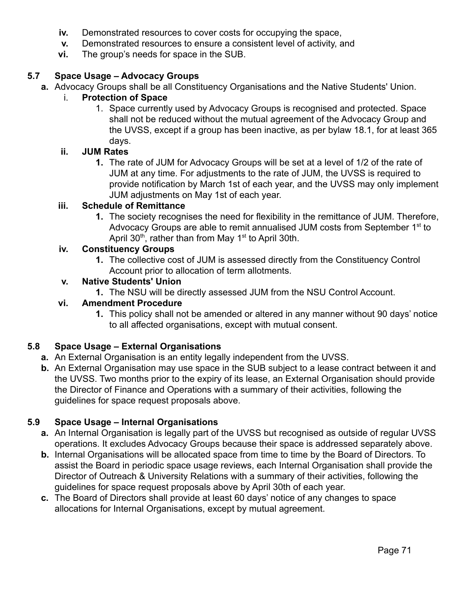- **iv.** Demonstrated resources to cover costs for occupying the space,
- **v.** Demonstrated resources to ensure a consistent level of activity, and
- **vi.** The group's needs for space in the SUB.

#### **5.7 Space Usage – Advocacy Groups**

**a.** Advocacy Groups shall be all Constituency Organisations and the Native Students' Union.

#### i. **Protection of Space**

1. Space currently used by Advocacy Groups is recognised and protected. Space shall not be reduced without the mutual agreement of the Advocacy Group and the UVSS, except if a group has been inactive, as per bylaw 18.1, for at least 365 days.

#### **ii. JUM Rates**

**1.** The rate of JUM for Advocacy Groups will be set at a level of 1/2 of the rate of JUM at any time. For adjustments to the rate of JUM, the UVSS is required to provide notification by March 1st of each year, and the UVSS may only implement JUM adjustments on May 1st of each year.

#### **iii. Schedule of Remittance**

**1.** The society recognises the need for flexibility in the remittance of JUM. Therefore, Advocacy Groups are able to remit annualised JUM costs from September 1<sup>st</sup> to April 30<sup>th</sup>, rather than from May 1<sup>st</sup> to April 30th.

#### **iv. Constituency Groups**

**1.** The collective cost of JUM is assessed directly from the Constituency Control Account prior to allocation of term allotments.

#### **v. Native Students' Union**

**1.** The NSU will be directly assessed JUM from the NSU Control Account.

#### **vi. Amendment Procedure**

**1.** This policy shall not be amended or altered in any manner without 90 days' notice to all affected organisations, except with mutual consent.

#### **5.8 Space Usage – External Organisations**

- **a.** An External Organisation is an entity legally independent from the UVSS.
- **b.** An External Organisation may use space in the SUB subject to a lease contract between it and the UVSS. Two months prior to the expiry of its lease, an External Organisation should provide the Director of Finance and Operations with a summary of their activities, following the guidelines for space request proposals above.

#### **5.9 Space Usage – Internal Organisations**

- **a.** An Internal Organisation is legally part of the UVSS but recognised as outside of regular UVSS operations. It excludes Advocacy Groups because their space is addressed separately above.
- **b.** Internal Organisations will be allocated space from time to time by the Board of Directors. To assist the Board in periodic space usage reviews, each Internal Organisation shall provide the Director of Outreach & University Relations with a summary of their activities, following the guidelines for space request proposals above by April 30th of each year.
- **c.** The Board of Directors shall provide at least 60 days' notice of any changes to space allocations for Internal Organisations, except by mutual agreement.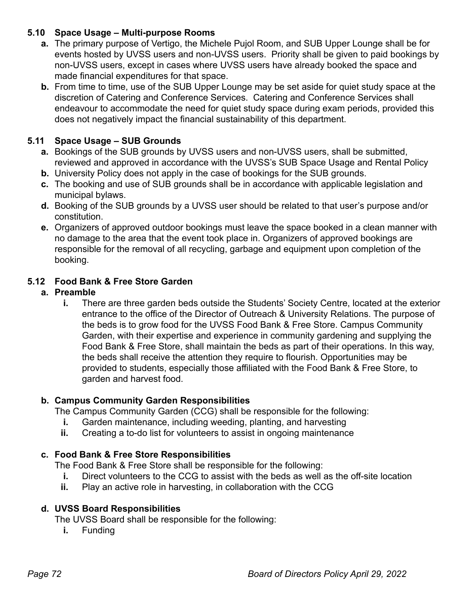### **5.10 Space Usage – Multi-purpose Rooms**

- **a.** The primary purpose of Vertigo, the Michele Pujol Room, and SUB Upper Lounge shall be for events hosted by UVSS users and non-UVSS users. Priority shall be given to paid bookings by non-UVSS users, except in cases where UVSS users have already booked the space and made financial expenditures for that space.
- **b.** From time to time, use of the SUB Upper Lounge may be set aside for quiet study space at the discretion of Catering and Conference Services. Catering and Conference Services shall endeavour to accommodate the need for quiet study space during exam periods, provided this does not negatively impact the financial sustainability of this department.

### **5.11 Space Usage – SUB Grounds**

- **a.** Bookings of the SUB grounds by UVSS users and non-UVSS users, shall be submitted, reviewed and approved in accordance with the UVSS's SUB Space Usage and Rental Policy
- **b.** University Policy does not apply in the case of bookings for the SUB grounds.
- **c.** The booking and use of SUB grounds shall be in accordance with applicable legislation and municipal bylaws.
- **d.** Booking of the SUB grounds by a UVSS user should be related to that user's purpose and/or constitution.
- **e.** Organizers of approved outdoor bookings must leave the space booked in a clean manner with no damage to the area that the event took place in. Organizers of approved bookings are responsible for the removal of all recycling, garbage and equipment upon completion of the booking.

### **5.12 Food Bank & Free Store Garden**

### **a. Preamble**

**i.** There are three garden beds outside the Students' Society Centre, located at the exterior entrance to the office of the Director of Outreach & University Relations. The purpose of the beds is to grow food for the UVSS Food Bank & Free Store. Campus Community Garden, with their expertise and experience in community gardening and supplying the Food Bank & Free Store, shall maintain the beds as part of their operations. In this way, the beds shall receive the attention they require to flourish. Opportunities may be provided to students, especially those affiliated with the Food Bank & Free Store, to garden and harvest food.

#### **b. Campus Community Garden Responsibilities**

The Campus Community Garden (CCG) shall be responsible for the following:

- **i.** Garden maintenance, including weeding, planting, and harvesting
- **ii.** Creating a to-do list for volunteers to assist in ongoing maintenance

# **c. Food Bank & Free Store Responsibilities**

The Food Bank & Free Store shall be responsible for the following:

- **i.** Direct volunteers to the CCG to assist with the beds as well as the off-site location
- **ii.** Play an active role in harvesting, in collaboration with the CCG

#### **d. UVSS Board Responsibilities**

The UVSS Board shall be responsible for the following:

**i.** Funding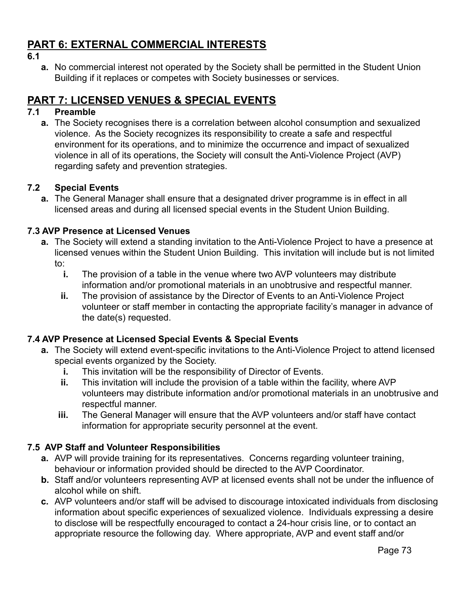# **PART 6: EXTERNAL COMMERCIAL INTERESTS**

**6.1**

**a.** No commercial interest not operated by the Society shall be permitted in the Student Union Building if it replaces or competes with Society businesses or services.

# **PART 7: LICENSED VENUES & SPECIAL EVENTS**

# **7.1 Preamble**

**a.** The Society recognises there is a correlation between alcohol consumption and sexualized violence. As the Society recognizes its responsibility to create a safe and respectful environment for its operations, and to minimize the occurrence and impact of sexualized violence in all of its operations, the Society will consult the Anti-Violence Project (AVP) regarding safety and prevention strategies.

### **7.2 Special Events**

**a.** The General Manager shall ensure that a designated driver programme is in effect in all licensed areas and during all licensed special events in the Student Union Building.

### **7.3 AVP Presence at Licensed Venues**

- **a.** The Society will extend a standing invitation to the Anti-Violence Project to have a presence at licensed venues within the Student Union Building. This invitation will include but is not limited to:
	- **i.** The provision of a table in the venue where two AVP volunteers may distribute information and/or promotional materials in an unobtrusive and respectful manner.
	- **ii.** The provision of assistance by the Director of Events to an Anti-Violence Project volunteer or staff member in contacting the appropriate facility's manager in advance of the date(s) requested.

#### **7.4 AVP Presence at Licensed Special Events & Special Events**

- **a.** The Society will extend event-specific invitations to the Anti-Violence Project to attend licensed special events organized by the Society.
	- **i.** This invitation will be the responsibility of Director of Events.
	- **ii.** This invitation will include the provision of a table within the facility, where AVP volunteers may distribute information and/or promotional materials in an unobtrusive and respectful manner.
	- **iii.** The General Manager will ensure that the AVP volunteers and/or staff have contact information for appropriate security personnel at the event.

# **7.5 AVP Staff and Volunteer Responsibilities**

- **a.** AVP will provide training for its representatives. Concerns regarding volunteer training, behaviour or information provided should be directed to the AVP Coordinator.
- **b.** Staff and/or volunteers representing AVP at licensed events shall not be under the influence of alcohol while on shift.
- **c.** AVP volunteers and/or staff will be advised to discourage intoxicated individuals from disclosing information about specific experiences of sexualized violence. Individuals expressing a desire to disclose will be respectfully encouraged to contact a 24-hour crisis line, or to contact an appropriate resource the following day. Where appropriate, AVP and event staff and/or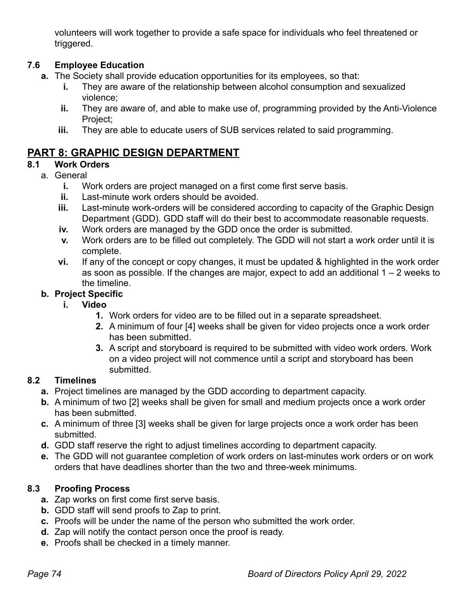volunteers will work together to provide a safe space for individuals who feel threatened or triggered.

# **7.6 Employee Education**

- **a.** The Society shall provide education opportunities for its employees, so that:
	- **i.** They are aware of the relationship between alcohol consumption and sexualized violence;
	- **ii.** They are aware of, and able to make use of, programming provided by the Anti-Violence Project;
	- **iii.** They are able to educate users of SUB services related to said programming.

# **PART 8: GRAPHIC DESIGN DEPARTMENT**

# **8.1 Work Orders**

- a. General
	- **i.** Work orders are project managed on a first come first serve basis.
	- **ii.** Last-minute work orders should be avoided.
	- **iii.** Last-minute work-orders will be considered according to capacity of the Graphic Design Department (GDD). GDD staff will do their best to accommodate reasonable requests.
	- **iv.** Work orders are managed by the GDD once the order is submitted.
	- **v.** Work orders are to be filled out completely. The GDD will not start a work order until it is complete.
	- **vi.** If any of the concept or copy changes, it must be updated & highlighted in the work order as soon as possible. If the changes are major, expect to add an additional 1 – 2 weeks to the timeline.

### **b. Project Specific**

- **i. Video**
	- **1.** Work orders for video are to be filled out in a separate spreadsheet.
	- **2.** A minimum of four [4] weeks shall be given for video projects once a work order has been submitted.
	- **3.** A script and storyboard is required to be submitted with video work orders. Work on a video project will not commence until a script and storyboard has been submitted.

# **8.2 Timelines**

- **a.** Project timelines are managed by the GDD according to department capacity.
- **b.** A minimum of two [2] weeks shall be given for small and medium projects once a work order has been submitted.
- **c.** A minimum of three [3] weeks shall be given for large projects once a work order has been submitted.
- **d.** GDD staff reserve the right to adjust timelines according to department capacity.
- **e.** The GDD will not guarantee completion of work orders on last-minutes work orders or on work orders that have deadlines shorter than the two and three-week minimums.

# **8.3 Proofing Process**

- **a.** Zap works on first come first serve basis.
- **b.** GDD staff will send proofs to Zap to print.
- **c.** Proofs will be under the name of the person who submitted the work order.
- **d.** Zap will notify the contact person once the proof is ready.
- **e.** Proofs shall be checked in a timely manner.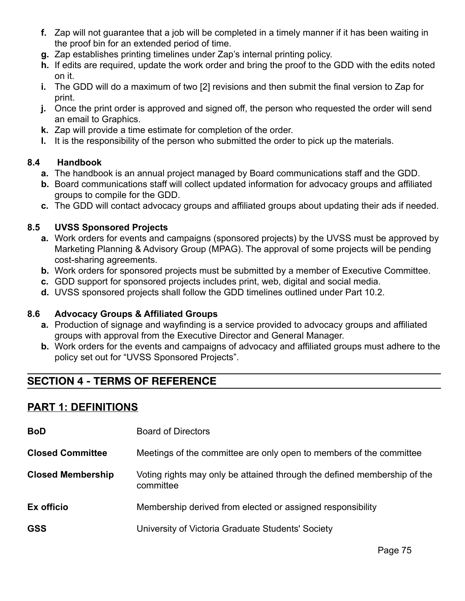- **f.** Zap will not guarantee that a job will be completed in a timely manner if it has been waiting in the proof bin for an extended period of time.
- **g.** Zap establishes printing timelines under Zap's internal printing policy.
- **h.** If edits are required, update the work order and bring the proof to the GDD with the edits noted on it.
- **i.** The GDD will do a maximum of two [2] revisions and then submit the final version to Zap for print.
- **j.** Once the print order is approved and signed off, the person who requested the order will send an email to Graphics.
- **k.** Zap will provide a time estimate for completion of the order.
- **l.** It is the responsibility of the person who submitted the order to pick up the materials.

### **8.4 Handbook**

- **a.** The handbook is an annual project managed by Board communications staff and the GDD.
- **b.** Board communications staff will collect updated information for advocacy groups and affiliated groups to compile for the GDD.
- **c.** The GDD will contact advocacy groups and affiliated groups about updating their ads if needed.

#### **8.5 UVSS Sponsored Projects**

- **a.** Work orders for events and campaigns (sponsored projects) by the UVSS must be approved by Marketing Planning & Advisory Group (MPAG). The approval of some projects will be pending cost-sharing agreements.
- **b.** Work orders for sponsored projects must be submitted by a member of Executive Committee.
- **c.** GDD support for sponsored projects includes print, web, digital and social media.
- **d.** UVSS sponsored projects shall follow the GDD timelines outlined under Part 10.2.

#### **8.6 Advocacy Groups & Affiliated Groups**

- **a.** Production of signage and wayfinding is a service provided to advocacy groups and affiliated groups with approval from the Executive Director and General Manager.
- **b.** Work orders for the events and campaigns of advocacy and affiliated groups must adhere to the policy set out for "UVSS Sponsored Projects".

# **SECTION 4 - TERMS OF REFERENCE**

# **PART 1: DEFINITIONS**

| <b>BoD</b>               | <b>Board of Directors</b>                                                             |
|--------------------------|---------------------------------------------------------------------------------------|
| <b>Closed Committee</b>  | Meetings of the committee are only open to members of the committee                   |
| <b>Closed Membership</b> | Voting rights may only be attained through the defined membership of the<br>committee |
| Ex officio               | Membership derived from elected or assigned responsibility                            |
| <b>GSS</b>               | University of Victoria Graduate Students' Society                                     |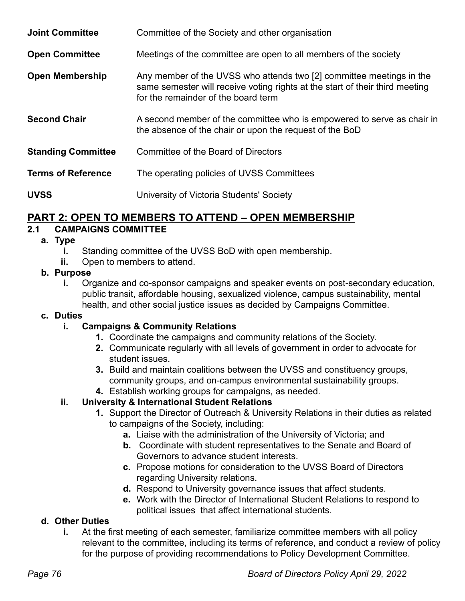| <b>Joint Committee</b>    | Committee of the Society and other organisation                                                                                                                                             |
|---------------------------|---------------------------------------------------------------------------------------------------------------------------------------------------------------------------------------------|
| <b>Open Committee</b>     | Meetings of the committee are open to all members of the society                                                                                                                            |
| <b>Open Membership</b>    | Any member of the UVSS who attends two [2] committee meetings in the<br>same semester will receive voting rights at the start of their third meeting<br>for the remainder of the board term |
| <b>Second Chair</b>       | A second member of the committee who is empowered to serve as chair in<br>the absence of the chair or upon the request of the BoD                                                           |
| <b>Standing Committee</b> | Committee of the Board of Directors                                                                                                                                                         |
| <b>Terms of Reference</b> | The operating policies of UVSS Committees                                                                                                                                                   |
| <b>UVSS</b>               | University of Victoria Students' Society                                                                                                                                                    |

# **PART 2: OPEN TO MEMBERS TO ATTEND – OPEN MEMBERSHIP**

### **2.1 CAMPAIGNS COMMITTEE**

#### **a. Type**

- **i.** Standing committee of the UVSS BoD with open membership.
- **ii.** Open to members to attend.

### **b. Purpose**

**i.** Organize and co-sponsor campaigns and speaker events on post-secondary education, public transit, affordable housing, sexualized violence, campus sustainability, mental health, and other social justice issues as decided by Campaigns Committee.

#### **c. Duties**

#### **i. Campaigns & Community Relations**

- **1.** Coordinate the campaigns and community relations of the Society.
- **2.** Communicate regularly with all levels of government in order to advocate for student issues.
- **3.** Build and maintain coalitions between the UVSS and constituency groups, community groups, and on-campus environmental sustainability groups.
- **4.** Establish working groups for campaigns, as needed.

#### **ii. University & International Student Relations**

- **1.** Support the Director of Outreach & University Relations in their duties as related to campaigns of the Society, including:
	- **a.** Liaise with the administration of the University of Victoria; and
	- **b.** Coordinate with student representatives to the Senate and Board of Governors to advance student interests.
	- **c.** Propose motions for consideration to the UVSS Board of Directors regarding University relations.
	- **d.** Respond to University governance issues that affect students.
	- **e.** Work with the Director of International Student Relations to respond to political issues that affect international students.

#### **d. Other Duties**

**i.** At the first meeting of each semester, familiarize committee members with all policy relevant to the committee, including its terms of reference, and conduct a review of policy for the purpose of providing recommendations to Policy Development Committee.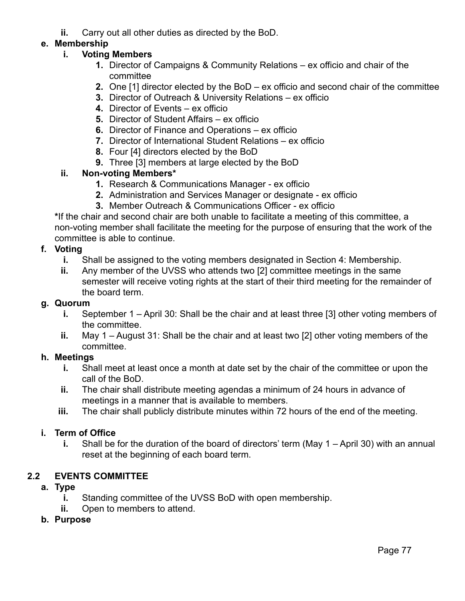**ii.** Carry out all other duties as directed by the BoD.

### **e. Membership**

### **i. Voting Members**

- **1.** Director of Campaigns & Community Relations ex officio and chair of the committee
- **2.** One [1] director elected by the BoD ex officio and second chair of the committee
- **3.** Director of Outreach & University Relations ex officio
- **4.** Director of Events ex officio
- **5.** Director of Student Affairs ex officio
- **6.** Director of Finance and Operations ex officio
- **7.** Director of International Student Relations ex officio
- **8.** Four [4] directors elected by the BoD
- **9.** Three [3] members at large elected by the BoD

#### **ii. Non-voting Members\***

- **1.** Research & Communications Manager ex officio
- **2.** Administration and Services Manager or designate ex officio
- **3.** Member Outreach & Communications Officer ex officio

**\***If the chair and second chair are both unable to facilitate a meeting of this committee, a non-voting member shall facilitate the meeting for the purpose of ensuring that the work of the committee is able to continue.

#### **f. Voting**

- **i.** Shall be assigned to the voting members designated in Section 4: Membership.
- **ii.** Any member of the UVSS who attends two [2] committee meetings in the same semester will receive voting rights at the start of their third meeting for the remainder of the board term.

#### **g. Quorum**

- **i.** September 1 April 30: Shall be the chair and at least three [3] other voting members of the committee.
- **ii.** May 1 August 31: Shall be the chair and at least two [2] other voting members of the committee.

#### **h. Meetings**

- **i.** Shall meet at least once a month at date set by the chair of the committee or upon the call of the BoD.
- **ii.** The chair shall distribute meeting agendas a minimum of 24 hours in advance of meetings in a manner that is available to members.
- **iii.** The chair shall publicly distribute minutes within 72 hours of the end of the meeting.

#### **i. Term of Office**

**i.** Shall be for the duration of the board of directors' term (May 1 – April 30) with an annual reset at the beginning of each board term.

#### **2.2 EVENTS COMMITTEE**

#### **a. Type**

- **i.** Standing committee of the UVSS BoD with open membership.
- **ii.** Open to members to attend.

#### **b. Purpose**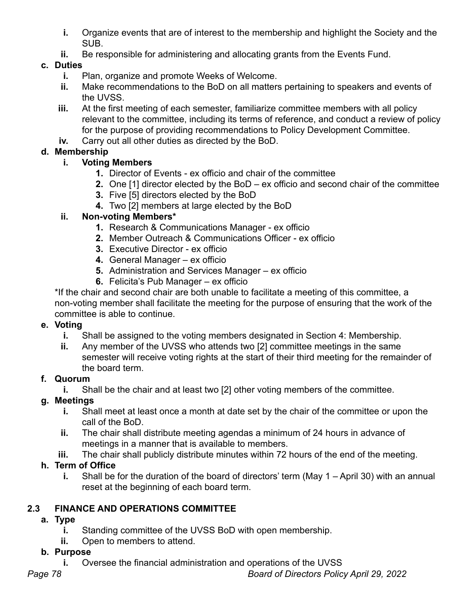- **i.** Organize events that are of interest to the membership and highlight the Society and the SUB.
- **ii.** Be responsible for administering and allocating grants from the Events Fund.

### **c. Duties**

- **i.** Plan, organize and promote Weeks of Welcome.
- **ii.** Make recommendations to the BoD on all matters pertaining to speakers and events of the UVSS.
- **iii.** At the first meeting of each semester, familiarize committee members with all policy relevant to the committee, including its terms of reference, and conduct a review of policy for the purpose of providing recommendations to Policy Development Committee.
- **iv.** Carry out all other duties as directed by the BoD.

# **d. Membership**

# **i. Voting Members**

- **1.** Director of Events ex officio and chair of the committee
- **2.** One [1] director elected by the BoD ex officio and second chair of the committee
- **3.** Five [5] directors elected by the BoD
- **4.** Two [2] members at large elected by the BoD

# **ii. Non-voting Members\***

- **1.** Research & Communications Manager ex officio
- **2.** Member Outreach & Communications Officer ex officio
- **3.** Executive Director ex officio
- **4.** General Manager ex officio
- **5.** Administration and Services Manager ex officio
- **6.** Felicita's Pub Manager ex officio

\*If the chair and second chair are both unable to facilitate a meeting of this committee, a non-voting member shall facilitate the meeting for the purpose of ensuring that the work of the committee is able to continue.

# **e. Voting**

- **i.** Shall be assigned to the voting members designated in Section 4: Membership.
- **ii.** Any member of the UVSS who attends two [2] committee meetings in the same semester will receive voting rights at the start of their third meeting for the remainder of the board term.

# **f. Quorum**

**i.** Shall be the chair and at least two [2] other voting members of the committee.

# **g. Meetings**

- **i.** Shall meet at least once a month at date set by the chair of the committee or upon the call of the BoD.
- **ii.** The chair shall distribute meeting agendas a minimum of 24 hours in advance of meetings in a manner that is available to members.
- **iii.** The chair shall publicly distribute minutes within 72 hours of the end of the meeting.

# **h. Term of Office**

**i.** Shall be for the duration of the board of directors' term (May 1 – April 30) with an annual reset at the beginning of each board term.

# **2.3 FINANCE AND OPERATIONS COMMITTEE**

# **a. Type**

- **i.** Standing committee of the UVSS BoD with open membership.
- **ii.** Open to members to attend.

# **b. Purpose**

**i.** Oversee the financial administration and operations of the UVSS

*Page 78 Board of Directors Policy April 29, 2022*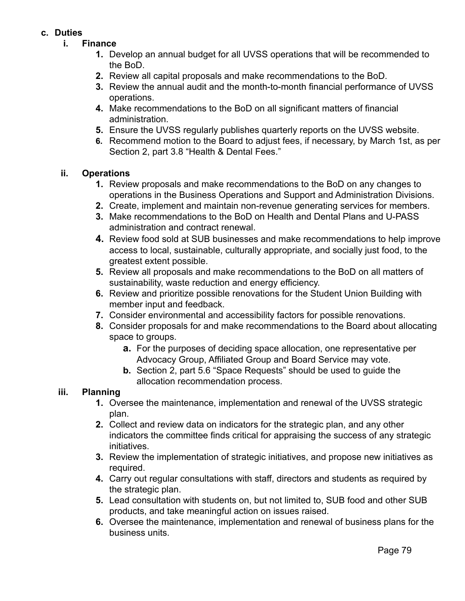#### **c. Duties**

- **i. Finance**
	- **1.** Develop an annual budget for all UVSS operations that will be recommended to the BoD.
	- **2.** Review all capital proposals and make recommendations to the BoD.
	- **3.** Review the annual audit and the month-to-month financial performance of UVSS operations.
	- **4.** Make recommendations to the BoD on all significant matters of financial administration.
	- **5.** Ensure the UVSS regularly publishes quarterly reports on the UVSS website.
	- **6.** Recommend motion to the Board to adjust fees, if necessary, by March 1st, as per Section 2, part 3.8 "Health & Dental Fees."

#### **ii. Operations**

- **1.** Review proposals and make recommendations to the BoD on any changes to operations in the Business Operations and Support and Administration Divisions.
- **2.** Create, implement and maintain non-revenue generating services for members.
- **3.** Make recommendations to the BoD on Health and Dental Plans and U-PASS administration and contract renewal.
- **4.** Review food sold at SUB businesses and make recommendations to help improve access to local, sustainable, culturally appropriate, and socially just food, to the greatest extent possible.
- **5.** Review all proposals and make recommendations to the BoD on all matters of sustainability, waste reduction and energy efficiency.
- **6.** Review and prioritize possible renovations for the Student Union Building with member input and feedback.
- **7.** Consider environmental and accessibility factors for possible renovations.
- **8.** Consider proposals for and make recommendations to the Board about allocating space to groups.
	- **a.** For the purposes of deciding space allocation, one representative per Advocacy Group, Affiliated Group and Board Service may vote.
	- **b.** Section 2, part 5.6 "Space Requests" should be used to guide the allocation recommendation process.

#### **iii. Planning**

- **1.** Oversee the maintenance, implementation and renewal of the UVSS strategic plan.
- **2.** Collect and review data on indicators for the strategic plan, and any other indicators the committee finds critical for appraising the success of any strategic initiatives.
- **3.** Review the implementation of strategic initiatives, and propose new initiatives as required.
- **4.** Carry out regular consultations with staff, directors and students as required by the strategic plan.
- **5.** Lead consultation with students on, but not limited to, SUB food and other SUB products, and take meaningful action on issues raised.
- **6.** Oversee the maintenance, implementation and renewal of business plans for the business units.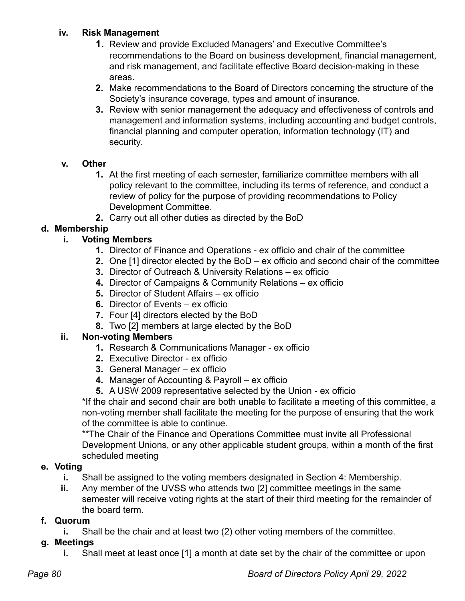### **iv. Risk Management**

- **1.** Review and provide Excluded Managers' and Executive Committee's recommendations to the Board on business development, financial management, and risk management, and facilitate effective Board decision-making in these areas.
- **2.** Make recommendations to the Board of Directors concerning the structure of the Society's insurance coverage, types and amount of insurance.
- **3.** Review with senior management the adequacy and effectiveness of controls and management and information systems, including accounting and budget controls, financial planning and computer operation, information technology (IT) and security.

### **v. Other**

- **1.** At the first meeting of each semester, familiarize committee members with all policy relevant to the committee, including its terms of reference, and conduct a review of policy for the purpose of providing recommendations to Policy Development Committee.
- **2.** Carry out all other duties as directed by the BoD

# **d. Membership**

# **i. Voting Members**

- **1.** Director of Finance and Operations ex officio and chair of the committee
- **2.** One [1] director elected by the BoD ex officio and second chair of the committee
- **3.** Director of Outreach & University Relations ex officio
- **4.** Director of Campaigns & Community Relations ex officio
- **5.** Director of Student Affairs ex officio
- **6.** Director of Events ex officio
- **7.** Four [4] directors elected by the BoD
- **8.** Two [2] members at large elected by the BoD

#### **ii. Non-voting Members**

- **1.** Research & Communications Manager ex officio
- **2.** Executive Director ex officio
- **3.** General Manager ex officio
- **4.** Manager of Accounting & Payroll ex officio
- **5.** A USW 2009 representative selected by the Union ex officio

\*If the chair and second chair are both unable to facilitate a meeting of this committee, a non-voting member shall facilitate the meeting for the purpose of ensuring that the work of the committee is able to continue.

\*\*The Chair of the Finance and Operations Committee must invite all Professional Development Unions, or any other applicable student groups, within a month of the first scheduled meeting

#### **e. Voting**

- **i.** Shall be assigned to the voting members designated in Section 4: Membership.
- **ii.** Any member of the UVSS who attends two [2] committee meetings in the same semester will receive voting rights at the start of their third meeting for the remainder of the board term.

# **f. Quorum**

**i.** Shall be the chair and at least two (2) other voting members of the committee.

# **g. Meetings**

**i.** Shall meet at least once [1] a month at date set by the chair of the committee or upon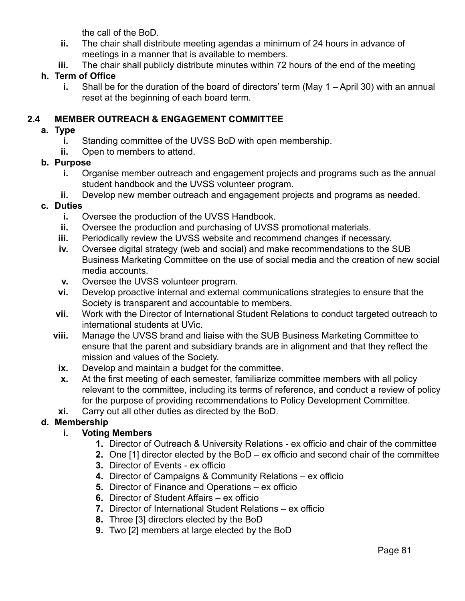the call of the BoD.

- **ii.** The chair shall distribute meeting agendas a minimum of 24 hours in advance of meetings in a manner that is available to members.
- **iii.** The chair shall publicly distribute minutes within 72 hours of the end of the meeting

### **h. Term of Office**

**i.** Shall be for the duration of the board of directors' term (May 1 – April 30) with an annual reset at the beginning of each board term.

### **2.4 MEMBER OUTREACH & ENGAGEMENT COMMITTEE**

#### **a. Type**

- **i.** Standing committee of the UVSS BoD with open membership.
- **ii.** Open to members to attend.

#### **b. Purpose**

- **i.** Organise member outreach and engagement projects and programs such as the annual student handbook and the UVSS volunteer program.
- **ii.** Develop new member outreach and engagement projects and programs as needed.

#### **c. Duties**

- **i.** Oversee the production of the UVSS Handbook.
- **ii.** Oversee the production and purchasing of UVSS promotional materials.
- **iii.** Periodically review the UVSS website and recommend changes if necessary.
- **iv.** Oversee digital strategy (web and social) and make recommendations to the SUB Business Marketing Committee on the use of social media and the creation of new social media accounts.
- **v.** Oversee the UVSS volunteer program.
- **vi.** Develop proactive internal and external communications strategies to ensure that the Society is transparent and accountable to members.
- **vii.** Work with the Director of International Student Relations to conduct targeted outreach to international students at UVic.
- **viii.** Manage the UVSS brand and liaise with the SUB Business Marketing Committee to ensure that the parent and subsidiary brands are in alignment and that they reflect the mission and values of the Society.
	- **ix.** Develop and maintain a budget for the committee.
	- **x.** At the first meeting of each semester, familiarize committee members with all policy relevant to the committee, including its terms of reference, and conduct a review of policy for the purpose of providing recommendations to Policy Development Committee.
- **xi.** Carry out all other duties as directed by the BoD.

#### **d. Membership**

#### **i. Voting Members**

- **1.** Director of Outreach & University Relations ex officio and chair of the committee
- **2.** One [1] director elected by the BoD ex officio and second chair of the committee
- **3.** Director of Events ex officio
- **4.** Director of Campaigns & Community Relations ex officio
- **5.** Director of Finance and Operations ex officio
- **6.** Director of Student Affairs ex officio
- **7.** Director of International Student Relations ex officio
- **8.** Three [3] directors elected by the BoD
- **9.** Two [2] members at large elected by the BoD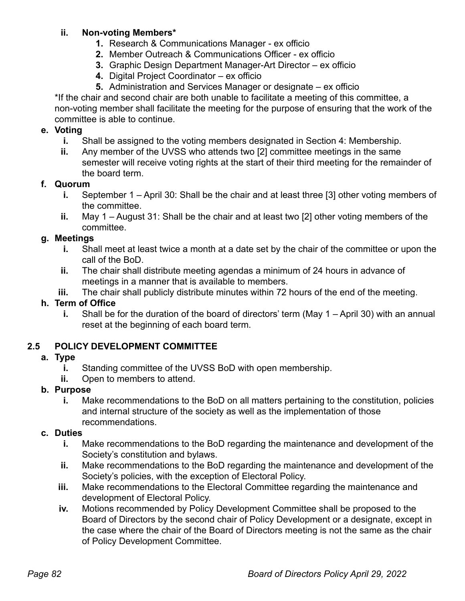### **ii. Non-voting Members\***

- **1.** Research & Communications Manager ex officio
- **2.** Member Outreach & Communications Officer ex officio
- **3.** Graphic Design Department Manager-Art Director ex officio
- **4.** Digital Project Coordinator ex officio
- **5.** Administration and Services Manager or designate ex officio

\*If the chair and second chair are both unable to facilitate a meeting of this committee, a non-voting member shall facilitate the meeting for the purpose of ensuring that the work of the committee is able to continue.

### **e. Voting**

- **i.** Shall be assigned to the voting members designated in Section 4: Membership.
- **ii.** Any member of the UVSS who attends two [2] committee meetings in the same semester will receive voting rights at the start of their third meeting for the remainder of the board term.

### **f. Quorum**

- **i.** September 1 April 30: Shall be the chair and at least three [3] other voting members of the committee.
- **ii.** May 1 August 31: Shall be the chair and at least two [2] other voting members of the committee.

# **g. Meetings**

- **i.** Shall meet at least twice a month at a date set by the chair of the committee or upon the call of the BoD.
- **ii.** The chair shall distribute meeting agendas a minimum of 24 hours in advance of meetings in a manner that is available to members.
- **iii.** The chair shall publicly distribute minutes within 72 hours of the end of the meeting.

# **h. Term of Office**

**i.** Shall be for the duration of the board of directors' term (May 1 – April 30) with an annual reset at the beginning of each board term.

# **2.5 POLICY DEVELOPMENT COMMITTEE**

#### **a. Type**

- **i.** Standing committee of the UVSS BoD with open membership.
- **ii.** Open to members to attend.

#### **b. Purpose**

**i.** Make recommendations to the BoD on all matters pertaining to the constitution, policies and internal structure of the society as well as the implementation of those recommendations.

#### **c. Duties**

- **i.** Make recommendations to the BoD regarding the maintenance and development of the Society's constitution and bylaws.
- **ii.** Make recommendations to the BoD regarding the maintenance and development of the Society's policies, with the exception of Electoral Policy.
- **iii.** Make recommendations to the Electoral Committee regarding the maintenance and development of Electoral Policy.
- **iv.** Motions recommended by Policy Development Committee shall be proposed to the Board of Directors by the second chair of Policy Development or a designate, except in the case where the chair of the Board of Directors meeting is not the same as the chair of Policy Development Committee.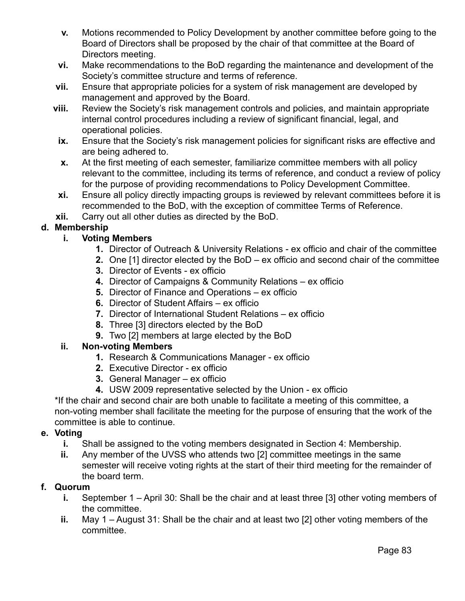- **v.** Motions recommended to Policy Development by another committee before going to the Board of Directors shall be proposed by the chair of that committee at the Board of Directors meeting.
- **vi.** Make recommendations to the BoD regarding the maintenance and development of the Society's committee structure and terms of reference.
- **vii.** Ensure that appropriate policies for a system of risk management are developed by management and approved by the Board.
- **viii.** Review the Society's risk management controls and policies, and maintain appropriate internal control procedures including a review of significant financial, legal, and operational policies.
	- **ix.** Ensure that the Society's risk management policies for significant risks are effective and are being adhered to.
	- **x.** At the first meeting of each semester, familiarize committee members with all policy relevant to the committee, including its terms of reference, and conduct a review of policy for the purpose of providing recommendations to Policy Development Committee.
- **xi.** Ensure all policy directly impacting groups is reviewed by relevant committees before it is recommended to the BoD, with the exception of committee Terms of Reference.
- **xii.** Carry out all other duties as directed by the BoD.

# **d. Membership**

### **i. Voting Members**

- **1.** Director of Outreach & University Relations ex officio and chair of the committee
- **2.** One [1] director elected by the BoD ex officio and second chair of the committee
- **3.** Director of Events ex officio
- **4.** Director of Campaigns & Community Relations ex officio
- **5.** Director of Finance and Operations ex officio
- **6.** Director of Student Affairs ex officio
- **7.** Director of International Student Relations ex officio
- **8.** Three [3] directors elected by the BoD
- **9.** Two [2] members at large elected by the BoD

#### **ii. Non-voting Members**

- **1.** Research & Communications Manager ex officio
- **2.** Executive Director ex officio
- **3.** General Manager ex officio
- **4.** USW 2009 representative selected by the Union ex officio

\*If the chair and second chair are both unable to facilitate a meeting of this committee, a non-voting member shall facilitate the meeting for the purpose of ensuring that the work of the committee is able to continue.

#### **e. Voting**

- **i.** Shall be assigned to the voting members designated in Section 4: Membership.
- **ii.** Any member of the UVSS who attends two [2] committee meetings in the same semester will receive voting rights at the start of their third meeting for the remainder of the board term.

#### **f. Quorum**

- **i.** September 1 April 30: Shall be the chair and at least three [3] other voting members of the committee.
- **ii.** May 1 August 31: Shall be the chair and at least two [2] other voting members of the committee.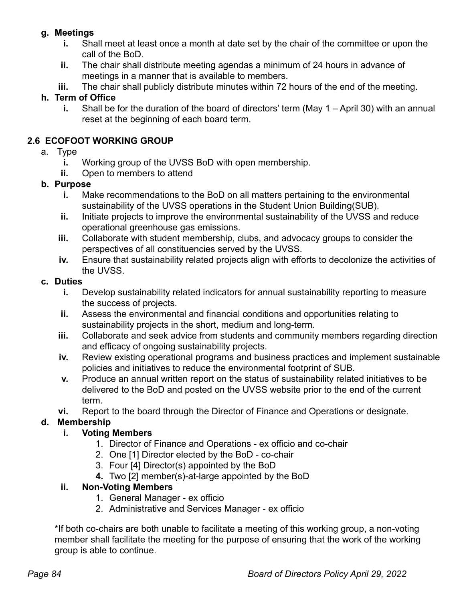### **g. Meetings**

- **i.** Shall meet at least once a month at date set by the chair of the committee or upon the call of the BoD.
- **ii.** The chair shall distribute meeting agendas a minimum of 24 hours in advance of meetings in a manner that is available to members.
- **iii.** The chair shall publicly distribute minutes within 72 hours of the end of the meeting.

# **h. Term of Office**

**i.** Shall be for the duration of the board of directors' term (May 1 – April 30) with an annual reset at the beginning of each board term.

# **2.6 ECOFOOT WORKING GROUP**

- a. Type
	- **i.** Working group of the UVSS BoD with open membership.
	- **ii.** Open to members to attend

# **b. Purpose**

- **i.** Make recommendations to the BoD on all matters pertaining to the environmental sustainability of the UVSS operations in the Student Union Building(SUB).
- **ii.** Initiate projects to improve the environmental sustainability of the UVSS and reduce operational greenhouse gas emissions.
- **iii.** Collaborate with student membership, clubs, and advocacy groups to consider the perspectives of all constituencies served by the UVSS.
- **iv.** Ensure that sustainability related projects align with efforts to decolonize the activities of the UVSS.

# **c. Duties**

- **i.** Develop sustainability related indicators for annual sustainability reporting to measure the success of projects.
- **ii.** Assess the environmental and financial conditions and opportunities relating to sustainability projects in the short, medium and long-term.
- **iii.** Collaborate and seek advice from students and community members regarding direction and efficacy of ongoing sustainability projects.
- **iv.** Review existing operational programs and business practices and implement sustainable policies and initiatives to reduce the environmental footprint of SUB.
- **v.** Produce an annual written report on the status of sustainability related initiatives to be delivered to the BoD and posted on the UVSS website prior to the end of the current term.
- **vi.** Report to the board through the Director of Finance and Operations or designate.

# **d. Membership**

# **i. Voting Members**

- 1. Director of Finance and Operations ex officio and co-chair
- 2. One [1] Director elected by the BoD co-chair
- 3. Four [4] Director(s) appointed by the BoD
- **4.** Two [2] member(s)-at-large appointed by the BoD

# **ii. Non-Voting Members**

- 1. General Manager ex officio
- 2. Administrative and Services Manager ex officio

\*If both co-chairs are both unable to facilitate a meeting of this working group, a non-voting member shall facilitate the meeting for the purpose of ensuring that the work of the working group is able to continue.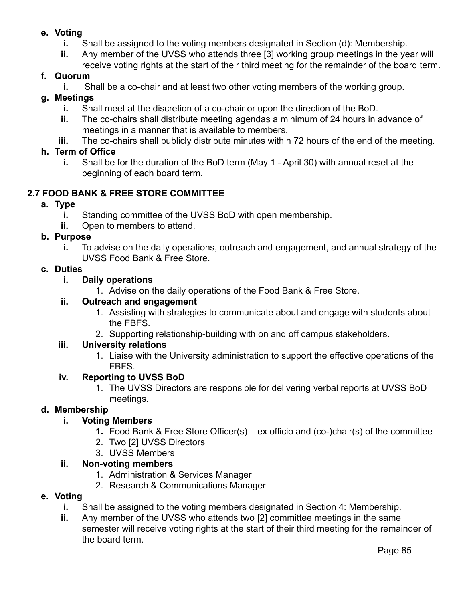### **e. Voting**

- **i.** Shall be assigned to the voting members designated in Section (d): Membership.
- **ii.** Any member of the UVSS who attends three [3] working group meetings in the year will receive voting rights at the start of their third meeting for the remainder of the board term.

# **f. Quorum**

**i.** Shall be a co-chair and at least two other voting members of the working group.

# **g. Meetings**

- **i.** Shall meet at the discretion of a co-chair or upon the direction of the BoD.
- **ii.** The co-chairs shall distribute meeting agendas a minimum of 24 hours in advance of meetings in a manner that is available to members.
- **iii.** The co-chairs shall publicly distribute minutes within 72 hours of the end of the meeting.

### **h. Term of Office**

**i.** Shall be for the duration of the BoD term (May 1 - April 30) with annual reset at the beginning of each board term.

### **2.7 FOOD BANK & FREE STORE COMMITTEE**

#### **a. Type**

- **i.** Standing committee of the UVSS BoD with open membership.
- **ii.** Open to members to attend.

#### **b. Purpose**

**i.** To advise on the daily operations, outreach and engagement, and annual strategy of the UVSS Food Bank & Free Store.

#### **c. Duties**

#### **i. Daily operations**

1. Advise on the daily operations of the Food Bank & Free Store.

#### **ii. Outreach and engagement**

- 1. Assisting with strategies to communicate about and engage with students about the FBFS.
- 2. Supporting relationship-building with on and off campus stakeholders.

#### **iii. University relations**

1. Liaise with the University administration to support the effective operations of the FBFS.

#### **iv. Reporting to UVSS BoD**

1. The UVSS Directors are responsible for delivering verbal reports at UVSS BoD meetings.

#### **d. Membership**

#### **i. Voting Members**

- **1.** Food Bank & Free Store Officer(s) ex officio and (co-)chair(s) of the committee
- 2. Two [2] UVSS Directors
- 3. UVSS Members

#### **ii. Non-voting members**

- 1. Administration & Services Manager
- 2. Research & Communications Manager

#### **e. Voting**

- **i.** Shall be assigned to the voting members designated in Section 4: Membership.
- **ii.** Any member of the UVSS who attends two [2] committee meetings in the same semester will receive voting rights at the start of their third meeting for the remainder of the board term.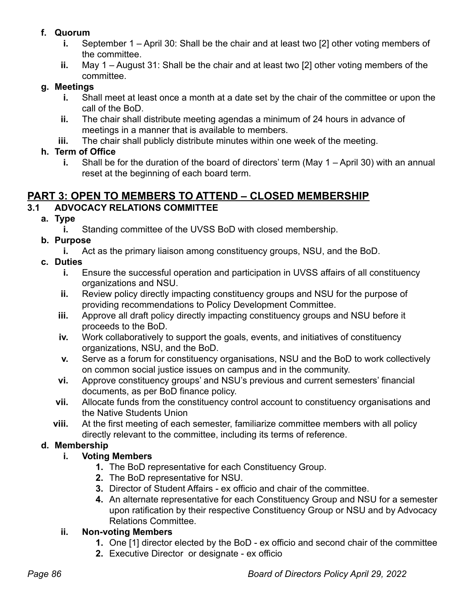# **f. Quorum**

- **i.** September 1 April 30: Shall be the chair and at least two [2] other voting members of the committee.
- **ii.** May 1 August 31: Shall be the chair and at least two [2] other voting members of the committee.

### **g. Meetings**

- **i.** Shall meet at least once a month at a date set by the chair of the committee or upon the call of the BoD.
- **ii.** The chair shall distribute meeting agendas a minimum of 24 hours in advance of meetings in a manner that is available to members.
- **iii.** The chair shall publicly distribute minutes within one week of the meeting.

# **h. Term of Office**

**i.** Shall be for the duration of the board of directors' term (May 1 – April 30) with an annual reset at the beginning of each board term.

# **PART 3: OPEN TO MEMBERS TO ATTEND – CLOSED MEMBERSHIP**

# **3.1 ADVOCACY RELATIONS COMMITTEE**

**a. Type**

**i.** Standing committee of the UVSS BoD with closed membership.

- **b. Purpose**
	- **i.** Act as the primary liaison among constituency groups, NSU, and the BoD.
- **c. Duties**
	- **i.** Ensure the successful operation and participation in UVSS affairs of all constituency organizations and NSU.
	- **ii.** Review policy directly impacting constituency groups and NSU for the purpose of providing recommendations to Policy Development Committee.
	- **iii.** Approve all draft policy directly impacting constituency groups and NSU before it proceeds to the BoD.
	- **iv.** Work collaboratively to support the goals, events, and initiatives of constituency organizations, NSU, and the BoD.
	- **v.** Serve as a forum for constituency organisations, NSU and the BoD to work collectively on common social justice issues on campus and in the community.
	- **vi.** Approve constituency groups' and NSU's previous and current semesters' financial documents, as per BoD finance policy.
	- **vii.** Allocate funds from the constituency control account to constituency organisations and the Native Students Union
	- **viii.** At the first meeting of each semester, familiarize committee members with all policy directly relevant to the committee, including its terms of reference.

# **d. Membership**

# **i. Voting Members**

- **1.** The BoD representative for each Constituency Group.
- **2.** The BoD representative for NSU.
- **3.** Director of Student Affairs ex officio and chair of the committee.
- **4.** An alternate representative for each Constituency Group and NSU for a semester upon ratification by their respective Constituency Group or NSU and by Advocacy Relations Committee.

# **ii. Non-voting Members**

- **1.** One [1] director elected by the BoD ex officio and second chair of the committee
- **2.** Executive Director or designate ex officio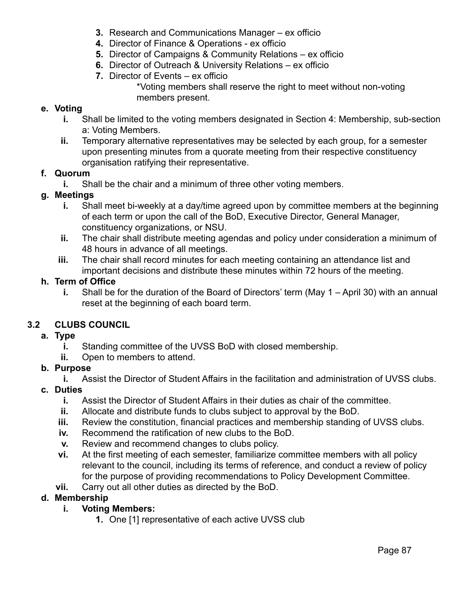- **3.** Research and Communications Manager ex officio
- **4.** Director of Finance & Operations ex officio
- **5.** Director of Campaigns & Community Relations ex officio
- **6.** Director of Outreach & University Relations ex officio
- **7.** Director of Events ex officio \*Voting members shall reserve the right to meet without non-voting members present.

#### **e. Voting**

- **i.** Shall be limited to the voting members designated in Section 4: Membership, sub-section a: Voting Members.
- **ii.** Temporary alternative representatives may be selected by each group, for a semester upon presenting minutes from a quorate meeting from their respective constituency organisation ratifying their representative.

#### **f. Quorum**

**i.** Shall be the chair and a minimum of three other voting members.

#### **g. Meetings**

- **i.** Shall meet bi-weekly at a day/time agreed upon by committee members at the beginning of each term or upon the call of the BoD, Executive Director, General Manager, constituency organizations, or NSU.
- **ii.** The chair shall distribute meeting agendas and policy under consideration a minimum of 48 hours in advance of all meetings.
- **iii.** The chair shall record minutes for each meeting containing an attendance list and important decisions and distribute these minutes within 72 hours of the meeting.

#### **h. Term of Office**

**i.** Shall be for the duration of the Board of Directors' term (May 1 – April 30) with an annual reset at the beginning of each board term.

#### **3.2 CLUBS COUNCIL**

- **a. Type**
	- **i.** Standing committee of the UVSS BoD with closed membership.
	- **ii.** Open to members to attend.

#### **b. Purpose**

**i.** Assist the Director of Student Affairs in the facilitation and administration of UVSS clubs.

#### **c. Duties**

- **i.** Assist the Director of Student Affairs in their duties as chair of the committee.
- **ii.** Allocate and distribute funds to clubs subject to approval by the BoD.
- **iii.** Review the constitution, financial practices and membership standing of UVSS clubs.
- **iv.** Recommend the ratification of new clubs to the BoD.
- **v.** Review and recommend changes to clubs policy.
- **vi.** At the first meeting of each semester, familiarize committee members with all policy relevant to the council, including its terms of reference, and conduct a review of policy for the purpose of providing recommendations to Policy Development Committee.
- **vii.** Carry out all other duties as directed by the BoD.

#### **d. Membership**

#### **i. Voting Members:**

**1.** One [1] representative of each active UVSS club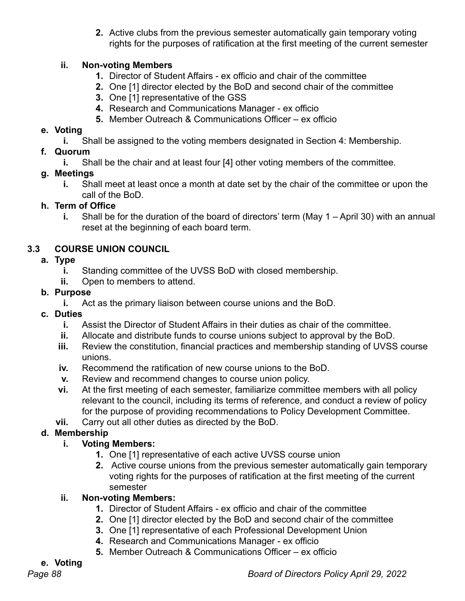**2.** Active clubs from the previous semester automatically gain temporary voting rights for the purposes of ratification at the first meeting of the current semester

#### **ii. Non-voting Members**

- **1.** Director of Student Affairs ex officio and chair of the committee
- **2.** One [1] director elected by the BoD and second chair of the committee
- **3.** One [1] representative of the GSS
- **4.** Research and Communications Manager ex officio
- **5.** Member Outreach & Communications Officer ex officio

# **e. Voting**

**i.** Shall be assigned to the voting members designated in Section 4: Membership.

# **f. Quorum**

**i.** Shall be the chair and at least four [4] other voting members of the committee.

# **g. Meetings**

**i.** Shall meet at least once a month at date set by the chair of the committee or upon the call of the BoD.

# **h. Term of Office**

**i.** Shall be for the duration of the board of directors' term (May 1 – April 30) with an annual reset at the beginning of each board term.

# **3.3 COURSE UNION COUNCIL**

# **a. Type**

- **i.** Standing committee of the UVSS BoD with closed membership.
- **ii.** Open to members to attend.

# **b. Purpose**

- **i.** Act as the primary liaison between course unions and the BoD.
- **c. Duties**
	- **i.** Assist the Director of Student Affairs in their duties as chair of the committee.
	- **ii.** Allocate and distribute funds to course unions subject to approval by the BoD.
	- **iii.** Review the constitution, financial practices and membership standing of UVSS course unions.
	- **iv.** Recommend the ratification of new course unions to the BoD.
	- **v.** Review and recommend changes to course union policy.
	- **vi.** At the first meeting of each semester, familiarize committee members with all policy relevant to the council, including its terms of reference, and conduct a review of policy for the purpose of providing recommendations to Policy Development Committee.
	- **vii.** Carry out all other duties as directed by the BoD.

# **d. Membership**

# **i. Voting Members:**

- **1.** One [1] representative of each active UVSS course union
- **2.** Active course unions from the previous semester automatically gain temporary voting rights for the purposes of ratification at the first meeting of the current semester

# **ii. Non-voting Members:**

- **1.** Director of Student Affairs ex officio and chair of the committee
- **2.** One [1] director elected by the BoD and second chair of the committee
- **3.** One [1] representative of each Professional Development Union
- **4.** Research and Communications Manager ex officio
- **5.** Member Outreach & Communications Officer ex officio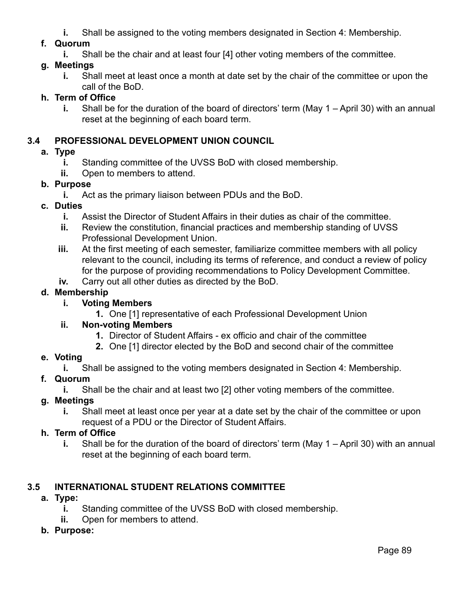**i.** Shall be assigned to the voting members designated in Section 4: Membership.

### **f. Quorum**

**i.** Shall be the chair and at least four [4] other voting members of the committee.

### **g. Meetings**

**i.** Shall meet at least once a month at date set by the chair of the committee or upon the call of the BoD.

### **h. Term of Office**

**i.** Shall be for the duration of the board of directors' term (May 1 – April 30) with an annual reset at the beginning of each board term.

### **3.4 PROFESSIONAL DEVELOPMENT UNION COUNCIL**

### **a. Type**

- **i.** Standing committee of the UVSS BoD with closed membership.
- **ii.** Open to members to attend.

### **b. Purpose**

**i.** Act as the primary liaison between PDUs and the BoD.

### **c. Duties**

- **i.** Assist the Director of Student Affairs in their duties as chair of the committee.
- **ii.** Review the constitution, financial practices and membership standing of UVSS Professional Development Union.
- **iii.** At the first meeting of each semester, familiarize committee members with all policy relevant to the council, including its terms of reference, and conduct a review of policy for the purpose of providing recommendations to Policy Development Committee.
- **iv.** Carry out all other duties as directed by the BoD.

### **d. Membership**

### **i. Voting Members**

**1.** One [1] representative of each Professional Development Union

#### **ii. Non-voting Members**

- **1.** Director of Student Affairs ex officio and chair of the committee
- **2.** One [1] director elected by the BoD and second chair of the committee

#### **e. Voting**

**i.** Shall be assigned to the voting members designated in Section 4: Membership.

# **f. Quorum**

**i.** Shall be the chair and at least two [2] other voting members of the committee.

# **g. Meetings**

**i.** Shall meet at least once per year at a date set by the chair of the committee or upon request of a PDU or the Director of Student Affairs.

#### **h. Term of Office**

**i.** Shall be for the duration of the board of directors' term (May 1 – April 30) with an annual reset at the beginning of each board term.

# **3.5 INTERNATIONAL STUDENT RELATIONS COMMITTEE**

# **a. Type:**

- **i.** Standing committee of the UVSS BoD with closed membership.
- **ii.** Open for members to attend.
- **b. Purpose:**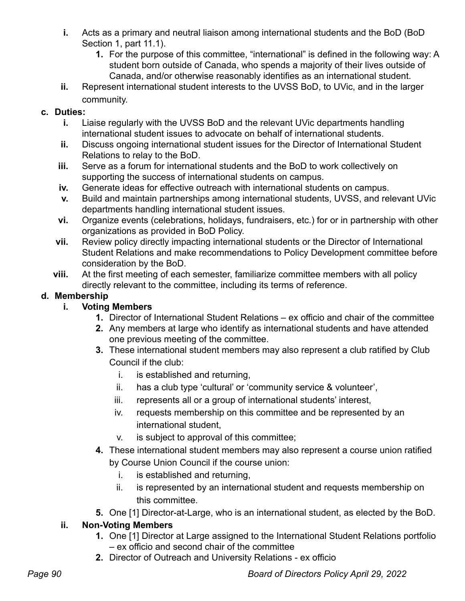- **i.** Acts as a primary and neutral liaison among international students and the BoD (BoD Section 1, part 11.1).
	- **1.** For the purpose of this committee, "international" is defined in the following way: A student born outside of Canada, who spends a majority of their lives outside of Canada, and/or otherwise reasonably identifies as an international student.
- **ii.** Represent international student interests to the UVSS BoD, to UVic, and in the larger community.

# **c. Duties:**

- **i.** Liaise regularly with the UVSS BoD and the relevant UVic departments handling international student issues to advocate on behalf of international students.
- **ii.** Discuss ongoing international student issues for the Director of International Student Relations to relay to the BoD.
- **iii.** Serve as a forum for international students and the BoD to work collectively on supporting the success of international students on campus.
- **iv.** Generate ideas for effective outreach with international students on campus.
- **v.** Build and maintain partnerships among international students, UVSS, and relevant UVic departments handling international student issues.
- **vi.** Organize events (celebrations, holidays, fundraisers, etc.) for or in partnership with other organizations as provided in BoD Policy.
- **vii.** Review policy directly impacting international students or the Director of International Student Relations and make recommendations to Policy Development committee before consideration by the BoD.
- **viii.** At the first meeting of each semester, familiarize committee members with all policy directly relevant to the committee, including its terms of reference.

# **d. Membership**

- **i. Voting Members**
	- **1.** Director of International Student Relations ex officio and chair of the committee
	- **2.** Any members at large who identify as international students and have attended one previous meeting of the committee.
	- **3.** These international student members may also represent a club ratified by Club Council if the club:
		- i. is established and returning,
		- ii. has a club type 'cultural' or 'community service & volunteer',
		- iii. represents all or a group of international students' interest,
		- iv. requests membership on this committee and be represented by an international student,
		- v. is subject to approval of this committee;
	- **4.** These international student members may also represent a course union ratified by Course Union Council if the course union:
		- i. is established and returning,
		- ii. is represented by an international student and requests membership on this committee.
	- **5.** One [1] Director-at-Large, who is an international student, as elected by the BoD.

# **ii. Non-Voting Members**

- **1.** One [1] Director at Large assigned to the International Student Relations portfolio – ex officio and second chair of the committee
- **2.** Director of Outreach and University Relations ex officio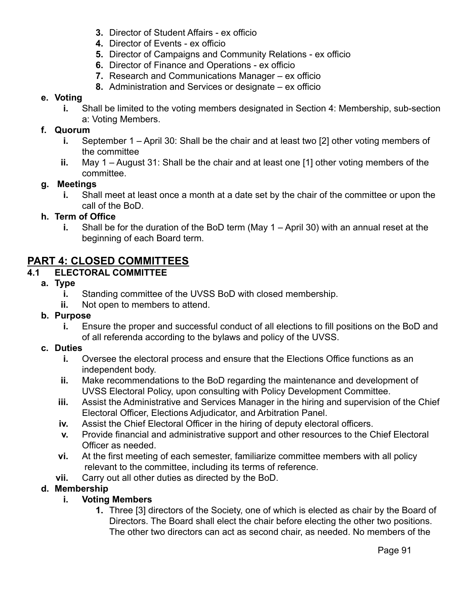- **3.** Director of Student Affairs ex officio
- **4.** Director of Events ex officio
- **5.** Director of Campaigns and Community Relations ex officio
- **6.** Director of Finance and Operations ex officio
- **7.** Research and Communications Manager ex officio
- **8.** Administration and Services or designate ex officio

#### **e. Voting**

**i.** Shall be limited to the voting members designated in Section 4: Membership, sub-section a: Voting Members.

#### **f. Quorum**

- **i.** September 1 April 30: Shall be the chair and at least two [2] other voting members of the committee
- **ii.** May 1 August 31: Shall be the chair and at least one [1] other voting members of the committee.

#### **g. Meetings**

**i.** Shall meet at least once a month at a date set by the chair of the committee or upon the call of the BoD.

#### **h. Term of Office**

**i.** Shall be for the duration of the BoD term (May 1 – April 30) with an annual reset at the beginning of each Board term.

# **PART 4: CLOSED COMMITTEES**

#### **4.1 ELECTORAL COMMITTEE**

- **a. Type**
	- **i.** Standing committee of the UVSS BoD with closed membership.
	- **ii.** Not open to members to attend.
- **b. Purpose**
	- **i.** Ensure the proper and successful conduct of all elections to fill positions on the BoD and of all referenda according to the bylaws and policy of the UVSS.

#### **c. Duties**

- **i.** Oversee the electoral process and ensure that the Elections Office functions as an independent body.
- **ii.** Make recommendations to the BoD regarding the maintenance and development of UVSS Electoral Policy, upon consulting with Policy Development Committee.
- **iii.** Assist the Administrative and Services Manager in the hiring and supervision of the Chief Electoral Officer, Elections Adjudicator, and Arbitration Panel.
- **iv.** Assist the Chief Electoral Officer in the hiring of deputy electoral officers.
- **v.** Provide financial and administrative support and other resources to the Chief Electoral Officer as needed.
- **vi.** At the first meeting of each semester, familiarize committee members with all policy relevant to the committee, including its terms of reference.
- **vii.** Carry out all other duties as directed by the BoD.

#### **d. Membership**

- **i. Voting Members**
	- **1.** Three [3] directors of the Society, one of which is elected as chair by the Board of Directors. The Board shall elect the chair before electing the other two positions. The other two directors can act as second chair, as needed. No members of the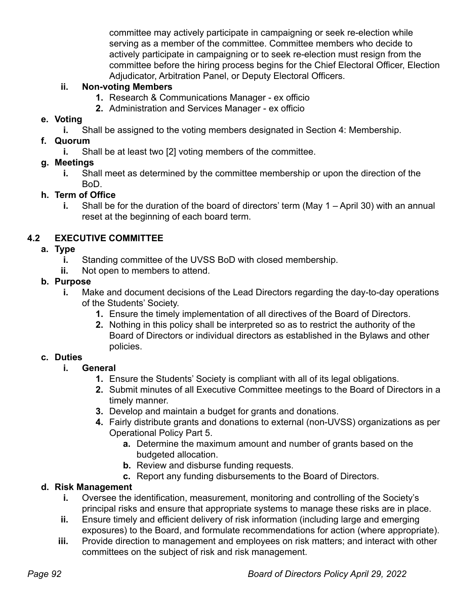committee may actively participate in campaigning or seek re-election while serving as a member of the committee. Committee members who decide to actively participate in campaigning or to seek re-election must resign from the committee before the hiring process begins for the Chief Electoral Officer, Election Adjudicator, Arbitration Panel, or Deputy Electoral Officers.

### **ii. Non-voting Members**

- **1.** Research & Communications Manager ex officio
- **2.** Administration and Services Manager ex officio

### **e. Voting**

**i.** Shall be assigned to the voting members designated in Section 4: Membership.

### **f. Quorum**

**i.** Shall be at least two [2] voting members of the committee.

### **g. Meetings**

**i.** Shall meet as determined by the committee membership or upon the direction of the BoD.

### **h. Term of Office**

**i.** Shall be for the duration of the board of directors' term (May 1 – April 30) with an annual reset at the beginning of each board term.

# **4.2 EXECUTIVE COMMITTEE**

### **a. Type**

- **i.** Standing committee of the UVSS BoD with closed membership.
- **ii.** Not open to members to attend.

### **b. Purpose**

- **i.** Make and document decisions of the Lead Directors regarding the day-to-day operations of the Students' Society.
	- **1.** Ensure the timely implementation of all directives of the Board of Directors.
	- **2.** Nothing in this policy shall be interpreted so as to restrict the authority of the Board of Directors or individual directors as established in the Bylaws and other policies.

# **c. Duties**

- **i. General**
	- **1.** Ensure the Students' Society is compliant with all of its legal obligations.
	- **2.** Submit minutes of all Executive Committee meetings to the Board of Directors in a timely manner.
	- **3.** Develop and maintain a budget for grants and donations.
	- **4.** Fairly distribute grants and donations to external (non-UVSS) organizations as per Operational Policy Part 5.
		- **a.** Determine the maximum amount and number of grants based on the budgeted allocation.
		- **b.** Review and disburse funding requests.
		- **c.** Report any funding disbursements to the Board of Directors.

# **d. Risk Management**

- **i.** Oversee the identification, measurement, monitoring and controlling of the Society's principal risks and ensure that appropriate systems to manage these risks are in place.
- **ii.** Ensure timely and efficient delivery of risk information (including large and emerging exposures) to the Board, and formulate recommendations for action (where appropriate).
- **iii.** Provide direction to management and employees on risk matters; and interact with other committees on the subject of risk and risk management.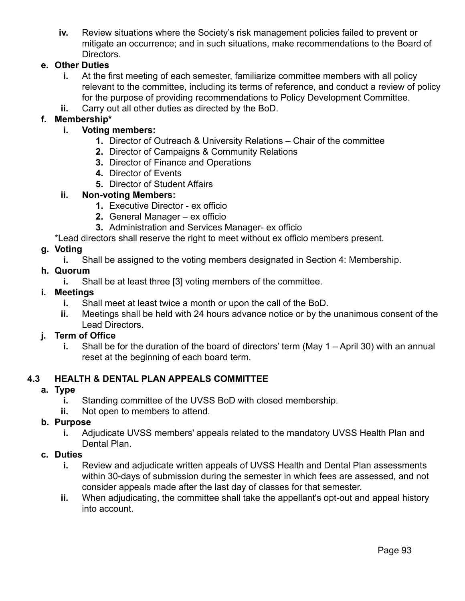**iv.** Review situations where the Society's risk management policies failed to prevent or mitigate an occurrence; and in such situations, make recommendations to the Board of Directors.

### **e. Other Duties**

- **i.** At the first meeting of each semester, familiarize committee members with all policy relevant to the committee, including its terms of reference, and conduct a review of policy for the purpose of providing recommendations to Policy Development Committee.
- **ii.** Carry out all other duties as directed by the BoD.

#### **f. Membership\***

- **i. Voting members:**
	- **1.** Director of Outreach & University Relations Chair of the committee
	- **2.** Director of Campaigns & Community Relations
	- **3.** Director of Finance and Operations
	- **4.** Director of Events
	- **5.** Director of Student Affairs

#### **ii. Non-voting Members:**

- **1.** Executive Director ex officio
- **2.** General Manager ex officio
- **3.** Administration and Services Manager- ex officio
- \*Lead directors shall reserve the right to meet without ex officio members present.

#### **g. Voting**

**i.** Shall be assigned to the voting members designated in Section 4: Membership.

#### **h. Quorum**

**i.** Shall be at least three [3] voting members of the committee.

#### **i. Meetings**

- **i.** Shall meet at least twice a month or upon the call of the BoD.
- **ii.** Meetings shall be held with 24 hours advance notice or by the unanimous consent of the Lead Directors.

#### **j. Term of Office**

**i.** Shall be for the duration of the board of directors' term (May 1 – April 30) with an annual reset at the beginning of each board term.

#### **4.3 HEALTH & DENTAL PLAN APPEALS COMMITTEE**

#### **a. Type**

- **i.** Standing committee of the UVSS BoD with closed membership.
- **ii.** Not open to members to attend.

#### **b. Purpose**

**i.** Adjudicate UVSS members' appeals related to the mandatory UVSS Health Plan and Dental Plan.

#### **c. Duties**

- **i.** Review and adjudicate written appeals of UVSS Health and Dental Plan assessments within 30-days of submission during the semester in which fees are assessed, and not consider appeals made after the last day of classes for that semester.
- **ii.** When adjudicating, the committee shall take the appellant's opt-out and appeal history into account.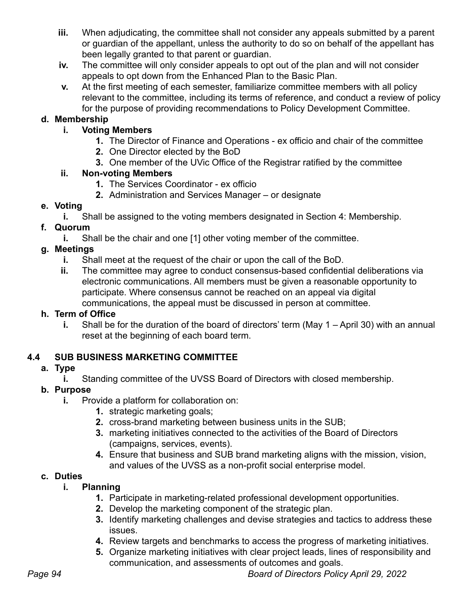- **iii.** When adjudicating, the committee shall not consider any appeals submitted by a parent or guardian of the appellant, unless the authority to do so on behalf of the appellant has been legally granted to that parent or guardian.
- **iv.** The committee will only consider appeals to opt out of the plan and will not consider appeals to opt down from the Enhanced Plan to the Basic Plan.
- **v.** At the first meeting of each semester, familiarize committee members with all policy relevant to the committee, including its terms of reference, and conduct a review of policy for the purpose of providing recommendations to Policy Development Committee.

### **d. Membership**

### **i. Voting Members**

- **1.** The Director of Finance and Operations ex officio and chair of the committee
- **2.** One Director elected by the BoD
- **3.** One member of the UVic Office of the Registrar ratified by the committee

### **ii. Non-voting Members**

- **1.** The Services Coordinator ex officio
- **2.** Administration and Services Manager or designate

### **e. Voting**

**i.** Shall be assigned to the voting members designated in Section 4: Membership.

# **f. Quorum**

**i.** Shall be the chair and one [1] other voting member of the committee.

### **g. Meetings**

- **i.** Shall meet at the request of the chair or upon the call of the BoD.
- **ii.** The committee may agree to conduct consensus-based confidential deliberations via electronic communications. All members must be given a reasonable opportunity to participate. Where consensus cannot be reached on an appeal via digital communications, the appeal must be discussed in person at committee.

#### **h. Term of Office**

**i.** Shall be for the duration of the board of directors' term (May 1 – April 30) with an annual reset at the beginning of each board term.

# **4.4 SUB BUSINESS MARKETING COMMITTEE**

# **a. Type**

**i.** Standing committee of the UVSS Board of Directors with closed membership.

# **b. Purpose**

- **i.** Provide a platform for collaboration on:
	- **1.** strategic marketing goals;
	- **2.** cross-brand marketing between business units in the SUB;
	- **3.** marketing initiatives connected to the activities of the Board of Directors (campaigns, services, events).
	- **4.** Ensure that business and SUB brand marketing aligns with the mission, vision, and values of the UVSS as a non-profit social enterprise model.

# **c. Duties**

- **i. Planning**
	- **1.** Participate in marketing-related professional development opportunities.
	- **2.** Develop the marketing component of the strategic plan.
	- **3.** Identify marketing challenges and devise strategies and tactics to address these issues.
	- **4.** Review targets and benchmarks to access the progress of marketing initiatives.
	- **5.** Organize marketing initiatives with clear project leads, lines of responsibility and communication, and assessments of outcomes and goals.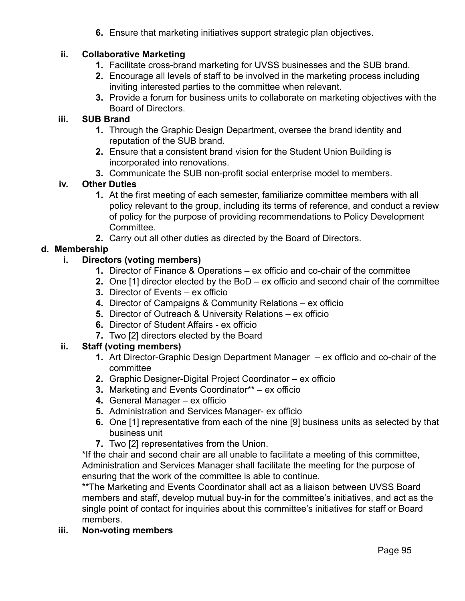**6.** Ensure that marketing initiatives support strategic plan objectives.

#### **ii. Collaborative Marketing**

- **1.** Facilitate cross-brand marketing for UVSS businesses and the SUB brand.
- **2.** Encourage all levels of staff to be involved in the marketing process including inviting interested parties to the committee when relevant.
- **3.** Provide a forum for business units to collaborate on marketing objectives with the Board of Directors.

#### **iii. SUB Brand**

- **1.** Through the Graphic Design Department, oversee the brand identity and reputation of the SUB brand.
- **2.** Ensure that a consistent brand vision for the Student Union Building is incorporated into renovations.
- **3.** Communicate the SUB non-profit social enterprise model to members.

#### **iv. Other Duties**

- **1.** At the first meeting of each semester, familiarize committee members with all policy relevant to the group, including its terms of reference, and conduct a review of policy for the purpose of providing recommendations to Policy Development Committee.
- **2.** Carry out all other duties as directed by the Board of Directors.

# **d. Membership**

### **i. Directors (voting members)**

- **1.** Director of Finance & Operations ex officio and co-chair of the committee
- **2.** One [1] director elected by the BoD ex officio and second chair of the committee
- **3.** Director of Events ex officio
- **4.** Director of Campaigns & Community Relations ex officio
- **5.** Director of Outreach & University Relations ex officio
- **6.** Director of Student Affairs ex officio
- **7.** Two [2] directors elected by the Board

# **ii. Staff (voting members)**

- **1.** Art Director-Graphic Design Department Manager ex officio and co-chair of the committee
- **2.** Graphic Designer-Digital Project Coordinator ex officio
- **3.** Marketing and Events Coordinator\*\* ex officio
- **4.** General Manager ex officio
- **5.** Administration and Services Manager- ex officio
- **6.** One [1] representative from each of the nine [9] business units as selected by that business unit
- **7.** Two [2] representatives from the Union.

\*If the chair and second chair are all unable to facilitate a meeting of this committee, Administration and Services Manager shall facilitate the meeting for the purpose of ensuring that the work of the committee is able to continue.

\*\*The Marketing and Events Coordinator shall act as a liaison between UVSS Board members and staff, develop mutual buy-in for the committee's initiatives, and act as the single point of contact for inquiries about this committee's initiatives for staff or Board members.

**iii. Non-voting members**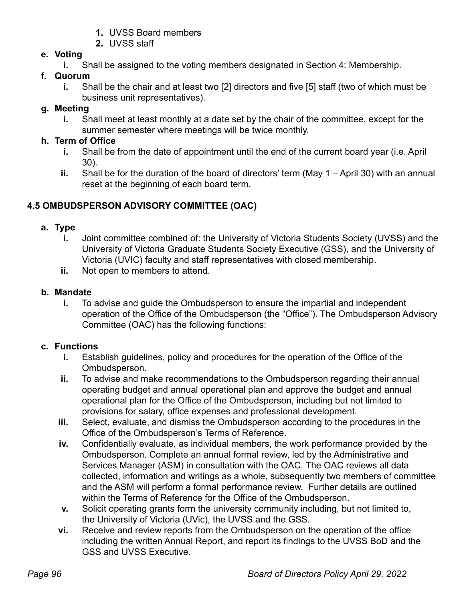- **1.** UVSS Board members
- **2.** UVSS staff

# **e. Voting**

**i.** Shall be assigned to the voting members designated in Section 4: Membership.

# **f. Quorum**

**i.** Shall be the chair and at least two [2] directors and five [5] staff (two of which must be business unit representatives).

# **g. Meeting**

**i.** Shall meet at least monthly at a date set by the chair of the committee, except for the summer semester where meetings will be twice monthly.

# **h. Term of Office**

- **i.** Shall be from the date of appointment until the end of the current board year (i.e. April 30).
- **ii.** Shall be for the duration of the board of directors' term (May 1 April 30) with an annual reset at the beginning of each board term.

# **4.5 OMBUDSPERSON ADVISORY COMMITTEE (OAC)**

# **a. Type**

- **i.** Joint committee combined of: the University of Victoria Students Society (UVSS) and the University of Victoria Graduate Students Society Executive (GSS), and the University of Victoria (UVIC) faculty and staff representatives with closed membership.
- **ii.** Not open to members to attend.

# **b. Mandate**

**i.** To advise and guide the Ombudsperson to ensure the impartial and independent operation of the Office of the Ombudsperson (the "Office"). The Ombudsperson Advisory Committee (OAC) has the following functions:

# **c. Functions**

- **i.** Establish guidelines, policy and procedures for the operation of the Office of the Ombudsperson.
- **ii.** To advise and make recommendations to the Ombudsperson regarding their annual operating budget and annual operational plan and approve the budget and annual operational plan for the Office of the Ombudsperson, including but not limited to provisions for salary, office expenses and professional development.
- **iii.** Select, evaluate, and dismiss the Ombudsperson according to the procedures in the Office of the Ombudsperson's Terms of Reference.
- **iv.** Confidentially evaluate, as individual members, the work performance provided by the Ombudsperson. Complete an annual formal review, led by the Administrative and Services Manager (ASM) in consultation with the OAC. The OAC reviews all data collected, information and writings as a whole, subsequently two members of committee and the ASM will perform a formal performance review. Further details are outlined within the Terms of Reference for the Office of the Ombudsperson.
- **v.** Solicit operating grants form the university community including, but not limited to, the University of Victoria (UVic), the UVSS and the GSS.
- **vi.** Receive and review reports from the Ombudsperson on the operation of the office including the written Annual Report, and report its findings to the UVSS BoD and the GSS and UVSS Executive.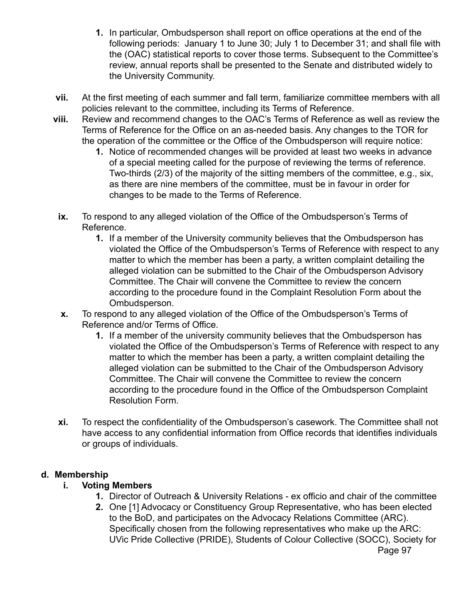- **1.** In particular, Ombudsperson shall report on office operations at the end of the following periods: January 1 to June 30; July 1 to December 31; and shall file with the (OAC) statistical reports to cover those terms. Subsequent to the Committee's review, annual reports shall be presented to the Senate and distributed widely to the University Community.
- **vii.** At the first meeting of each summer and fall term, familiarize committee members with all policies relevant to the committee, including its Terms of Reference.
- **viii.** Review and recommend changes to the OAC's Terms of Reference as well as review the Terms of Reference for the Office on an as-needed basis. Any changes to the TOR for the operation of the committee or the Office of the Ombudsperson will require notice:
	- **1.** Notice of recommended changes will be provided at least two weeks in advance of a special meeting called for the purpose of reviewing the terms of reference. Two-thirds (2/3) of the majority of the sitting members of the committee, e.g., six, as there are nine members of the committee, must be in favour in order for changes to be made to the Terms of Reference.
	- **ix.** To respond to any alleged violation of the Office of the Ombudsperson's Terms of Reference.
		- **1.** If a member of the University community believes that the Ombudsperson has violated the Office of the Ombudsperson's Terms of Reference with respect to any matter to which the member has been a party, a written complaint detailing the alleged violation can be submitted to the Chair of the Ombudsperson Advisory Committee. The Chair will convene the Committee to review the concern according to the procedure found in the Complaint Resolution Form about the Ombudsperson.
	- **x.** To respond to any alleged violation of the Office of the Ombudsperson's Terms of Reference and/or Terms of Office.
		- **1.** If a member of the university community believes that the Ombudsperson has violated the Office of the Ombudsperson's Terms of Reference with respect to any matter to which the member has been a party, a written complaint detailing the alleged violation can be submitted to the Chair of the Ombudsperson Advisory Committee. The Chair will convene the Committee to review the concern according to the procedure found in the Office of the Ombudsperson Complaint Resolution Form.
- **xi.** To respect the confidentiality of the Ombudsperson's casework. The Committee shall not have access to any confidential information from Office records that identifies individuals or groups of individuals.

#### **d. Membership**

#### **i. Voting Members**

- **1.** Director of Outreach & University Relations ex officio and chair of the committee
- **2.** One [1] Advocacy or Constituency Group Representative, who has been elected to the BoD, and participates on the Advocacy Relations Committee (ARC). Specifically chosen from the following representatives who make up the ARC: UVic Pride Collective (PRIDE), Students of Colour Collective (SOCC), Society for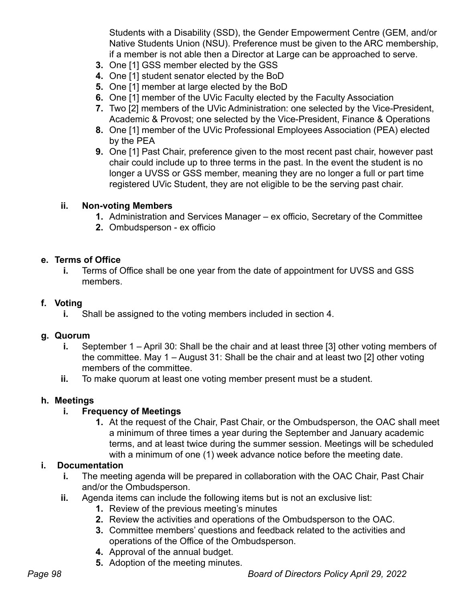Students with a Disability (SSD), the Gender Empowerment Centre (GEM, and/or Native Students Union (NSU). Preference must be given to the ARC membership, if a member is not able then a Director at Large can be approached to serve.

- **3.** One [1] GSS member elected by the GSS
- **4.** One [1] student senator elected by the BoD
- **5.** One [1] member at large elected by the BoD
- **6.** One [1] member of the UVic Faculty elected by the Faculty Association
- **7.** Two [2] members of the UVic Administration: one selected by the Vice-President, Academic & Provost; one selected by the Vice-President, Finance & Operations
- **8.** One [1] member of the UVic Professional Employees Association (PEA) elected by the PEA
- **9.** One [1] Past Chair, preference given to the most recent past chair, however past chair could include up to three terms in the past. In the event the student is no longer a UVSS or GSS member, meaning they are no longer a full or part time registered UVic Student, they are not eligible to be the serving past chair.

#### **ii. Non-voting Members**

- **1.** Administration and Services Manager ex officio, Secretary of the Committee
- **2.** Ombudsperson ex officio

#### **e. Terms of Office**

**i.** Terms of Office shall be one year from the date of appointment for UVSS and GSS members.

#### **f. Voting**

**i.** Shall be assigned to the voting members included in section 4.

#### **g. Quorum**

- **i.** September 1 April 30: Shall be the chair and at least three [3] other voting members of the committee. May 1 – August 31: Shall be the chair and at least two [2] other voting members of the committee.
- **ii.** To make quorum at least one voting member present must be a student.

#### **h. Meetings**

#### **i. Frequency of Meetings**

**1.** At the request of the Chair, Past Chair, or the Ombudsperson, the OAC shall meet a minimum of three times a year during the September and January academic terms, and at least twice during the summer session. Meetings will be scheduled with a minimum of one (1) week advance notice before the meeting date.

#### **i. Documentation**

- **i.** The meeting agenda will be prepared in collaboration with the OAC Chair, Past Chair and/or the Ombudsperson.
- **ii.** Agenda items can include the following items but is not an exclusive list:
	- **1.** Review of the previous meeting's minutes
	- **2.** Review the activities and operations of the Ombudsperson to the OAC.
	- **3.** Committee members' questions and feedback related to the activities and operations of the Office of the Ombudsperson.
	- **4.** Approval of the annual budget.
	- **5.** Adoption of the meeting minutes.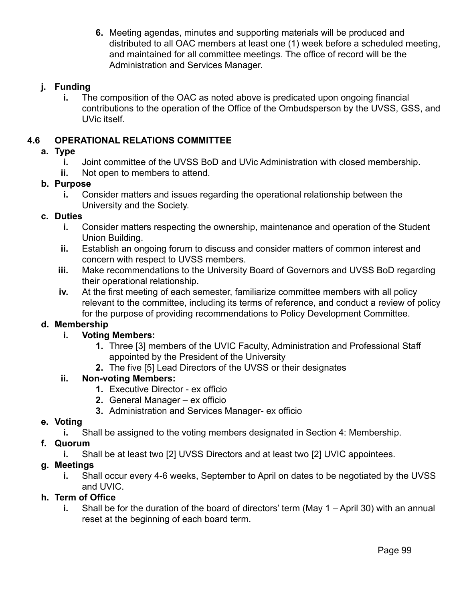**6.** Meeting agendas, minutes and supporting materials will be produced and distributed to all OAC members at least one (1) week before a scheduled meeting, and maintained for all committee meetings. The office of record will be the Administration and Services Manager.

### **j. Funding**

**i.** The composition of the OAC as noted above is predicated upon ongoing financial contributions to the operation of the Office of the Ombudsperson by the UVSS, GSS, and UVic itself.

### **4.6 OPERATIONAL RELATIONS COMMITTEE**

#### **a. Type**

- **i.** Joint committee of the UVSS BoD and UVic Administration with closed membership.
- **ii.** Not open to members to attend.

#### **b. Purpose**

**i.** Consider matters and issues regarding the operational relationship between the University and the Society.

#### **c. Duties**

- **i.** Consider matters respecting the ownership, maintenance and operation of the Student Union Building.
- **ii.** Establish an ongoing forum to discuss and consider matters of common interest and concern with respect to UVSS members.
- **iii.** Make recommendations to the University Board of Governors and UVSS BoD regarding their operational relationship.
- **iv.** At the first meeting of each semester, familiarize committee members with all policy relevant to the committee, including its terms of reference, and conduct a review of policy for the purpose of providing recommendations to Policy Development Committee.

#### **d. Membership**

#### **i. Voting Members:**

- **1.** Three [3] members of the UVIC Faculty, Administration and Professional Staff appointed by the President of the University
- **2.** The five [5] Lead Directors of the UVSS or their designates

#### **ii. Non-voting Members:**

- **1.** Executive Director ex officio
- **2.** General Manager ex officio
- **3.** Administration and Services Manager- ex officio

#### **e. Voting**

**i.** Shall be assigned to the voting members designated in Section 4: Membership.

#### **f. Quorum**

**i.** Shall be at least two [2] UVSS Directors and at least two [2] UVIC appointees.

#### **g. Meetings**

**i.** Shall occur every 4-6 weeks, September to April on dates to be negotiated by the UVSS and UVIC.

#### **h. Term of Office**

**i.** Shall be for the duration of the board of directors' term (May 1 – April 30) with an annual reset at the beginning of each board term.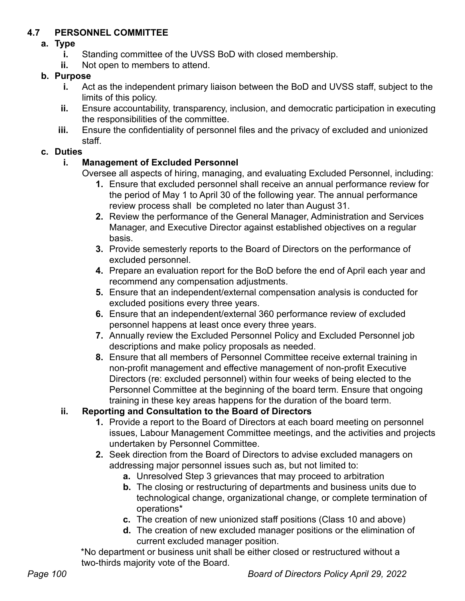# **4.7 PERSONNEL COMMITTEE**

### **a. Type**

- **i.** Standing committee of the UVSS BoD with closed membership.
- **ii.** Not open to members to attend.

### **b. Purpose**

- **i.** Act as the independent primary liaison between the BoD and UVSS staff, subject to the limits of this policy.
- **ii.** Ensure accountability, transparency, inclusion, and democratic participation in executing the responsibilities of the committee.
- **iii.** Ensure the confidentiality of personnel files and the privacy of excluded and unionized staff.

### **c. Duties**

# **i. Management of Excluded Personnel**

Oversee all aspects of hiring, managing, and evaluating Excluded Personnel, including:

- **1.** Ensure that excluded personnel shall receive an annual performance review for the period of May 1 to April 30 of the following year. The annual performance review process shall be completed no later than August 31.
- **2.** Review the performance of the General Manager, Administration and Services Manager, and Executive Director against established objectives on a regular basis.
- **3.** Provide semesterly reports to the Board of Directors on the performance of excluded personnel.
- **4.** Prepare an evaluation report for the BoD before the end of April each year and recommend any compensation adjustments.
- **5.** Ensure that an independent/external compensation analysis is conducted for excluded positions every three years.
- **6.** Ensure that an independent/external 360 performance review of excluded personnel happens at least once every three years.
- **7.** Annually review the Excluded Personnel Policy and Excluded Personnel job descriptions and make policy proposals as needed.
- **8.** Ensure that all members of Personnel Committee receive external training in non-profit management and effective management of non-profit Executive Directors (re: excluded personnel) within four weeks of being elected to the Personnel Committee at the beginning of the board term. Ensure that ongoing training in these key areas happens for the duration of the board term.

# **ii. Reporting and Consultation to the Board of Directors**

- **1.** Provide a report to the Board of Directors at each board meeting on personnel issues, Labour Management Committee meetings, and the activities and projects undertaken by Personnel Committee.
- **2.** Seek direction from the Board of Directors to advise excluded managers on addressing major personnel issues such as, but not limited to:
	- **a.** Unresolved Step 3 grievances that may proceed to arbitration
	- **b.** The closing or restructuring of departments and business units due to technological change, organizational change, or complete termination of operations\*
	- **c.** The creation of new unionized staff positions (Class 10 and above)
	- **d.** The creation of new excluded manager positions or the elimination of current excluded manager position.

\*No department or business unit shall be either closed or restructured without a two-thirds majority vote of the Board.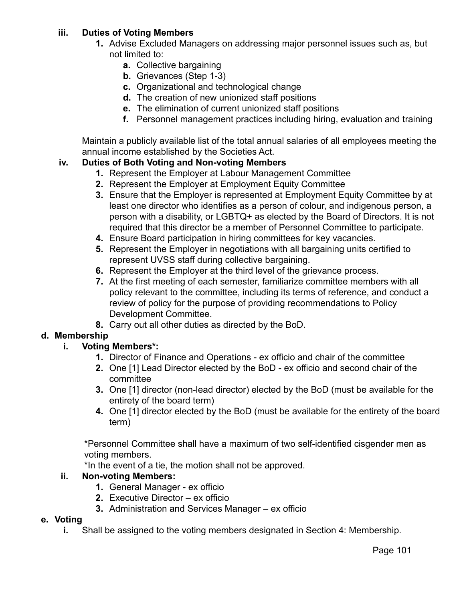### **iii. Duties of Voting Members**

- **1.** Advise Excluded Managers on addressing major personnel issues such as, but not limited to:
	- **a.** Collective bargaining
	- **b.** Grievances (Step 1-3)
	- **c.** Organizational and technological change
	- **d.** The creation of new unionized staff positions
	- **e.** The elimination of current unionized staff positions
	- **f.** Personnel management practices including hiring, evaluation and training

Maintain a publicly available list of the total annual salaries of all employees meeting the annual income established by the Societies Act.

### **iv. Duties of Both Voting and Non-voting Members**

- **1.** Represent the Employer at Labour Management Committee
- **2.** Represent the Employer at Employment Equity Committee
- **3.** Ensure that the Employer is represented at Employment Equity Committee by at least one director who identifies as a person of colour, and indigenous person, a person with a disability, or LGBTQ+ as elected by the Board of Directors. It is not required that this director be a member of Personnel Committee to participate.
- **4.** Ensure Board participation in hiring committees for key vacancies.
- **5.** Represent the Employer in negotiations with all bargaining units certified to represent UVSS staff during collective bargaining.
- **6.** Represent the Employer at the third level of the grievance process.
- **7.** At the first meeting of each semester, familiarize committee members with all policy relevant to the committee, including its terms of reference, and conduct a review of policy for the purpose of providing recommendations to Policy Development Committee.
- **8.** Carry out all other duties as directed by the BoD.

# **d. Membership**

# **i. Voting Members\*:**

- **1.** Director of Finance and Operations ex officio and chair of the committee
- **2.** One [1] Lead Director elected by the BoD ex officio and second chair of the committee
- **3.** One [1] director (non-lead director) elected by the BoD (must be available for the entirety of the board term)
- **4.** One [1] director elected by the BoD (must be available for the entirety of the board term)

\*Personnel Committee shall have a maximum of two self-identified cisgender men as voting members.

\*In the event of a tie, the motion shall not be approved.

#### **ii. Non-voting Members:**

- **1.** General Manager ex officio
- **2.** Executive Director ex officio
- **3.** Administration and Services Manager ex officio

#### **e. Voting**

**i.** Shall be assigned to the voting members designated in Section 4: Membership.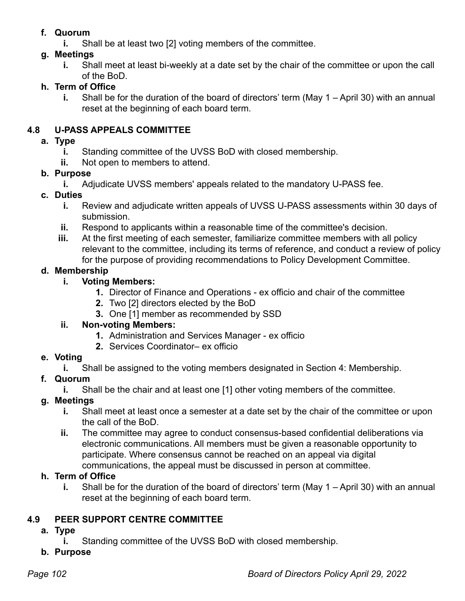# **f. Quorum**

**i.** Shall be at least two [2] voting members of the committee.

### **g. Meetings**

**i.** Shall meet at least bi-weekly at a date set by the chair of the committee or upon the call of the BoD.

# **h. Term of Office**

**i.** Shall be for the duration of the board of directors' term (May 1 – April 30) with an annual reset at the beginning of each board term.

### **4.8 U-PASS APPEALS COMMITTEE**

#### **a. Type**

- **i.** Standing committee of the UVSS BoD with closed membership.
- **ii.** Not open to members to attend.

### **b. Purpose**

**i.** Adjudicate UVSS members' appeals related to the mandatory U-PASS fee.

### **c. Duties**

- **i.** Review and adjudicate written appeals of UVSS U-PASS assessments within 30 days of submission.
- **ii.** Respond to applicants within a reasonable time of the committee's decision.
- **iii.** At the first meeting of each semester, familiarize committee members with all policy relevant to the committee, including its terms of reference, and conduct a review of policy for the purpose of providing recommendations to Policy Development Committee.

### **d. Membership**

# **i. Voting Members:**

- **1.** Director of Finance and Operations ex officio and chair of the committee
- **2.** Two [2] directors elected by the BoD
- **3.** One [1] member as recommended by SSD

# **ii. Non-voting Members:**

- **1.** Administration and Services Manager ex officio
- **2.** Services Coordinator– ex officio

# **e. Voting**

**i.** Shall be assigned to the voting members designated in Section 4: Membership.

# **f. Quorum**

**i.** Shall be the chair and at least one [1] other voting members of the committee.

# **g. Meetings**

- **i.** Shall meet at least once a semester at a date set by the chair of the committee or upon the call of the BoD.
- **ii.** The committee may agree to conduct consensus-based confidential deliberations via electronic communications. All members must be given a reasonable opportunity to participate. Where consensus cannot be reached on an appeal via digital communications, the appeal must be discussed in person at committee.

# **h. Term of Office**

**i.** Shall be for the duration of the board of directors' term (May 1 – April 30) with an annual reset at the beginning of each board term.

# **4.9 PEER SUPPORT CENTRE COMMITTEE**

- **a. Type**
	- **i.** Standing committee of the UVSS BoD with closed membership.
- **b. Purpose**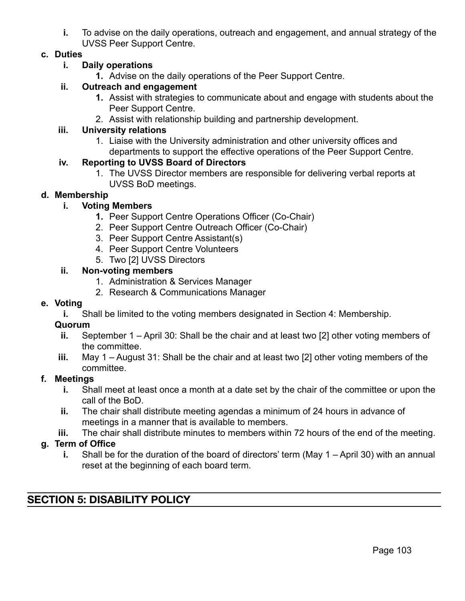**i.** To advise on the daily operations, outreach and engagement, and annual strategy of the UVSS Peer Support Centre.

#### **c. Duties**

#### **i. Daily operations**

**1.** Advise on the daily operations of the Peer Support Centre.

#### **ii. Outreach and engagement**

- **1.** Assist with strategies to communicate about and engage with students about the Peer Support Centre.
- 2. Assist with relationship building and partnership development.

#### **iii. University relations**

1. Liaise with the University administration and other university offices and departments to support the effective operations of the Peer Support Centre.

#### **iv. Reporting to UVSS Board of Directors**

1. The UVSS Director members are responsible for delivering verbal reports at UVSS BoD meetings.

#### **d. Membership**

#### **i. Voting Members**

- **1.** Peer Support Centre Operations Officer (Co-Chair)
- 2. Peer Support Centre Outreach Officer (Co-Chair)
- 3. Peer Support Centre Assistant(s)
- 4. Peer Support Centre Volunteers
- 5. Two [2] UVSS Directors

#### **ii. Non-voting members**

- 1. Administration & Services Manager
- 2. Research & Communications Manager

#### **e. Voting**

**i.** Shall be limited to the voting members designated in Section 4: Membership.

#### **Quorum**

- **ii.** September 1 April 30: Shall be the chair and at least two [2] other voting members of the committee.
- **iii.** May 1 August 31: Shall be the chair and at least two [2] other voting members of the committee.

#### **f. Meetings**

- **i.** Shall meet at least once a month at a date set by the chair of the committee or upon the call of the BoD.
- **ii.** The chair shall distribute meeting agendas a minimum of 24 hours in advance of meetings in a manner that is available to members.
- **iii.** The chair shall distribute minutes to members within 72 hours of the end of the meeting.

#### **g. Term of Office**

**i.** Shall be for the duration of the board of directors' term (May 1 – April 30) with an annual reset at the beginning of each board term.

# **SECTION 5: DISABILITY POLICY**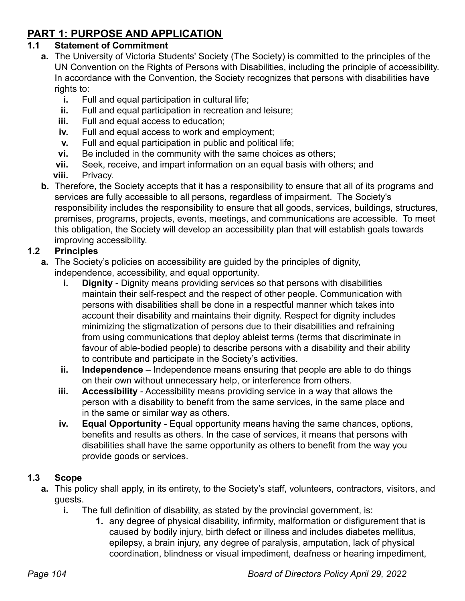# **PART 1: PURPOSE AND APPLICATION**

# **1.1 Statement of Commitment**

- **a.** The University of Victoria Students' Society (The Society) is committed to the principles of the UN Convention on the Rights of Persons with Disabilities, including the principle of accessibility. In accordance with the Convention, the Society recognizes that persons with disabilities have rights to:
	- **i.** Full and equal participation in cultural life;
	- **ii.** Full and equal participation in recreation and leisure;
	- **iii.** Full and equal access to education;
	- **iv.** Full and equal access to work and employment;
	- **v.** Full and equal participation in public and political life;
	- **vi.** Be included in the community with the same choices as others;
	- **vii.** Seek, receive, and impart information on an equal basis with others; and
	- **viii.** Privacy.
- **b.** Therefore, the Society accepts that it has a responsibility to ensure that all of its programs and services are fully accessible to all persons, regardless of impairment. The Society's responsibility includes the responsibility to ensure that all goods, services, buildings, structures, premises, programs, projects, events, meetings, and communications are accessible. To meet this obligation, the Society will develop an accessibility plan that will establish goals towards improving accessibility.

# **1.2 Principles**

- **a.** The Society's policies on accessibility are guided by the principles of dignity, independence, accessibility, and equal opportunity.
	- **i. Dignity** Dignity means providing services so that persons with disabilities maintain their self-respect and the respect of other people. Communication with persons with disabilities shall be done in a respectful manner which takes into account their disability and maintains their dignity. Respect for dignity includes minimizing the stigmatization of persons due to their disabilities and refraining from using communications that deploy ableist terms (terms that discriminate in favour of able-bodied people) to describe persons with a disability and their ability to contribute and participate in the Society's activities.
	- **ii. Independence** Independence means ensuring that people are able to do things on their own without unnecessary help, or interference from others.
	- **iii. Accessibility** Accessibility means providing service in a way that allows the person with a disability to benefit from the same services, in the same place and in the same or similar way as others.
	- **iv. Equal Opportunity** Equal opportunity means having the same chances, options, benefits and results as others. In the case of services, it means that persons with disabilities shall have the same opportunity as others to benefit from the way you provide goods or services.

# **1.3 Scope**

- **a.** This policy shall apply, in its entirety, to the Society's staff, volunteers, contractors, visitors, and guests.
	- **i.** The full definition of disability, as stated by the provincial government, is:
		- **1.** any degree of physical disability, infirmity, malformation or disfigurement that is caused by bodily injury, birth defect or illness and includes diabetes mellitus, epilepsy, a brain injury, any degree of paralysis, amputation, lack of physical coordination, blindness or visual impediment, deafness or hearing impediment,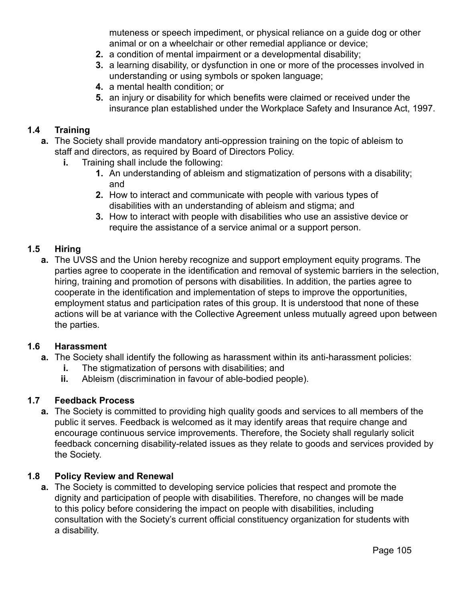muteness or speech impediment, or physical reliance on a guide dog or other animal or on a wheelchair or other remedial appliance or device;

- **2.** a condition of mental impairment or a developmental disability;
- **3.** a learning disability, or dysfunction in one or more of the processes involved in understanding or using symbols or spoken language;
- **4.** a mental health condition; or
- **5.** an injury or disability for which benefits were claimed or received under the insurance plan established under the Workplace Safety and Insurance Act, 1997.

#### **1.4 Training**

- **a.** The Society shall provide mandatory anti-oppression training on the topic of ableism to staff and directors, as required by Board of Directors Policy.
	- **i.** Training shall include the following:
		- **1.** An understanding of ableism and stigmatization of persons with a disability; and
		- **2.** How to interact and communicate with people with various types of disabilities with an understanding of ableism and stigma; and
		- **3.** How to interact with people with disabilities who use an assistive device or require the assistance of a service animal or a support person.

#### **1.5 Hiring**

**a.** The UVSS and the Union hereby recognize and support employment equity programs. The parties agree to cooperate in the identification and removal of systemic barriers in the selection, hiring, training and promotion of persons with disabilities. In addition, the parties agree to cooperate in the identification and implementation of steps to improve the opportunities, employment status and participation rates of this group. It is understood that none of these actions will be at variance with the Collective Agreement unless mutually agreed upon between the parties.

#### **1.6 Harassment**

- **a.** The Society shall identify the following as harassment within its anti-harassment policies:
	- **i.** The stigmatization of persons with disabilities; and
	- **ii.** Ableism (discrimination in favour of able-bodied people).

#### **1.7 Feedback Process**

**a.** The Society is committed to providing high quality goods and services to all members of the public it serves. Feedback is welcomed as it may identify areas that require change and encourage continuous service improvements. Therefore, the Society shall regularly solicit feedback concerning disability-related issues as they relate to goods and services provided by the Society.

#### **1.8 Policy Review and Renewal**

**a.** The Society is committed to developing service policies that respect and promote the dignity and participation of people with disabilities. Therefore, no changes will be made to this policy before considering the impact on people with disabilities, including consultation with the Society's current official constituency organization for students with a disability.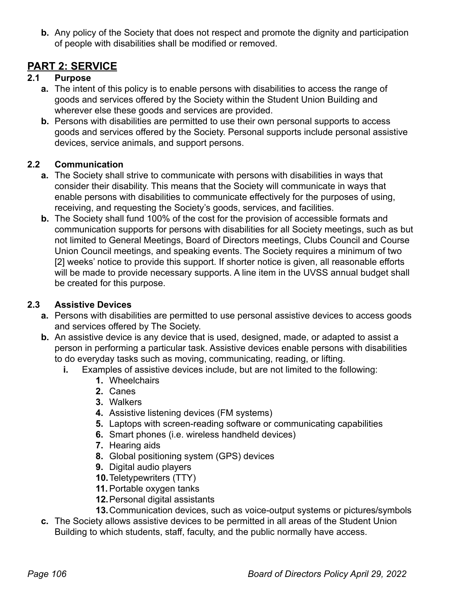**b.** Any policy of the Society that does not respect and promote the dignity and participation of people with disabilities shall be modified or removed.

# **PART 2: SERVICE**

### **2.1 Purpose**

- **a.** The intent of this policy is to enable persons with disabilities to access the range of goods and services offered by the Society within the Student Union Building and wherever else these goods and services are provided.
- **b.** Persons with disabilities are permitted to use their own personal supports to access goods and services offered by the Society. Personal supports include personal assistive devices, service animals, and support persons.

# **2.2 Communication**

- **a.** The Society shall strive to communicate with persons with disabilities in ways that consider their disability. This means that the Society will communicate in ways that enable persons with disabilities to communicate effectively for the purposes of using, receiving, and requesting the Society's goods, services, and facilities.
- **b.** The Society shall fund 100% of the cost for the provision of accessible formats and communication supports for persons with disabilities for all Society meetings, such as but not limited to General Meetings, Board of Directors meetings, Clubs Council and Course Union Council meetings, and speaking events. The Society requires a minimum of two [2] weeks' notice to provide this support. If shorter notice is given, all reasonable efforts will be made to provide necessary supports. A line item in the UVSS annual budget shall be created for this purpose.

### **2.3 Assistive Devices**

- **a.** Persons with disabilities are permitted to use personal assistive devices to access goods and services offered by The Society.
- **b.** An assistive device is any device that is used, designed, made, or adapted to assist a person in performing a particular task. Assistive devices enable persons with disabilities to do everyday tasks such as moving, communicating, reading, or lifting.
	- **i.** Examples of assistive devices include, but are not limited to the following:
		- **1.** Wheelchairs
		- **2.** Canes
		- **3.** Walkers
		- **4.** Assistive listening devices (FM systems)
		- **5.** Laptops with screen-reading software or communicating capabilities
		- **6.** Smart phones (i.e. wireless handheld devices)
		- **7.** Hearing aids
		- **8.** Global positioning system (GPS) devices
		- **9.** Digital audio players
		- **10.**Teletypewriters (TTY)
		- **11.**Portable oxygen tanks
		- **12.**Personal digital assistants
		- **13.**Communication devices, such as voice-output systems or pictures/symbols
- **c.** The Society allows assistive devices to be permitted in all areas of the Student Union Building to which students, staff, faculty, and the public normally have access.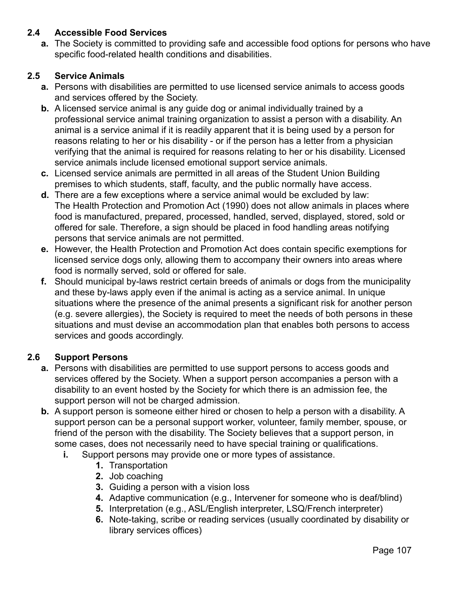### **2.4 Accessible Food Services**

**a.** The Society is committed to providing safe and accessible food options for persons who have specific food-related health conditions and disabilities.

### **2.5 Service Animals**

- **a.** Persons with disabilities are permitted to use licensed service animals to access goods and services offered by the Society.
- **b.** A licensed service animal is any guide dog or animal individually trained by a professional service animal training organization to assist a person with a disability. An animal is a service animal if it is readily apparent that it is being used by a person for reasons relating to her or his disability - or if the person has a letter from a physician verifying that the animal is required for reasons relating to her or his disability. Licensed service animals include licensed emotional support service animals.
- **c.** Licensed service animals are permitted in all areas of the Student Union Building premises to which students, staff, faculty, and the public normally have access.
- **d.** There are a few exceptions where a service animal would be excluded by law: The Health Protection and Promotion Act (1990) does not allow animals in places where food is manufactured, prepared, processed, handled, served, displayed, stored, sold or offered for sale. Therefore, a sign should be placed in food handling areas notifying persons that service animals are not permitted.
- **e.** However, the Health Protection and Promotion Act does contain specific exemptions for licensed service dogs only, allowing them to accompany their owners into areas where food is normally served, sold or offered for sale.
- **f.** Should municipal by-laws restrict certain breeds of animals or dogs from the municipality and these by-laws apply even if the animal is acting as a service animal. In unique situations where the presence of the animal presents a significant risk for another person (e.g. severe allergies), the Society is required to meet the needs of both persons in these situations and must devise an accommodation plan that enables both persons to access services and goods accordingly.

# **2.6 Support Persons**

- **a.** Persons with disabilities are permitted to use support persons to access goods and services offered by the Society. When a support person accompanies a person with a disability to an event hosted by the Society for which there is an admission fee, the support person will not be charged admission.
- **b.** A support person is someone either hired or chosen to help a person with a disability. A support person can be a personal support worker, volunteer, family member, spouse, or friend of the person with the disability. The Society believes that a support person, in some cases, does not necessarily need to have special training or qualifications.
	- **i.** Support persons may provide one or more types of assistance.
		- **1.** Transportation
		- **2.** Job coaching
		- **3.** Guiding a person with a vision loss
		- **4.** Adaptive communication (e.g., Intervener for someone who is deaf/blind)
		- **5.** Interpretation (e.g., ASL/English interpreter, LSQ/French interpreter)
		- **6.** Note-taking, scribe or reading services (usually coordinated by disability or library services offices)